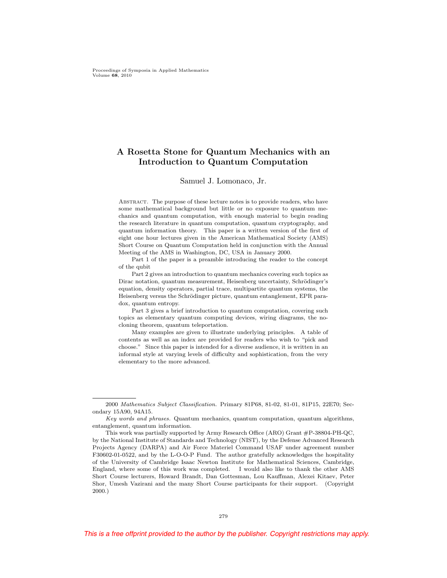Proceedings of Symposia in Applied Mathematics Volume **68**, 2010

# **A Rosetta Stone for Quantum Mechanics with an Introduction to Quantum Computation**

## Samuel J. Lomonaco, Jr.

Abstract. The purpose of these lecture notes is to provide readers, who have some mathematical background but little or no exposure to quantum mechanics and quantum computation, with enough material to begin reading the research literature in quantum computation, quantum cryptography, and quantum information theory. This paper is a written version of the first of eight one hour lectures given in the American Mathematical Society (AMS) Short Course on Quantum Computation held in conjunction with the Annual Meeting of the AMS in Washington, DC, USA in January 2000.

Part 1 of the paper is a preamble introducing the reader to the concept of the qubit

Part 2 gives an introduction to quantum mechanics covering such topics as Dirac notation, quantum measurement, Heisenberg uncertainty, Schrödinger's equation, density operators, partial trace, multipartite quantum systems, the Heisenberg versus the Schrödinger picture, quantum entanglement, EPR paradox, quantum entropy.

Part 3 gives a brief introduction to quantum computation, covering such topics as elementary quantum computing devices, wiring diagrams, the nocloning theorem, quantum teleportation.

Many examples are given to illustrate underlying principles. A table of contents as well as an index are provided for readers who wish to "pick and choose." Since this paper is intended for a diverse audience, it is written in an informal style at varying levels of difficulty and sophistication, from the very elementary to the more advanced.

<sup>2000</sup> Mathematics Subject Classification. Primary 81P68, 81-02, 81-01, 81P15, 22E70; Secondary 15A90, 94A15.

Key words and phrases. Quantum mechanics, quantum computation, quantum algorithms, entanglement, quantum information.

This work was partially supported by Army Research Office (ARO) Grant #P-38804-PH-QC, by the National Institute of Standards and Technology (NIST), by the Defense Advanced Research Projects Agency (DARPA) and Air Force Materiel Command USAF under agreement number F30602-01-0522, and by the L-O-O-P Fund. The author gratefully acknowledges the hospitality of the University of Cambridge Isaac Newton Institute for Mathematical Sciences, Cambridge, England, where some of this work was completed. I would also like to thank the other AMS Short Course lecturers, Howard Brandt, Dan Gottesman, Lou Kauffman, Alexei Kitaev, Peter Shor, Umesh Vazirani and the many Short Course participants for their support. (Copyright 2000.)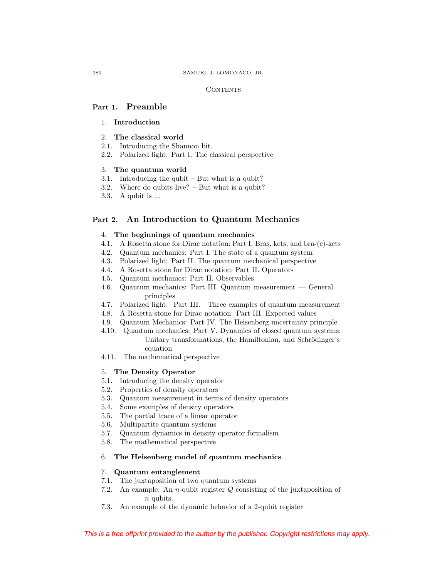## **CONTENTS**

## **Part 1. Preamble**

# 1. **Introduction**

- 2. **The classical world**
- 2.1. Introducing the Shannon bit.
- 2.2. Polarized light: Part I. The classical perspective

#### 3. **The quantum world**

- 3.1. Introducing the qubit But what is a qubit?
- 3.2. Where do qubits live? But what is a qubit?
- 3.3. A qubit is ...

## **Part 2. An Introduction to Quantum Mechanics**

## 4. **The beginnings of quantum mechanics**

- 4.1. A Rosetta stone for Dirac notation: Part I. Bras, kets, and bra-(c)-kets
- 4.2. Quantum mechanics: Part I. The state of a quantum system
- 4.3. Polarized light: Part II. The quantum mechanical perspective
- 4.4. A Rosetta stone for Dirac notation: Part II. Operators
- 4.5. Quantum mechanics: Part II. Observables
- 4.6. Quantum mechanics: Part III. Quantum measurement General principles
- 4.7. Polarized light: Part III. Three examples of quantum measurement
- 4.8. A Rosetta stone for Dirac notation: Part III. Expected values
- 4.9. Quantum Mechanics: Part IV. The Heisenberg uncertainty principle
- 4.10. Quantum mechanics: Part V. Dynamics of closed quantum systems: Unitary transformations, the Hamiltonian, and Schrödinger's equation
- 4.11. The mathematical perspective

## 5. **The Density Operator**

- 5.1. Introducing the density operator
- 5.2. Properties of density operators
- 5.3. Quantum measurement in terms of density operators
- 5.4. Some examples of density operators
- 5.5. The partial trace of a linear operator
- 5.6. Multipartite quantum systems
- 5.7. Quantum dynamics in density operator formalism
- 5.8. The mathematical perspective

# 6. **The Heisenberg model of quantum mechanics**

## 7. **Quantum entanglement**

- 7.1. The juxtaposition of two quantum systems
- 7.2. An example: An *n*-qubit register  $Q$  consisting of the juxtaposition of n qubits.
- 7.3. An example of the dynamic behavior of a 2-qubit register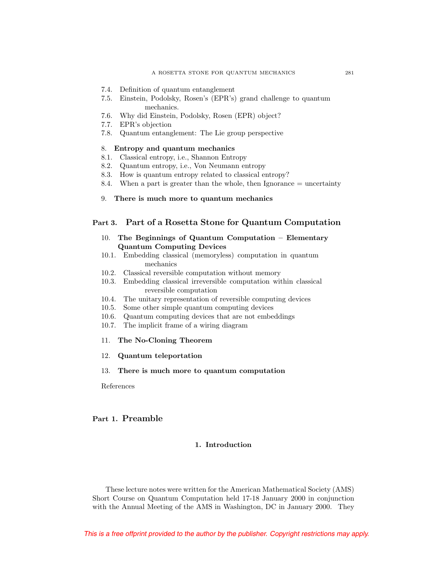- 7.4. Definition of quantum entanglement
- 7.5. Einstein, Podolsky, Rosen's (EPR's) grand challenge to quantum mechanics.
- 7.6. Why did Einstein, Podolsky, Rosen (EPR) object?
- 7.7. EPR's objection
- 7.8. Quantum entanglement: The Lie group perspective

## 8. **Entropy and quantum mechanics**

- 8.1. Classical entropy, i.e., Shannon Entropy
- 8.2. Quantum entropy, i.e., Von Neumann entropy
- 8.3. How is quantum entropy related to classical entropy?
- 8.4. When a part is greater than the whole, then Ignorance  $=$  uncertainty
- 9. **There is much more to quantum mechanics**

# **Part 3. Part of a Rosetta Stone for Quantum Computation**

- 10. **The Beginnings of Quantum Computation Elementary Quantum Computing Devices**
- 10.1. Embedding classical (memoryless) computation in quantum mechanics
- 10.2. Classical reversible computation without memory
- 10.3. Embedding classical irreversible computation within classical reversible computation
- 10.4. The unitary representation of reversible computing devices
- 10.5. Some other simple quantum computing devices
- 10.6. Quantum computing devices that are not embeddings
- 10.7. The implicit frame of a wiring diagram
- 11. **The No-Cloning Theorem**

#### 12. **Quantum teleportation**

## 13. **There is much more to quantum computation**

References

# **Part 1. Preamble**

## **1. Introduction**

These lecture notes were written for the American Mathematical Society (AMS) Short Course on Quantum Computation held 17-18 January 2000 in conjunction with the Annual Meeting of the AMS in Washington, DC in January 2000. They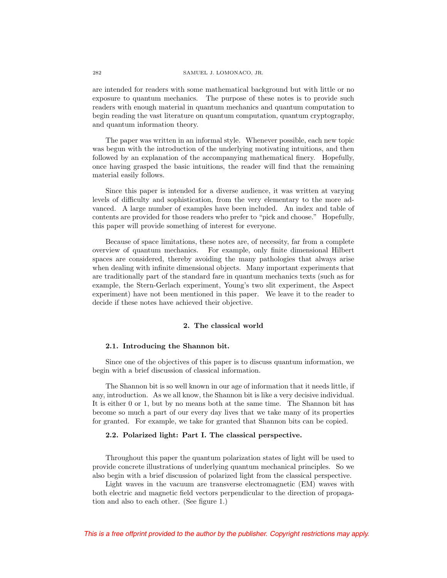are intended for readers with some mathematical background but with little or no exposure to quantum mechanics. The purpose of these notes is to provide such readers with enough material in quantum mechanics and quantum computation to begin reading the vast literature on quantum computation, quantum cryptography, and quantum information theory.

The paper was written in an informal style. Whenever possible, each new topic was begun with the introduction of the underlying motivating intuitions, and then followed by an explanation of the accompanying mathematical finery. Hopefully, once having grasped the basic intuitions, the reader will find that the remaining material easily follows.

Since this paper is intended for a diverse audience, it was written at varying levels of difficulty and sophistication, from the very elementary to the more advanced. A large number of examples have been included. An index and table of contents are provided for those readers who prefer to "pick and choose." Hopefully, this paper will provide something of interest for everyone.

Because of space limitations, these notes are, of necessity, far from a complete overview of quantum mechanics. For example, only finite dimensional Hilbert spaces are considered, thereby avoiding the many pathologies that always arise when dealing with infinite dimensional objects. Many important experiments that are traditionally part of the standard fare in quantum mechanics texts (such as for example, the Stern-Gerlach experiment, Young's two slit experiment, the Aspect experiment) have not been mentioned in this paper. We leave it to the reader to decide if these notes have achieved their objective.

## **2. The classical world**

#### **2.1. Introducing the Shannon bit.**

Since one of the objectives of this paper is to discuss quantum information, we begin with a brief discussion of classical information.

The Shannon bit is so well known in our age of information that it needs little, if any, introduction. As we all know, the Shannon bit is like a very decisive individual. It is either 0 or 1, but by no means both at the same time. The Shannon bit has become so much a part of our every day lives that we take many of its properties for granted. For example, we take for granted that Shannon bits can be copied.

#### **2.2. Polarized light: Part I. The classical perspective.**

Throughout this paper the quantum polarization states of light will be used to provide concrete illustrations of underlying quantum mechanical principles. So we also begin with a brief discussion of polarized light from the classical perspective.

Light waves in the vacuum are transverse electromagnetic (EM) waves with both electric and magnetic field vectors perpendicular to the direction of propagation and also to each other. (See figure 1.)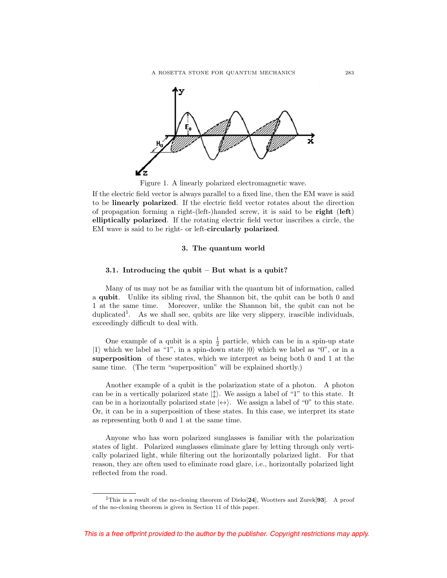

Figure 1. A linearly polarized electromagnetic wave.

If the electric field vector is always parallel to a fixed line, then the EM wave is said to be **linearly polarized**. If the electric field vector rotates about the direction of propagation forming a right-(left-)handed screw, it is said to be **right** (**left**) **elliptically polarized**. If the rotating electric field vector inscribes a circle, the EM wave is said to be right- or left-**circularly polarized**.

## **3. The quantum world**

#### **3.1. Introducing the qubit – But what is a qubit?**

Many of us may not be as familiar with the quantum bit of information, called a **qubit**. Unlike its sibling rival, the Shannon bit, the qubit can be both 0 and 1 at the same time. Moreover, unlike the Shannon bit, the qubit can not be duplicated<sup>1</sup>. As we shall see, qubits are like very slippery, irascible individuals, exceedingly difficult to deal with.

One example of a qubit is a spin  $\frac{1}{2}$  particle, which can be in a spin-up state  $|1\rangle$  which we label as "1", in a spin-down state  $|0\rangle$  which we label as "0", or in a **superposition** of these states, which we interpret as being both 0 and 1 at the same time. (The term "superposition" will be explained shortly.)

Another example of a qubit is the polarization state of a photon. A photon can be in a vertically polarized state  $|\updownarrow\rangle$ . We assign a label of "1" to this state. It can be in a horizontally polarized state  $\langle \leftrightarrow \rangle$ . We assign a label of "0" to this state. Or, it can be in a superposition of these states. In this case, we interpret its state as representing both 0 and 1 at the same time.

Anyone who has worn polarized sunglasses is familiar with the polarization states of light. Polarized sunglasses eliminate glare by letting through only vertically polarized light, while filtering out the horizontally polarized light. For that reason, they are often used to eliminate road glare, i.e., horizontally polarized light reflected from the road.

<sup>1</sup>This is a result of the no-cloning theorem of Dieks[**24**], Wootters and Zurek[**93**]. A proof of the no-cloning theorem is given in Section 11 of this paper.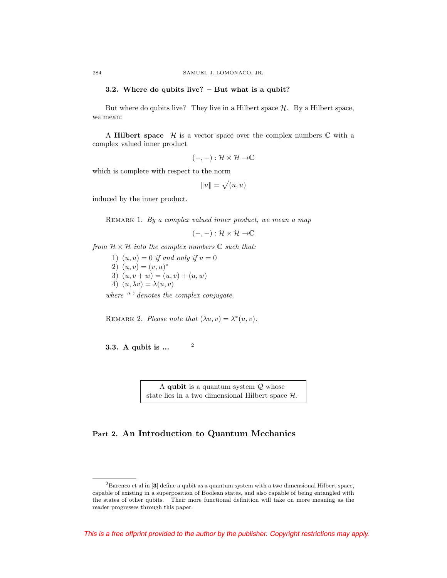#### **3.2. Where do qubits live? – But what is a qubit?**

But where do qubits live? They live in a Hilbert space  $H$ . By a Hilbert space, we mean:

A **Hilbert space**  $\mathcal{H}$  is a vector space over the complex numbers  $\mathbb{C}$  with a complex valued inner product

$$
(-,-): \mathcal{H} \times \mathcal{H} \to \mathbb{C}
$$

which is complete with respect to the norm

$$
||u|| = \sqrt{(u, u)}
$$

induced by the inner product.

REMARK 1. By a complex valued inner product, we mean a map

$$
(-,-): \mathcal{H} \times \mathcal{H} \to \mathbb{C}
$$

from  $H \times H$  into the complex numbers  $\mathbb C$  such that:

1)  $(u, u) = 0$  if and only if  $u = 0$ 2)  $(u, v) = (v, u)^*$ 3)  $(u, v + w) = (u, v) + (u, w)$ 4)  $(u, \lambda v) = \lambda(u, v)$ where <sup>\*\*</sup> denotes the complex conjugate.

REMARK 2. Please note that  $(\lambda u, v) = \lambda^*(u, v)$ .

**3.3.** A qubit is ... <sup>2</sup>

A **qubit** is a quantum system Q whose state lies in a two dimensional Hilbert space  $H$ .

# **Part 2. An Introduction to Quantum Mechanics**

<sup>2</sup>Barenco et al in [**3**] define a qubit as a quantum system with a two dimensional Hilbert space, capable of existing in a superposition of Boolean states, and also capable of being entangled with the states of other qubits. Their more functional definition will take on more meaning as the reader progresses through this paper.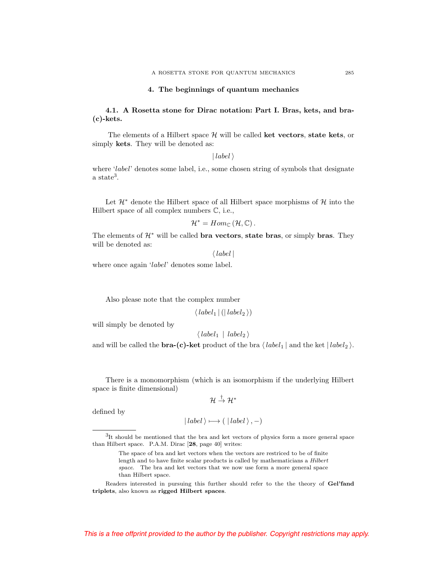## **4. The beginnings of quantum mechanics**

# **4.1. A Rosetta stone for Dirac notation: Part I. Bras, kets, and bra- (c)-kets.**

The elements of a Hilbert space H will be called **ket vectors**, **state kets**, or simply **kets**. They will be denoted as:

 $| \, label \, \rangle$ 

where 'label' denotes some label, i.e., some chosen string of symbols that designate  $a state<sup>3</sup>$ .

Let  $\mathcal{H}^*$  denote the Hilbert space of all Hilbert space morphisms of  $\mathcal{H}$  into the Hilbert space of all complex numbers C, i.e.,

$$
\mathcal{H}^* = Hom_{\mathbb{C}}\left(\mathcal{H}, \mathbb{C}\right).
$$

The elements of H<sup>∗</sup> will be called **bra vectors**, **state bras**, or simply **bras**. They will be denoted as:

 $\langle label |$ 

where once again 'label' denotes some label.

Also please note that the complex number

 $\langle label_1 | (label_2 \rangle)$ 

will simply be denoted by

 $\langle \text{label}_1 \mid \text{label}_2 \rangle$ 

and will be called the **bra-(c)-ket** product of the bra  $\langle label_1 |$  and the ket  $| label_2 \rangle$ .

There is a monomorphism (which is an isomorphism if the underlying Hilbert space is finite dimensional)

$$
\mathcal{H} \stackrel{\dagger}{\rightarrow} \mathcal{H}^*
$$

defined by

$$
| \, label \, \rangle \longmapsto (\, | \, label \, \rangle \, , -)
$$

<sup>3</sup>It should be mentioned that the bra and ket vectors of physics form a more general space than Hilbert space. P.A.M. Dirac [**28**, page 40] writes:

The space of bra and ket vectors when the vectors are restriced to be of finite length and to have finite scalar products is called by mathematicians a Hilbert space. The bra and ket vectors that we now use form a more general space than Hilbert space.

Readers interested in pursuing this further should refer to the the theory of **Gel'fand triplets**, also known as **rigged Hilbert spaces**.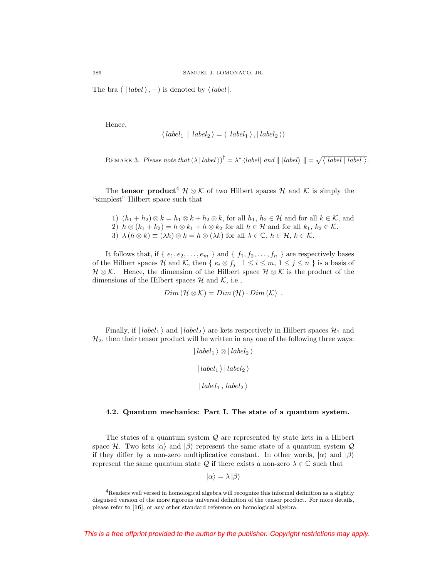The bra  $(|\textit{label}\rangle,-)$  is denoted by  $\langle \textit{label}|$ .

Hence,

$$
\langle \text{label}_1 | \text{label}_2 \rangle = (|\text{label}_1 \rangle, |\text{label}_2 \rangle)
$$

REMARK 3. Please note that  $(\lambda | label)$ <sup>†</sup> =  $\lambda^*$   $\langle label |$  and  $||$   $|label \rangle || = \sqrt{\langle label | label \rangle}$ .

The **tensor product**<sup>4</sup>  $\mathcal{H} \otimes \mathcal{K}$  of two Hilbert spaces  $\mathcal{H}$  and  $\mathcal{K}$  is simply the "simplest" Hilbert space such that

- 1)  $(h_1 + h_2) \otimes k = h_1 \otimes k + h_2 \otimes k$ , for all  $h_1, h_2 \in \mathcal{H}$  and for all  $k \in \mathcal{K}$ , and
- 2)  $h \otimes (k_1 + k_2) = h \otimes k_1 + h \otimes k_2$  for all  $h \in \mathcal{H}$  and for all  $k_1, k_2 \in \mathcal{K}$ .
- 3)  $\lambda (h \otimes k) \equiv (\lambda h) \otimes k = h \otimes (\lambda k)$  for all  $\lambda \in \mathbb{C}$ ,  $h \in \mathcal{H}$ ,  $k \in \mathcal{K}$ .

It follows that, if { $e_1, e_2, \ldots, e_m$ } and { $f_1, f_2, \ldots, f_n$ } are respectively bases of the Hilbert spaces H and K, then {  $e_i \otimes f_j$  |  $1 \leq i \leq m$ ,  $1 \leq j \leq n$  } is a basis of  $\mathcal{H} \otimes \mathcal{K}$ . Hence, the dimension of the Hilbert space  $\mathcal{H} \otimes \mathcal{K}$  is the product of the dimensions of the Hilbert spaces  $\mathcal H$  and  $\mathcal K$ , i.e.,

$$
Dim\left(\mathcal{H}\otimes\mathcal{K}\right)=Dim\left(\mathcal{H}\right)\cdot Dim\left(\mathcal{K}\right).
$$

Finally, if  $| \text{label}_1 \rangle$  and  $| \text{label}_2 \rangle$  are kets respectively in Hilbert spaces  $\mathcal{H}_1$  and  $\mathcal{H}_2$ , then their tensor product will be written in any one of the following three ways:

```
| \, label_1 \,\rangle \otimes | \, label_2 \,\rangle| \, label_1 \rangle \, | \, label_2 \rangle| \, label_1 \, , \, label_2 \, \rangle
```
#### **4.2. Quantum mechanics: Part I. The state of a quantum system.**

The states of a quantum system  $Q$  are represented by state kets in a Hilbert space H. Two kets  $|\alpha\rangle$  and  $|\beta\rangle$  represent the same state of a quantum system  $\mathcal Q$ if they differ by a non-zero multiplicative constant. In other words,  $|\alpha\rangle$  and  $|\beta\rangle$ represent the same quantum state  $\mathcal Q$  if there exists a non-zero  $\lambda \in \mathbb C$  such that

 $|\alpha\rangle = \lambda |\beta\rangle$ 

<sup>4</sup>Readers well versed in homological algebra will recognize this informal definition as a slightly disguised version of the more rigorous universal definition of the tensor product. For more details, please refer to [**16**], or any other standard reference on homological algebra.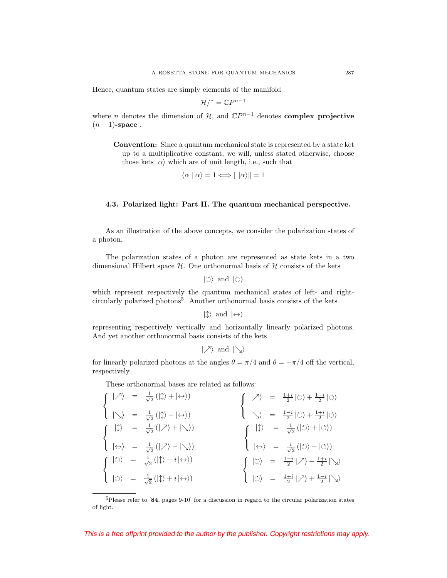Hence, quantum states are simply elements of the manifold

$$
\mathcal{H}/\tilde{\phantom{a}} = \mathbb{C}P^{n-1}
$$

where *n* denotes the dimension of  $H$ , and  $\mathbb{C}P^{n-1}$  denotes **complex projective**  $(n - 1)$ -space.

**Convention:** Since a quantum mechanical state is represented by a state ket up to a multiplicative constant, we will, unless stated otherwise, choose those kets  $|\alpha\rangle$  which are of unit length, i.e., such that

$$
\langle \alpha | \alpha \rangle = 1 \Longleftrightarrow || \alpha \rangle || = 1
$$

## **4.3. Polarized light: Part II. The quantum mechanical perspective.**

As an illustration of the above concepts, we consider the polarization states of a photon.

The polarization states of a photon are represented as state kets in a two dimensional Hilbert space  $H$ . One orthonormal basis of  $H$  consists of the kets

 $|\circlearrowleft\rangle$  and  $|\circlearrowright\rangle$ 

which represent respectively the quantum mechanical states of left- and rightcircularly polarized photons<sup>5</sup>. Another orthonormal basis consists of the kets

```
|\updownarrow\rangle and |\leftrightarrow\rangle
```
representing respectively vertically and horizontally linearly polarized photons. And yet another orthonormal basis consists of the kets

 $|\nearrow\rangle$  and  $|\searrow\rangle$ 

for linearly polarized photons at the angles  $\theta = \pi/4$  and  $\theta = -\pi/4$  off the vertical, respectively.

These orthonormal bases are related as follows:

| $\int  \nearrow\rangle = \frac{1}{\sqrt{2}} ( \updownarrow\rangle +  \leftrightarrow\rangle)$                                                                            | $\int  \nearrow\rangle = \frac{1+i}{2}  \circlearrowright\rangle + \frac{1-i}{2}  \circlearrowleft\rangle$                                                                                        |
|--------------------------------------------------------------------------------------------------------------------------------------------------------------------------|---------------------------------------------------------------------------------------------------------------------------------------------------------------------------------------------------|
| $\label{eq:12} \Big\langle \begin{array}{rcl}   \searrow \rangle & = & \frac{1}{\sqrt{2}} \left(   \updownarrow \rangle -   \leftrightarrow \rangle \right) \end{array}$ | $\Big\{ \begin{array}{rcl} \big  \searrow \big\rangle &=& \frac{1-i}{2} \left  \circlearrowright \right\rangle + \frac{1+i}{2} \left  \circlearrowleft \right\rangle \end{array}$                 |
| $\int  \updownarrow\rangle = \frac{1}{\sqrt{2}} ( \nearrow\rangle +  \searrow\rangle)$                                                                                   | $\int  \updownarrow\rangle = \frac{1}{\sqrt{2}} ( \lozenge\rangle +  \lozenge\rangle)$                                                                                                            |
| $\left\{ \begin{array}{rcl} \vert \leftrightarrow \rangle & = & \frac{1}{\sqrt{2}} \left(\vert \nearrow \rangle - \vert \searrow \rangle \right) \end{array} \right.$    | $\begin{cases} \begin{array}{rcl} \vert \leftrightarrow \rangle & = & \frac{i}{\sqrt{2}} \left( \vert \circlearrowright \rangle - \vert \circlearrowleft \rangle \right) \end{array} \end{cases}$ |
| $\int  \circlearrowright\rangle = \frac{1}{\sqrt{2}} ( \updownarrow\rangle - i  \leftrightarrow\rangle)$                                                                 | $\int~\left \circlearrowright\rangle~~ =~\tfrac{1-i}{2}\left \nearrow\right\rangle + \tfrac{1+i}{2}\left \searrow\right\rangle$                                                                   |
| $ \rangle$ $ \Diamond\rangle$ = $\frac{1}{\sqrt{2}}( \downarrow\rangle + i  \leftrightarrow\rangle)$                                                                     | $\left\{ \begin{array}{rcl} \left \circlearrowleft\right\rangle & = & \frac{1+i}{2}\left \nearrow\right\rangle + \frac{1-i}{2}\left \searrow\right\rangle \end{array} \right.$                    |

<sup>5</sup>Please refer to [**84**, pages 9-10] for a discussion in regard to the circular polarization states of light.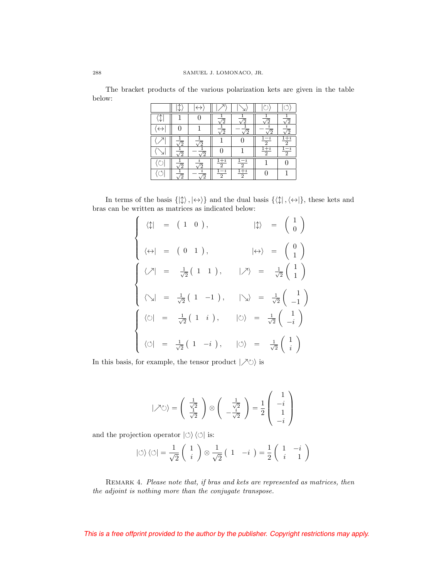The bracket products of the various polarization kets are given in the table below:

|            |          |                 | 'n                      | 'n                     |                                    |
|------------|----------|-----------------|-------------------------|------------------------|------------------------------------|
|            |          | $\sqrt{2}$      |                         | <sup>1</sup> 2         | $\iota$<br>$\sqrt{2}$              |
|            |          |                 |                         | $\frac{1-i}{2}$        | $\frac{1+i}{2}$<br>$\frac{1-i}{2}$ |
| $\sqrt{2}$ | 75       |                 |                         | $1+$<br>$\overline{2}$ |                                    |
|            | $\imath$ |                 | $1 -$<br>$\overline{2}$ |                        |                                    |
|            |          | $\frac{2}{1-i}$ | $1+i$<br>$\overline{2}$ |                        |                                    |

In terms of the basis  $\{|\updownarrow\rangle, |\leftrightarrow\rangle\}$  and the dual basis  $\{\langle\updownarrow|,\langle\leftrightarrow|\}\)$ , these kets and bras can be written as matrices as indicated below:

$$
\begin{cases}\n\langle \updownarrow \rangle = (1 \ 0), & \qquad \downarrow \rangle = \begin{pmatrix} 1 \\ 0 \end{pmatrix} \\
\langle \leftrightarrow \rangle = (0 \ 1), & \qquad \langle \leftrightarrow \rangle = \begin{pmatrix} 0 \\ 1 \end{pmatrix} \\
\langle \nearrow \rangle = \frac{1}{\sqrt{2}} (1 \ 1), & \qquad \nearrow \rangle = \frac{1}{\sqrt{2}} \begin{pmatrix} 1 \\ 1 \end{pmatrix} \\
\langle \searrow \rangle = \frac{1}{\sqrt{2}} (1 \ -1), & \qquad \searrow \rangle = \frac{1}{\sqrt{2}} \begin{pmatrix} 1 \\ -1 \end{pmatrix} \\
\langle \circ \rangle = \frac{1}{\sqrt{2}} (1 \ i), & \qquad \diamond \rangle = \frac{1}{\sqrt{2}} \begin{pmatrix} 1 \\ -i \end{pmatrix} \\
\langle \circ \rangle = \frac{1}{\sqrt{2}} (1 \ -i), & \qquad \diamond \rangle = \frac{1}{\sqrt{2}} \begin{pmatrix} 1 \\ i \end{pmatrix}\n\end{cases}
$$

In this basis, for example, the tensor product  $|\nearrow \circlearrowright\rangle$  is

$$
|\nearrow \circlearrowright\rangle = \left(\begin{array}{c}\frac{1}{\sqrt{2}}\\ \frac{1}{\sqrt{2}}\end{array}\right) \otimes \left(\begin{array}{c}\frac{1}{\sqrt{2}}\\ -\frac{i}{\sqrt{2}}\end{array}\right) = \frac{1}{2} \left(\begin{array}{c}\n1\\ -i\\ 1\\ -i\end{array}\right)
$$

and the projection operator  $|\Diamond\rangle\langle\Diamond|$  is:

$$
|\circlearrowleft\rangle\langle\circlearrowleft| = \frac{1}{\sqrt{2}}\left(\begin{array}{c} 1\\ i \end{array}\right) \otimes \frac{1}{\sqrt{2}}\left(\begin{array}{cc} 1 & -i \end{array}\right) = \frac{1}{2}\left(\begin{array}{cc} 1 & -i\\ i & 1 \end{array}\right)
$$

REMARK 4. Please note that, if bras and kets are represented as matrices, then the adjoint is nothing more than the conjugate transpose.

This is a free offprint provided to the author by the publisher. Copyright restrictions may apply.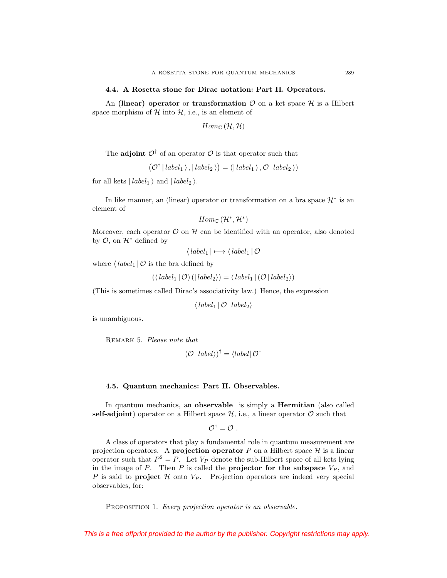#### **4.4. A Rosetta stone for Dirac notation: Part II. Operators.**

An **(linear)** operator or **transformation**  $\mathcal{O}$  on a ket space  $\mathcal{H}$  is a Hilbert space morphism of  $H$  into  $H$ , i.e., is an element of

$$
Hom_{\mathbb{C}}\left( \mathcal{H},\mathcal{H}\right)
$$

The **adjoint**  $\mathcal{O}^{\dagger}$  of an operator  $\mathcal{O}$  is that operator such that

$$
\left(\mathcal{O}^\dagger | \mathit{label}_1 \rangle, | \mathit{label}_2 \rangle\right) = \left(| \mathit{label}_1 \rangle, \mathcal{O} \, | \mathit{label}_2 \right)
$$

for all kets  $| \text{label}_1 \rangle$  and  $| \text{label}_2 \rangle$ .

In like manner, an (linear) operator or transformation on a bra space  $\mathcal{H}^*$  is an element of

$$
Hom_{\mathbb{C}}\left(\mathcal{H}^*, \mathcal{H}^*\right)
$$

Moreover, each operator  $\mathcal O$  on  $\mathcal H$  can be identified with an operator, also denoted by  $\mathcal{O}$ , on  $\mathcal{H}^*$  defined by

$$
\langle \textit{label}_1 | \longmapsto \langle \textit{label}_1 | \mathcal{O}
$$

where  $\langle label_1 | \mathcal{O}$  is the bra defined by

$$
(\langle label_1 | \mathcal{O}) ( | label_2 \rangle) = \langle label_1 | (\mathcal{O} | label_2 \rangle)
$$

(This is sometimes called Dirac's associativity law.) Hence, the expression

$$
\langle
$$
 *label*<sub>1</sub>  $\vert$   $\mathcal{O}$   $\vert$  *label*<sub>2</sub> $\rangle$ 

is unambiguous.

REMARK 5. Please note that

$$
\left(\mathcal{O}\,|\,\text{label}\right)^{\dagger}=\bra{\text{label}}\mathcal{O}^{\dagger}
$$

#### **4.5. Quantum mechanics: Part II. Observables.**

In quantum mechanics, an **observable** is simply a **Hermitian** (also called **self-adjoint**) operator on a Hilbert space  $H$ , i.e., a linear operator  $O$  such that

$$
\mathcal{O}^{\dagger}=\mathcal{O}.
$$

A class of operators that play a fundamental role in quantum measurement are projection operators. A **projection operator**  $P$  on a Hilbert space  $H$  is a linear operator such that  $P^2 = P$ . Let  $V_P$  denote the sub-Hilbert space of all kets lying in the image of  $P$ . Then  $P$  is called the **projector for the subspace**  $V_P$ , and P is said to **project**  $H$  onto  $V_P$ . Projection operators are indeed very special observables, for:

PROPOSITION 1. Every projection operator is an observable.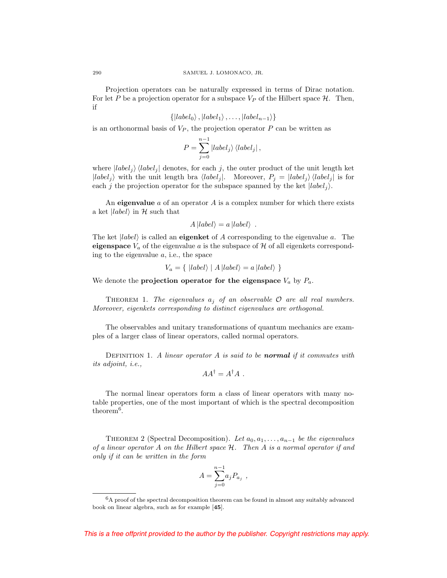Projection operators can be naturally expressed in terms of Dirac notation. For let P be a projection operator for a subspace  $V_P$  of the Hilbert space  $H$ . Then, if

$$
\{|label_0\rangle, |label_1\rangle, \ldots, |label_{n-1}\rangle\}
$$

is an orthonormal basis of  $V_P$ , the projection operator  $P$  can be written as

$$
P = \sum_{j=0}^{n-1} |label_j\rangle \langle label_j| \,,
$$

where  $|label_j\rangle \langle label_j|$  denotes, for each j, the outer product of the unit length ket  $|label_j\rangle$  with the unit length bra  $\langle label_j|$ . Moreover,  $P_j = |label_j\rangle \langle label_j|$  is for each j the projection operator for the subspace spanned by the ket  $|label_j\rangle$ .

An **eigenvalue** a of an operator A is a complex number for which there exists a ket  $|label\rangle$  in H such that

$$
A | label\rangle = a | label\rangle .
$$

The ket  $|label\rangle$  is called an **eigenket** of A corresponding to the eigenvalue a. The **eigenspace**  $V_a$  of the eigenvalue a is the subspace of  $H$  of all eigenkets corresponding to the eigenvalue  $a$ , i.e., the space

$$
V_a = \{ |label\rangle | A | label \rangle = a | label \rangle \}
$$

We denote the **projection operator for the eigenspace**  $V_a$  by  $P_a$ .

THEOREM 1. The eigenvalues  $a_i$  of an observable  $\mathcal O$  are all real numbers. Moreover, eigenkets corresponding to distinct eigenvalues are orthogonal.

The observables and unitary transformations of quantum mechanics are examples of a larger class of linear operators, called normal operators.

DEFINITION 1. A linear operator A is said to be **normal** if it commutes with its adjoint, i.e.,

$$
AA^{\dagger} = A^{\dagger}A.
$$

The normal linear operators form a class of linear operators with many notable properties, one of the most important of which is the spectral decomposition theorem<sup>6</sup>.

THEOREM 2 (Spectral Decomposition). Let  $a_0, a_1, \ldots, a_{n-1}$  be the eigenvalues of a linear operator  $A$  on the Hilbert space  $H$ . Then  $A$  is a normal operator if and only if it can be written in the form

$$
A = \sum_{j=0}^{n-1} a_j P_{a_j} ,
$$

 ${}^{6}$ A proof of the spectral decomposition theorem can be found in almost any suitably advanced book on linear algebra, such as for example [**45**].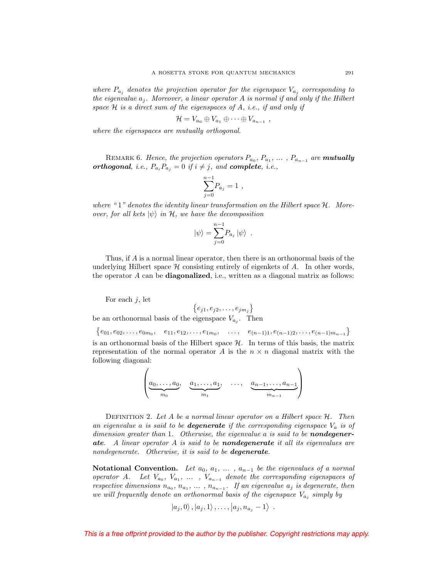where  $P_{a_i}$  denotes the projection operator for the eigenspace  $V_{a_i}$  corresponding to the eigenvalue  $a_j$ . Moreover, a linear operator A is normal if and only if the Hilbert space  $H$  is a direct sum of the eigenspaces of  $A$ , i.e., if and only if

$$
\mathcal{H}=V_{a_0}\oplus V_{a_1}\oplus\cdots\oplus V_{a_{n-1}}\ ,
$$

where the eigenspaces are mutually orthogonal.

REMARK 6. Hence, the projection operators  $P_{a_0}, P_{a_1}, \ldots, P_{a_{n-1}}$  are **mutually** *orthogonal*, *i.e.*,  $P_{a_i}P_{a_j} = 0$  *if*  $i \neq j$ *, and <i>complete*, *i.e.*,

$$
\sum_{j=0}^{n-1} P_{a_j} = 1 \ ,
$$

where " $1$ " denotes the identity linear transformation on the Hilbert space  $H$ . Moreover, for all kets  $|\psi\rangle$  in H, we have the decomposition

$$
|\psi\rangle = \sum_{j=0}^{n-1} P_{a_j} |\psi\rangle .
$$

Thus, if A is a normal linear operator, then there is an orthonormal basis of the underlying Hilbert space  $H$  consisting entirely of eigenkets of  $A$ . In other words, the operator A can be **diagonalized**, i.e., written as a diagonal matrix as follows:

For each  $j$ , let

$$
\{e_{j1}, e_{j2}, \dots, e_{jm_j}\}
$$
 be an orthonormal basis of the eigenspace  $V_{a_j}$ . Then

 $\{e_{01}, e_{02}, \ldots, e_{0m_0}, e_{11}, e_{12}, \ldots, e_{1m_0}, \ldots, e_{(n-1)1}, e_{(n-1)2}, \ldots, e_{(n-1)m_{n-1}}\}$ 

is an orthonormal basis of the Hilbert space  $H$ . In terms of this basis, the matrix representation of the normal operator A is the  $n \times n$  diagonal matrix with the following diagonal:

$$
\left(\underbrace{a_0,\ldots,a_0}_{m_0},\underbrace{a_1,\ldots,a_1}_{m_1},\ldots,\underbrace{a_{n-1},\ldots,a_{n-1}}_{m_{n-1}}\right)
$$

DEFINITION 2. Let A be a normal linear operator on a Hilbert space  $H$ . Then an eigenvalue a is said to be **degenerate** if the corresponding eigenspace  $V_a$  is of dimension greater than 1. Otherwise, the eigenvalue a is said to be *nondegenerate*. A linear operator A is said to be *nondegenerate* it all its eigenvalues are nondegenerate. Otherwise, it is said to be *degenerate*.

**Notational Convention.** Let  $a_0, a_1, \ldots, a_{n-1}$  be the eigenvalues of a normal operator A. Let  $V_{a_0}, V_{a_1}, \ldots, V_{a_{n-1}}$  denote the corresponding eigenspaces of respective dimensions  $n_{a_0}, n_{a_1}, \ldots, n_{a_{n-1}}$ . If an eigenvalue  $a_j$  is degenerate, then we will frequently denote an orthonormal basis of the eigenspace  $V_{a_i}$  simply by

$$
|a_j,0\rangle,|a_j,1\rangle, \ldots,|a_j,n_{a_j}-1\rangle
$$
.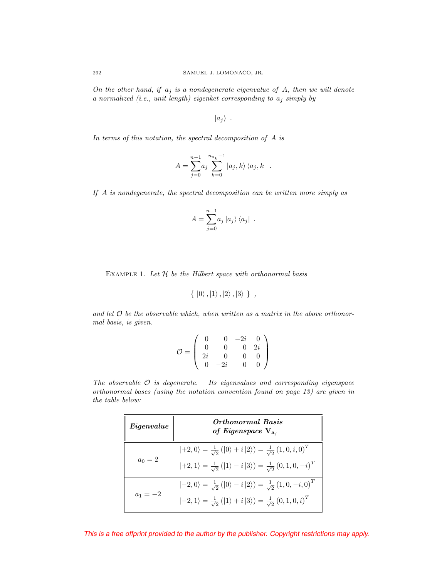On the other hand, if  $a_i$  is a nondegenerate eigenvalue of A, then we will denote a normalized (i.e., unit length) eigenket corresponding to  $a_j$  simply by

 $|a_j\rangle$  .

In terms of this notation, the spectral decomposition of A is

$$
A = \sum_{j=0}^{n-1} a_j \sum_{k=0}^{n_{a_k}-1} |a_j, k\rangle \langle a_j, k|.
$$

If A is nondegenerate, the spectral decomposition can be written more simply as

$$
A = \sum_{j=0}^{n-1} a_j \ket{a_j} \bra{a_j} .
$$

EXAMPLE 1. Let  $H$  be the Hilbert space with orthonormal basis

 $\{ |0\rangle, |1\rangle, |2\rangle, |3\rangle \}$ ,

and let  $\mathcal O$  be the observable which, when written as a matrix in the above orthonormal basis, is given.

$$
\mathcal{O} = \left(\begin{array}{cccc} 0 & 0 & -2i & 0 \\ 0 & 0 & 0 & 2i \\ 2i & 0 & 0 & 0 \\ 0 & -2i & 0 & 0 \end{array}\right)
$$

The observable  $\mathcal O$  is degenerate. Its eigenvalues and corresponding eigenspace orthonormal bases (using the notation convention found on page 13) are given in the table below:

| Eigenvalue | Orthonormal Basis<br>of Eigenspace $V_{a_i}$                                                                                                                                                     |
|------------|--------------------------------------------------------------------------------------------------------------------------------------------------------------------------------------------------|
| $a_0 = 2$  | $ +2,0\rangle = \frac{1}{\sqrt{2}} ( 0\rangle + i  2\rangle) = \frac{1}{\sqrt{2}} (1,0,i,0)^T$<br>$ +2,1\rangle = \frac{1}{\sqrt{2}} ( 1\rangle - i 3\rangle) = \frac{1}{\sqrt{2}} (0,1,0,-i)^T$ |
| $a_1 = -2$ | $\ket{-2,0} = \frac{1}{\sqrt{2}} (\ket{0} - i \ket{2}) = \frac{1}{\sqrt{2}} (1,0,-i,0)^T$<br>$\ket{-2,1} = \frac{1}{\sqrt{2}} (\ket{1} + i \ket{3}) = \frac{1}{\sqrt{2}} (0,1,0,i)^T$            |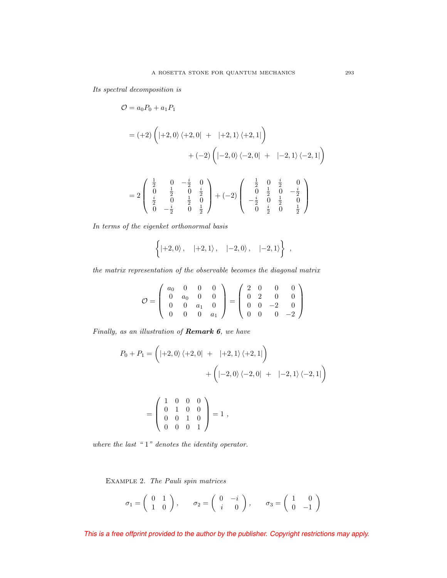Its spectral decomposition is

$$
\mathcal{O} = a_0 P_0 + a_1 P_1
$$
  
= (+2)  $\left( |+2,0\rangle \langle +2,0| + |+2,1\rangle \langle +2,1| \right)$   
+ (-2)  $\left( |-2,0\rangle \langle -2,0| + |-2,1\rangle \langle -2,1| \right)$   
=  $2 \begin{pmatrix} \frac{1}{2} & 0 & -\frac{i}{2} & 0 \\ 0 & \frac{1}{2} & 0 & \frac{i}{2} \\ \frac{i}{2} & 0 & \frac{1}{2} & 0 \\ 0 & -\frac{i}{2} & 0 & \frac{1}{2} \end{pmatrix} + (-2) \begin{pmatrix} \frac{1}{2} & 0 & \frac{i}{2} & 0 \\ 0 & \frac{1}{2} & 0 & -\frac{i}{2} \\ -\frac{i}{2} & 0 & \frac{1}{2} & 0 \\ 0 & \frac{i}{2} & 0 & \frac{1}{2} \end{pmatrix}$ 

In terms of the eigenket orthonormal basis

$$
\left\{ \ket{+2,0}, \quad \ket{+2,1}, \quad \ket{-2,0}, \quad \ket{-2,1} \right\},
$$

the matrix representation of the observable becomes the diagonal matrix

$$
\mathcal{O} = \left( \begin{array}{cccc} a_0 & 0 & 0 & 0 \\ 0 & a_0 & 0 & 0 \\ 0 & 0 & a_1 & 0 \\ 0 & 0 & 0 & a_1 \end{array} \right) = \left( \begin{array}{cccc} 2 & 0 & 0 & 0 \\ 0 & 2 & 0 & 0 \\ 0 & 0 & -2 & 0 \\ 0 & 0 & 0 & -2 \end{array} \right)
$$

Finally, as an illustration of *Remark 6*, we have

$$
P_0 + P_1 = \left( |+2,0\rangle\langle+2,0| + |+2,1\rangle\langle+2,1| \right) + \left( |-2,0\rangle\langle-2,0| + |-2,1\rangle\langle-2,1| \right) = \begin{pmatrix} 1 & 0 & 0 & 0 \\ 0 & 1 & 0 & 0 \\ 0 & 0 & 1 & 0 \\ 0 & 0 & 0 & 1 \end{pmatrix} = 1,
$$

where the last "1" denotes the identity operator.

Example 2. The Pauli spin matrices

$$
\sigma_1 = \begin{pmatrix} 0 & 1 \\ 1 & 0 \end{pmatrix}, \quad \sigma_2 = \begin{pmatrix} 0 & -i \\ i & 0 \end{pmatrix}, \quad \sigma_3 = \begin{pmatrix} 1 & 0 \\ 0 & -1 \end{pmatrix}
$$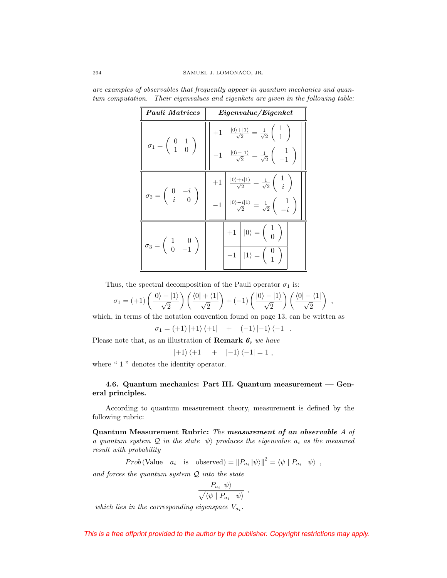| <b>Pauli Matrices</b>                                                     | Eigenvalue/Eigenket                                                                                                   |
|---------------------------------------------------------------------------|-----------------------------------------------------------------------------------------------------------------------|
| $\sigma_1 = \left( \begin{array}{cc} 0 & 1 \\ 1 & 0 \end{array} \right)$  | $+1\left(\frac{ 0\rangle+ 1\rangle}{\sqrt{2}}=\frac{1}{\sqrt{2}}\left(\begin{array}{c}1\\1\end{array}\right)\right)$  |
|                                                                           | $-1\left(\frac{ 0\rangle- 1\rangle}{\sqrt{2}}=\frac{1}{\sqrt{2}}\left(\begin{array}{c}1\\-1\end{array}\right)\right)$ |
| $\sigma_2 = \left( \begin{array}{cc} 0 & -i \\ i & 0 \end{array} \right)$ | $\frac{ 0\rangle+i 1\rangle}{\sqrt{2}}=\frac{1}{\sqrt{2}}\left(\begin{array}{c}1\\i\end{array}\right)$<br>$+1$        |
|                                                                           | $\frac{ 0\rangle-i 1\rangle}{\sqrt{2}}=\frac{1}{\sqrt{2}}\begin{pmatrix} 1\\ -i \end{pmatrix}$<br>$-1$                |
|                                                                           | $+1 \mid  0\rangle = \left(\begin{array}{c} 1 \\ 0 \end{array}\right).$                                               |
| $\sigma_3 = \left(\begin{array}{cc} 1 & 0 \\ 0 & -1 \end{array}\right)$   | $-1$ $ 1\rangle = \begin{pmatrix} 0 \\ 1 \end{pmatrix}$                                                               |

are examples of observables that frequently appear in quantum mechanics and quantum computation. Their eigenvalues and eigenkets are given in the following table:

Thus, the spectral decomposition of the Pauli operator  $\sigma_1$  is:

$$
\sigma_1 = (+1)\left(\frac{|0\rangle + |1\rangle}{\sqrt{2}}\right)\left(\frac{\langle 0| + \langle 1|}{\sqrt{2}}\right) + (-1)\left(\frac{|0\rangle - |1\rangle}{\sqrt{2}}\right)\left(\frac{\langle 0| - \langle 1|}{\sqrt{2}}\right) ,
$$

which, in terms of the notation convention found on page 13, can be written as

$$
\sigma_1 = (+1) |+1\rangle \langle +1| + (-1) |-1\rangle \langle -1|.
$$

Please note that, as an illustration of **Remark** *6,* we have

$$
|+1\rangle\langle+1| + |-1\rangle\langle-1| = 1,
$$

where "1" denotes the identity operator.

# **4.6. Quantum mechanics: Part III. Quantum measurement — General principles.**

According to quantum measurement theory, measurement is defined by the following rubric:

**Quantum Measurement Rubric:** The *measurement of an observable* A of a quantum system Q in the state  $|\psi\rangle$  produces the eigenvalue  $a_i$  as the measured result with probability

 $Prob(\text{Value} \quad a_i \quad \text{is} \quad \text{observed}) = ||P_{a_i} |\psi\rangle||^2 = \langle \psi | P_{a_i} | \psi \rangle$ 

and forces the quantum system  $Q$  into the state

$$
\frac{P_{a_i} |\psi\rangle}{\sqrt{\langle \psi | P_{a_i} | \psi \rangle}} ,
$$

which lies in the corresponding eigenspace  $V_{a_i}$ .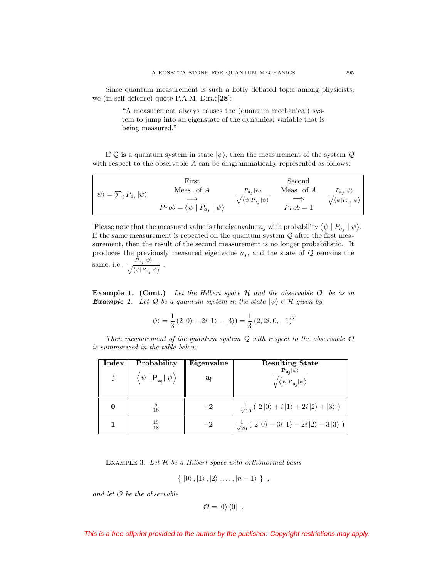Since quantum measurement is such a hotly debated topic among physicists, we (in self-defense) quote P.A.M. Dirac[**28**]:

> "A measurement always causes the (quantum mechanical) system to jump into an eigenstate of the dynamical variable that is being measured."

If Q is a quantum system in state  $|\psi\rangle$ , then the measurement of the system Q with respect to the observable  $A$  can be diagrammatically represented as follows:

|                                              | First                                          |                                                | Second     |                                                |
|----------------------------------------------|------------------------------------------------|------------------------------------------------|------------|------------------------------------------------|
| $ \psi\rangle = \sum_i P_{a_i}  \psi\rangle$ | Meas. of $A$                                   | $P_{a_i} \psi\rangle$                          | Meas. of A | $P_{a} \psi\rangle$                            |
|                                              | $\implies$                                     | $\sqrt{\langle \psi   P_{a_j}   \psi \rangle}$ | $\implies$ | $\sqrt{\langle \psi   P_{a_j}   \psi \rangle}$ |
|                                              | $Prob = \langle \psi   P_{a_i}   \psi \rangle$ |                                                | $Prob=1$   |                                                |

Please note that the measured value is the eigenvalue  $a_j$  with probability  $\langle \psi | P_{a_j} | \psi \rangle$ . If the same measurement is repeated on the quantum system  $\mathcal Q$  after the first measurement, then the result of the second measurement is no longer probabilistic. It produces the previously measured eigenvalue  $a_j$ , and the state of  $\mathcal Q$  remains the same, i.e.,  $\frac{P_{a_j} |\psi\rangle}{\sqrt{\langle \psi | P_{a_j} | \psi \rangle}}$ .

**Example 1. (Cont.)** Let the Hilbert space  $H$  and the observable  $O$  be as in *Example 1.* Let Q be a quantum system in the state  $|\psi\rangle \in \mathcal{H}$  given by

$$
|\psi\rangle = \frac{1}{3} (2 |0\rangle + 2i |1\rangle - |3\rangle) = \frac{1}{3} (2, 2i, 0, -1)^T
$$

Then measurement of the quantum system  $\mathcal{Q}$  with respect to the observable  $\mathcal{O}$ is summarized in the table below:

| Index | Probability                                                                              | Eigenvalue       | <b>Resulting State</b>                                                                                   |
|-------|------------------------------------------------------------------------------------------|------------------|----------------------------------------------------------------------------------------------------------|
|       | $\left\langle\psi\left \left. \mathbf{P}_{\mathbf{a_j}}\right  \psi\right\rangle\right.$ | $a_{j}$          | $\mathbf{P}_{\mathbf{a_i}} \psi\rangle$<br>$\sqrt{\left\langle \psi \mathbf{P_{a_i}} \psi\right\rangle}$ |
|       | $\frac{5}{18}$                                                                           | $+2$             | $\frac{1}{\sqrt{10}}$ ( 2  0) + i  1) + 2i  2) +  3) )                                                   |
|       | $\frac{13}{18}$                                                                          | $-2\phantom{.0}$ | $\frac{1}{\sqrt{26}}$ ( 2  0) + 3 <i>i</i>  1) - 2 <i>i</i>  2) - 3  3) )                                |

EXAMPLE 3. Let  $H$  be a Hilbert space with orthonormal basis

$$
\{ |0\rangle, |1\rangle, |2\rangle, \ldots, |n-1\rangle \} ,
$$

and let  $O$  be the observable

$$
\mathcal{O} = \ket{0}\bra{0} \ .
$$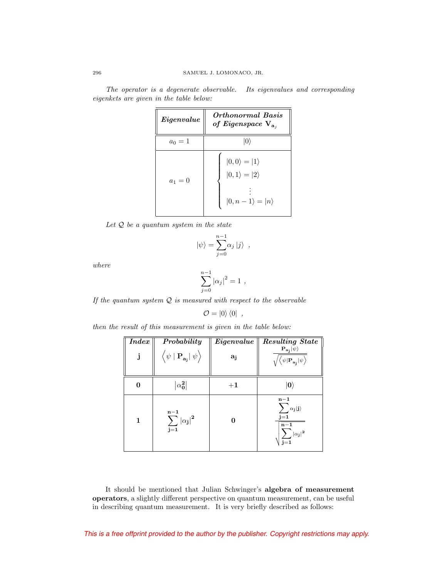The operator is a degenerate observable. Its eigenvalues and corresponding eigenkets are given in the table below:

| Eigenvalue | Orthonormal Basis<br>of Eigenspace $V_{a_i}$                                           |
|------------|----------------------------------------------------------------------------------------|
| $a_0 = 1$  | 10                                                                                     |
| $a_1 = 0$  | $ 0,0\rangle =  1\rangle$<br>$ 0,1\rangle =  2\rangle$<br>$ 0, n-1\rangle =  n\rangle$ |

Let  $Q$  be a quantum system in the state

$$
|\psi\rangle = \sum_{j=0}^{n-1} \alpha_j |j\rangle ,
$$

where

$$
\sum_{j=0}^{n-1} |\alpha_j|^2 = 1 ,
$$

If the quantum system  $Q$  is measured with respect to the observable

$$
\mathcal{O} = \ket{0}\bra{0},
$$

then the result of this measurement is given in the table below:

| <i>Index</i> | Probability                                                           | Eigenvalue | <b>Resulting State</b>                                                                                                            |
|--------------|-----------------------------------------------------------------------|------------|-----------------------------------------------------------------------------------------------------------------------------------|
| $\mathbf{j}$ | $\left\langle \psi\mid\mathbf{P_{a_j}}\right \left.\psi\right\rangle$ | $a_j$      | $\mathbf{P}_{\mathbf{a_j}} \psi\rangle$<br>$\left\langle \psi \mathbf{P_{a_i}} \psi\right\rangle$                                 |
| $\mathbf{0}$ | $ \alpha_0^2 $                                                        | $+1$       | $ 0\rangle$                                                                                                                       |
| 1            | $n-1$<br>$\sum  \alpha_{\bf j} ^2$<br>$j=1$                           |            | $n-1$<br>$\sum_{\alpha_{\bf j} \vert {\bf j} \rangle}$<br>$j=1$<br>$n-1$<br>$\sqrt{ \sum_{\mathbf{i}=1}^{ \alpha_\mathbf{j} ^2}}$ |

It should be mentioned that Julian Schwinger's **algebra of measurement operators**, a slightly different perspective on quantum measurement, can be useful in describing quantum measurement. It is very briefly described as follows: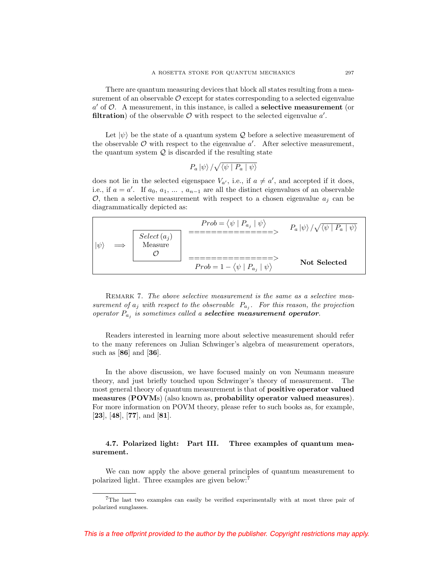There are quantum measuring devices that block all states resulting from a measurement of an observable  $\mathcal O$  except for states corresponding to a selected eigenvalue  $a'$  of  $\mathcal{O}$ . A measurement, in this instance, is called a **selective measurement** (or **filtration**) of the observable  $O$  with respect to the selected eigenvalue  $a'$ .

Let  $|\psi\rangle$  be the state of a quantum system Q before a selective measurement of the observable  $\mathcal O$  with respect to the eigenvalue  $a'$ . After selective measurement, the quantum system  $Q$  is discarded if the resulting state

$$
P_a \ket{\psi}/\sqrt{\bra{\psi}P_a\ket{\psi}}
$$

does not lie in the selected eigenspace  $V_{a'}$ , i.e., if  $a \neq a'$ , and accepted if it does, i.e., if  $a = a'$ . If  $a_0, a_1, \ldots, a_{n-1}$  are all the distinct eigenvalues of an observable  $\mathcal{O}$ , then a selective measurement with respect to a chosen eigenvalue  $a_j$  can be diagrammatically depicted as:

|        |                          | $Prob = \langle \psi   P_{a_i}   \psi \rangle$     | $P_a  \psi\rangle / \sqrt{\langle \psi   P_a   \psi \rangle}$ |
|--------|--------------------------|----------------------------------------------------|---------------------------------------------------------------|
| $\psi$ | $Select(a_j)$<br>Measure |                                                    |                                                               |
|        |                          | $Prob = 1 - \langle \psi   P_{a_i}   \psi \rangle$ | Not Selected                                                  |

REMARK 7. The above selective measurement is the same as a selective measurement of  $a_j$  with respect to the observable  $P_{a_j}$ . For this reason, the projection operator  $P_{a_i}$  is sometimes called a **selective measurement operator**.

Readers interested in learning more about selective measurement should refer to the many references on Julian Schwinger's algebra of measurement operators, such as [**86**] and [**36**].

In the above discussion, we have focused mainly on von Neumann measure theory, and just briefly touched upon Schwinger's theory of measurement. The most general theory of quantum measurement is that of **positive operator valued measures** (**POVM**s) (also known as, **probability operator valued measures**). For more information on POVM theory, please refer to such books as, for example, [**23**], [**48**], [**77**], and [**81**].

# **4.7. Polarized light: Part III. Three examples of quantum measurement.**

We can now apply the above general principles of quantum measurement to polarized light. Three examples are given below:<sup>7</sup>

<sup>7</sup>The last two examples can easily be verified experimentally with at most three pair of polarized sunglasses.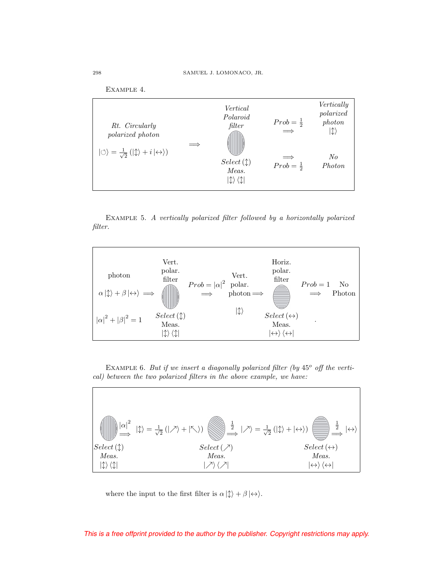Example 4.



Example 5. A vertically polarized filter followed by a horizontally polarized filter.



EXAMPLE 6. But if we insert a diagonally polarized filter (by  $45^{\circ}$  off the vertical) between the two polarized filters in the above example, we have:



where the input to the first filter is  $\alpha |\updownarrow\rangle + \beta |\leftrightarrow\rangle$ .

## This is a free offprint provided to the author by the publisher. Copyright restrictions may apply.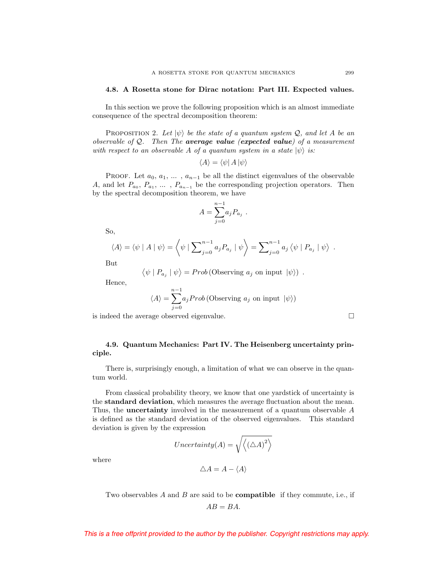#### **4.8. A Rosetta stone for Dirac notation: Part III. Expected values.**

In this section we prove the following proposition which is an almost immediate consequence of the spectral decomposition theorem:

PROPOSITION 2. Let  $|\psi\rangle$  be the state of a quantum system Q, and let A be an observable of Q. Then The *average value* (*expected value*) of a measurement with respect to an observable A of a quantum system in a state  $|\psi\rangle$  is:

$$
\langle A \rangle = \langle \psi | A | \psi \rangle
$$

PROOF. Let  $a_0, a_1, \ldots, a_{n-1}$  be all the distinct eigenvalues of the observable A, and let  $P_{a_0}, P_{a_1}, \ldots, P_{a_{n-1}}$  be the corresponding projection operators. Then by the spectral decomposition theorem, we have

$$
A = \sum_{j=0}^{n-1} a_j P_{a_j} .
$$

So,

$$
\langle A \rangle = \langle \psi \mid A \mid \psi \rangle = \left\langle \psi \mid \sum_{j=0}^{n-1} a_j P_{a_j} \mid \psi \right\rangle = \sum_{j=0}^{n-1} a_j \langle \psi \mid P_{a_j} \mid \psi \rangle .
$$

But

$$
\langle \psi | P_{a_j} | \psi \rangle = Prob(\text{Observing } a_j \text{ on input } |\psi \rangle) .
$$

Hence,

$$
\langle A \rangle = \sum_{j=0}^{n-1} a_j Prob \left( \text{Observing } a_j \text{ on input } |\psi \rangle \right)
$$

is indeed the average observed eigenvalue.

# **4.9. Quantum Mechanics: Part IV. The Heisenberg uncertainty principle.**

There is, surprisingly enough, a limitation of what we can observe in the quantum world.

From classical probability theory, we know that one yardstick of uncertainty is the **standard deviation**, which measures the average fluctuation about the mean. Thus, the **uncertainty** involved in the measurement of a quantum observable A is defined as the standard deviation of the observed eigenvalues. This standard deviation is given by the expression

$$
Uncertainty(A) = \sqrt{\langle (\triangle A)^2 \rangle}
$$

where

$$
\triangle A = A - \langle A \rangle
$$

Two observables A and B are said to be **compatible** if they commute, i.e., if  $AB = BA$ .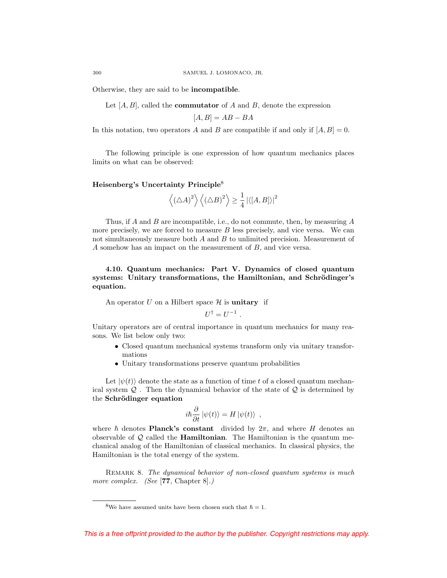Otherwise, they are said to be **incompatible**.

Let  $[A, B]$ , called the **commutator** of A and B, denote the expression

$$
[A, B] = AB - BA
$$

In this notation, two operators A and B are compatible if and only if  $[A, B] = 0$ .

The following principle is one expression of how quantum mechanics places limits on what can be observed:

#### **Heisenberg's Uncertainty Principle**<sup>8</sup>

$$
\langle (\triangle A)^2 \rangle \langle (\triangle B)^2 \rangle \ge \frac{1}{4} |\langle [A, B] \rangle|^2
$$

Thus, if A and B are incompatible, i.e., do not commute, then, by measuring  $A$ more precisely, we are forced to measure  $B$  less precisely, and vice versa. We can not simultaneously measure both A and B to unlimited precision. Measurement of A somehow has an impact on the measurement of B, and vice versa.

**4.10. Quantum mechanics: Part V. Dynamics of closed quantum** systems: Unitary transformations, the Hamiltonian, and Schrödinger's **equation.**

An operator  $U$  on a Hilbert space  $\mathcal H$  is **unitary** if

$$
U^{\dagger} = U^{-1} .
$$

Unitary operators are of central importance in quantum mechanics for many reasons. We list below only two:

- Closed quantum mechanical systems transform only via unitary transformations
- Unitary transformations preserve quantum probabilities

Let  $|\psi(t)\rangle$  denote the state as a function of time t of a closed quantum mechanical system  $\mathcal Q$ . Then the dynamical behavior of the state of  $\mathcal Q$  is determined by the **Schr¨odinger equation**

$$
i\hbar\frac{\partial}{\partial t}\left|\psi(t)\right\rangle=H\left|\psi(t)\right\rangle\;,
$$

where  $\hbar$  denotes **Planck's constant** divided by  $2\pi$ , and where H denotes an observable of Q called the **Hamiltonian**. The Hamiltonian is the quantum mechanical analog of the Hamiltonian of classical mechanics. In classical physics, the Hamiltonian is the total energy of the system.

REMARK 8. The dynamical behavior of non-closed quantum systems is much more complex. (See [**77**, Chapter 8].)

<sup>&</sup>lt;sup>8</sup>We have assumed units have been chosen such that  $\hbar = 1$ .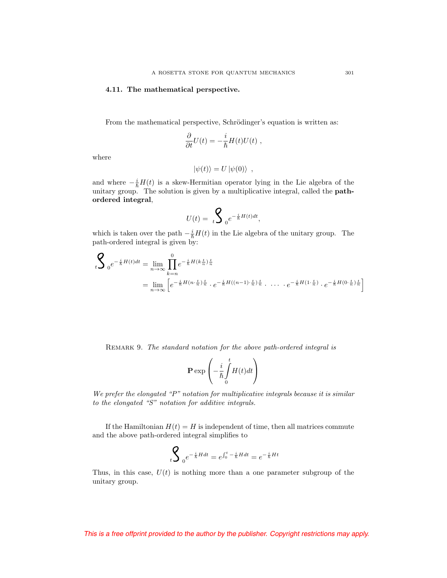#### **4.11. The mathematical perspective.**

From the mathematical perspective, Schrödinger's equation is written as:

$$
\frac{\partial}{\partial t}U(t) = -\frac{i}{\hbar}H(t)U(t) ,
$$

where

$$
|\psi(t)\rangle = U |\psi(0)\rangle ,
$$

and where  $-\frac{i}{\hbar}H(t)$  is a skew-Hermitian operator lying in the Lie algebra of the unitary group. The solution is given by a multiplicative integral, called the **pathordered integral**,

$$
U(t) = \sum_{t=0}^{t} e^{-\frac{i}{\hbar}H(t)dt},
$$

which is taken over the path  $-\frac{i}{\hbar}H(t)$  in the Lie algebra of the unitary group. The path-ordered integral is given by:

$$
\begin{split} \sum_{t} \sum_{n \to \infty} e^{-\frac{i}{\hbar}H(t)dt} &= \lim_{n \to \infty} \prod_{k=n}^{0} e^{-\frac{i}{\hbar}H(k\frac{t}{n})\frac{t}{n}} \\ &= \lim_{n \to \infty} \left[ e^{-\frac{i}{\hbar}H(n\cdot\frac{t}{n})\frac{t}{n}} \cdot e^{-\frac{i}{\hbar}H((n-1)\cdot\frac{t}{n})\frac{t}{n}} \cdot \cdots \cdot e^{-\frac{i}{\hbar}H(1\cdot\frac{t}{n})} \cdot e^{-\frac{i}{\hbar}H(0\cdot\frac{t}{n})\frac{t}{n}} \right] \end{split}
$$

REMARK 9. The standard notation for the above path-ordered integral is

$$
\mathbf{P} \exp \left( -\frac{i}{\hbar} \int\limits_{0}^{t} H(t) dt \right)
$$

We prefer the elongated "P" notation for multiplicative integrals because it is similar to the elongated "S" notation for additive integrals.

If the Hamiltonian  $H(t) = H$  is independent of time, then all matrices commute and the above path-ordered integral simplifies to

$$
\int_{t}^{t} \int_{0}^{t} e^{-\frac{i}{\hbar}H dt} = e^{\int_{0}^{t} -\frac{i}{\hbar}H dt} = e^{-\frac{i}{\hbar}Ht}
$$

Thus, in this case,  $U(t)$  is nothing more than a one parameter subgroup of the unitary group.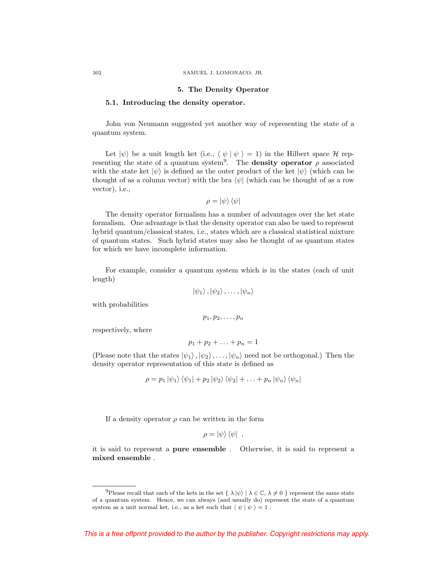#### **5. The Density Operator**

#### **5.1. Introducing the density operator.**

John von Neumann suggested yet another way of representing the state of a quantum system.

Let  $|\psi\rangle$  be a unit length ket (i.e.,  $\langle \psi | \psi \rangle = 1$ ) in the Hilbert space H representing the state of a quantum system<sup>9</sup>. The **density operator**  $\rho$  associated with the state ket  $|\psi\rangle$  is defined as the outer product of the ket  $|\psi\rangle$  (which can be thought of as a column vector) with the bra  $\psi$  (which can be thought of as a row vector), i.e.,

$$
\rho = \ket{\psi}\bra{\psi}
$$

The density operator formalism has a number of advantages over the ket state formalism. One advantage is that the density operator can also be used to represent hybrid quantum/classical states, i.e., states which are a classical statistical mixture of quantum states. Such hybrid states may also be thought of as quantum states for which we have incomplete information.

For example, consider a quantum system which is in the states (each of unit length)

$$
\ket{\psi_1}, \ket{\psi_2}, \ldots, \ket{\psi_n}
$$

with probabilities

 $p_1, p_2, \ldots, p_n$ 

respectively, where

$$
p_1+p_2+\ldots+p_n=1
$$

(Please note that the states  $|\psi_1\rangle, |\psi_2\rangle, \dots, |\psi_n\rangle$  need not be orthogonal.) Then the density operator representation of this state is defined as

$$
\rho = p_1 \ket{\psi_1} \bra{\psi_1} + p_2 \ket{\psi_2} \bra{\psi_2} + \ldots + p_n \ket{\psi_n} \bra{\psi_n}
$$

If a density operator  $\rho$  can be written in the form

$$
\rho = \ket{\psi}\bra{\psi},
$$

it is said to represent a **pure ensemble** . Otherwise, it is said to represent a **mixed ensemble** .

<sup>&</sup>lt;sup>9</sup>Please recall that each of the kets in the set  $\{\lambda|\psi\rangle \mid \lambda \in \mathbb{C}, \lambda \neq 0\}$  represent the same state of a quantum system. Hence, we can always (and usually do) represent the state of a quantum system as a unit normal ket, i.e., as a ket such that  $\langle \psi | \psi \rangle = 1$ .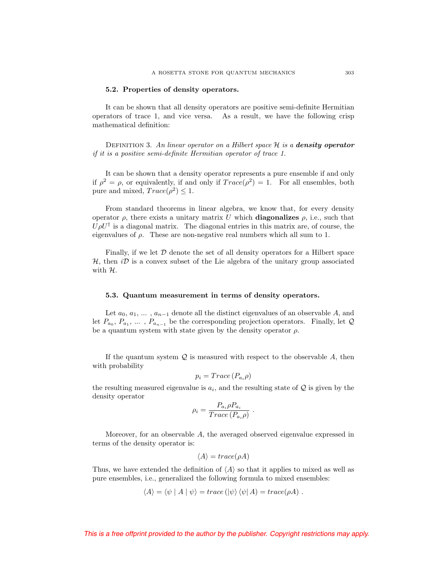#### **5.2. Properties of density operators.**

It can be shown that all density operators are positive semi-definite Hermitian operators of trace 1, and vice versa. As a result, we have the following crisp mathematical definition:

Definition 3. An linear operator on a Hilbert space H is a *density operator* if it is a positive semi-definite Hermitian operator of trace 1.

It can be shown that a density operator represents a pure ensemble if and only if  $\rho^2 = \rho$ , or equivalently, if and only if  $Trace(\rho^2) = 1$ . For all ensembles, both pure and mixed,  $Trace(\rho^2) \leq 1$ .

From standard theorems in linear algebra, we know that, for every density operator  $\rho$ , there exists a unitary matrix U which **diagonalizes**  $\rho$ , i.e., such that  $U \rho U^{\dagger}$  is a diagonal matrix. The diagonal entries in this matrix are, of course, the eigenvalues of  $\rho$ . These are non-negative real numbers which all sum to 1.

Finally, if we let  $D$  denote the set of all density operators for a Hilbert space  $H$ , then iD is a convex subset of the Lie algebra of the unitary group associated with  $H$ .

#### **5.3. Quantum measurement in terms of density operators.**

Let  $a_0, a_1, \ldots, a_{n-1}$  denote all the distinct eigenvalues of an observable A, and let  $P_{a_0}, P_{a_1}, \ldots, P_{a_{n-1}}$  be the corresponding projection operators. Finally, let  $\mathcal Q$ be a quantum system with state given by the density operator  $\rho$ .

If the quantum system  $Q$  is measured with respect to the observable  $A$ , then with probability

$$
p_i = Trace(P_{a_i} \rho)
$$

the resulting measured eigenvalue is  $a_i$ , and the resulting state of  $\mathcal Q$  is given by the density operator

$$
\rho_i = \frac{P_{a_i} \rho P_{a_i}}{Trace(P_{a_i} \rho)}.
$$

Moreover, for an observable A, the averaged observed eigenvalue expressed in terms of the density operator is:

$$
\langle A \rangle = trace(\rho A)
$$

Thus, we have extended the definition of  $\langle A \rangle$  so that it applies to mixed as well as pure ensembles, i.e., generalized the following formula to mixed ensembles:

$$
\langle A \rangle = \langle \psi | A | \psi \rangle = trace (\langle \psi \rangle \langle \psi | A) = trace(\rho A) .
$$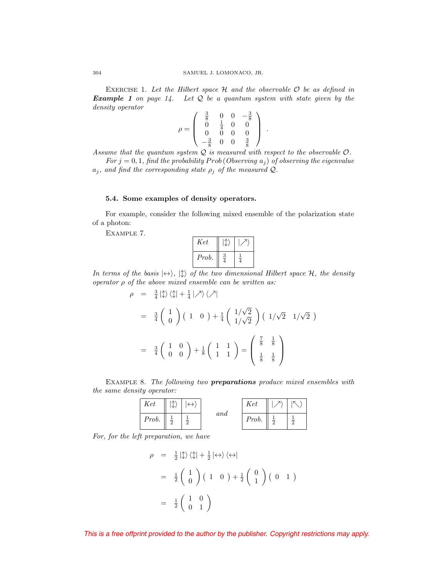EXERCISE 1. Let the Hilbert space  $H$  and the observable  $O$  be as defined in **Example 1** on page 14. Let Q be a quantum system with state given by the density operator

$$
\rho = \left(\begin{array}{cccc} \frac{3}{8} & 0 & 0 & -\frac{3}{8} \\ 0 & \frac{1}{4} & 0 & 0 \\ 0 & 0 & 0 & 0 \\ -\frac{3}{8} & 0 & 0 & \frac{3}{8} \end{array}\right) .
$$

Assume that the quantum system  $Q$  is measured with respect to the observable  $O$ .

For  $j = 0, 1$ , find the probability Prob (Observing  $a_j$ ) of observing the eigenvalue  $a_i$ , and find the corresponding state  $\rho_i$  of the measured  $\mathcal{Q}$ .

#### **5.4. Some examples of density operators.**

For example, consider the following mixed ensemble of the polarization state of a photon:

Example 7.

| Ket   |   |  |
|-------|---|--|
| Prob. | 3 |  |

In terms of the basis  $\langle \leftrightarrow \rangle$ ,  $\langle \updownarrow \rangle$  of the two dimensional Hilbert space H, the density operator  $\rho$  of the above mixed ensemble can be written as:

$$
\rho = \frac{3}{4} |\updownarrow\rangle \langle \updownarrow| + \frac{1}{4} |\nearrow\rangle \langle \nearrow|
$$
  
\n
$$
= \frac{3}{4} \begin{pmatrix} 1 \\ 0 \end{pmatrix} \begin{pmatrix} 1 & 0 \end{pmatrix} + \frac{1}{4} \begin{pmatrix} 1/\sqrt{2} \\ 1/\sqrt{2} \end{pmatrix} \begin{pmatrix} 1/\sqrt{2} & 1/\sqrt{2} \end{pmatrix}
$$
  
\n
$$
= \frac{3}{4} \begin{pmatrix} 1 & 0 \\ 0 & 0 \end{pmatrix} + \frac{1}{8} \begin{pmatrix} 1 & 1 \\ 1 & 1 \end{pmatrix} = \begin{pmatrix} \frac{7}{8} & \frac{1}{8} \\ \frac{1}{8} & \frac{1}{8} \end{pmatrix}
$$

Example 8. The following two *preparations* produce mixed ensembles with the same density operator:

| Ket   | 1个'<br>$\downarrow \downarrow$ |                |     | Ket   |               |                |
|-------|--------------------------------|----------------|-----|-------|---------------|----------------|
| Prob. | $\frac{1}{2}$                  | $\overline{2}$ | and | Prob. | $\frac{1}{2}$ | $\overline{a}$ |

For, for the left preparation, we have

$$
\rho = \frac{1}{2} |\updownarrow\rangle \langle \updownarrow| + \frac{1}{2} |\leftrightarrow\rangle \langle \leftrightarrow|
$$
  
=  $\frac{1}{2} \begin{pmatrix} 1 \\ 0 \end{pmatrix} (1 \ 0) + \frac{1}{2} \begin{pmatrix} 0 \\ 1 \end{pmatrix} (0 \ 1)$   
=  $\frac{1}{2} \begin{pmatrix} 1 & 0 \\ 0 & 1 \end{pmatrix}$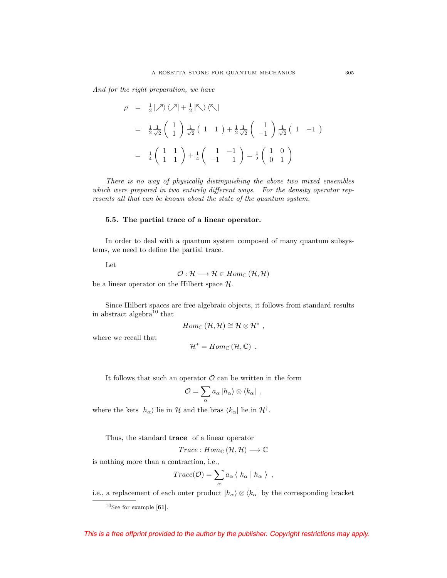And for the right preparation, we have

$$
\rho = \frac{1}{2} |\mathcal{N} \rangle \langle \mathcal{N}| + \frac{1}{2} |\mathcal{N} \rangle \langle \mathcal{N}|
$$
  
\n
$$
= \frac{1}{2} \frac{1}{\sqrt{2}} \begin{pmatrix} 1 \\ 1 \end{pmatrix} \frac{1}{\sqrt{2}} \begin{pmatrix} 1 & 1 \end{pmatrix} + \frac{1}{2} \frac{1}{\sqrt{2}} \begin{pmatrix} 1 \\ -1 \end{pmatrix} \frac{1}{\sqrt{2}} \begin{pmatrix} 1 & -1 \end{pmatrix}
$$
  
\n
$$
= \frac{1}{4} \begin{pmatrix} 1 & 1 \\ 1 & 1 \end{pmatrix} + \frac{1}{4} \begin{pmatrix} 1 & -1 \\ -1 & 1 \end{pmatrix} = \frac{1}{2} \begin{pmatrix} 1 & 0 \\ 0 & 1 \end{pmatrix}
$$

There is no way of physically distinguishing the above two mixed ensembles which were prepared in two entirely different ways. For the density operator represents all that can be known about the state of the quantum system.

#### **5.5. The partial trace of a linear operator.**

In order to deal with a quantum system composed of many quantum subsystems, we need to define the partial trace.

Let

$$
\mathcal{O}:\mathcal{H}\longrightarrow\mathcal{H}\in\mathit{Hom}_{\mathbb{C}}\left(\mathcal{H},\mathcal{H}\right)
$$

be a linear operator on the Hilbert space H.

Since Hilbert spaces are free algebraic objects, it follows from standard results in abstract algebra $^{10}$  that

$$
Hom_{\mathbb{C}}(\mathcal{H},\mathcal{H})\cong \mathcal{H}\otimes \mathcal{H}^*,
$$

where we recall that

$$
\mathcal{H}^* = Hom_{\mathbb{C}}(\mathcal{H}, \mathbb{C}) .
$$

It follows that such an operator  $\mathcal O$  can be written in the form

$$
\mathcal{O} = \sum_{\alpha} a_{\alpha} |h_{\alpha}\rangle \otimes \langle k_{\alpha} | ,
$$

where the kets  $|h_{\alpha}\rangle$  lie in H and the bras  $\langle k_{\alpha}|$  lie in  $\mathcal{H}^{\dagger}$ .

Thus, the standard **trace** of a linear operator

$$
Trace: Hom_{\mathbb{C}}(\mathcal{H}, \mathcal{H}) \longrightarrow \mathbb{C}
$$

is nothing more than a contraction, i.e.,

$$
Trace(\mathcal{O}) = \sum_{\alpha} a_{\alpha} \langle k_{\alpha} | h_{\alpha} \rangle ,
$$

i.e., a replacement of each outer product  $|h_{\alpha}\rangle \otimes \langle k_{\alpha}|$  by the corresponding bracket

 $^{10}\mathrm{See}$  for example  $[\mathbf{61}].$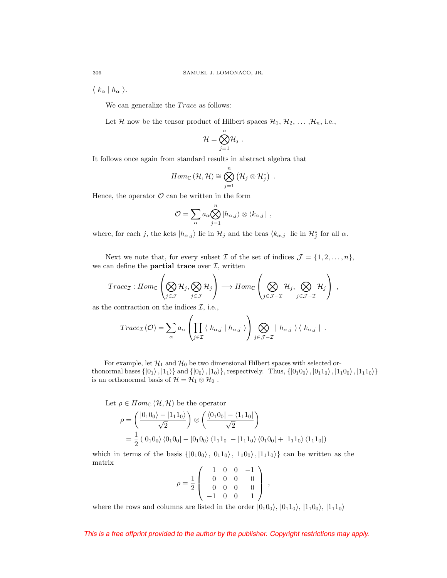$\langle k_{\alpha} | h_{\alpha} \rangle$ .

We can generalize the  $Trace$  as follows:

Let H now be the tensor product of Hilbert spaces  $\mathcal{H}_1, \mathcal{H}_2, \ldots, \mathcal{H}_n$ , i.e.,

$$
\mathcal{H}=\bigotimes_{j=1}^n\mathcal{H}_j.
$$

It follows once again from standard results in abstract algebra that

$$
Hom_{\mathbb{C}}(\mathcal{H},\mathcal{H})\cong \bigotimes_{j=1}^n (\mathcal{H}_j\otimes \mathcal{H}_j^*)\ .
$$

Hence, the operator  $\mathcal O$  can be written in the form

$$
\mathcal{O} = \sum_{\alpha} a_{\alpha} \bigotimes_{j=1}^{n} |h_{\alpha,j}\rangle \otimes \langle k_{\alpha,j}| \ ,
$$

where, for each j, the kets  $|h_{\alpha,j}\rangle$  lie in  $\mathcal{H}_j$  and the bras  $\langle k_{\alpha,j}|$  lie in  $\mathcal{H}_j^*$  for all  $\alpha$ .

Next we note that, for every subset  $\mathcal I$  of the set of indices  $\mathcal J = \{1, 2, \ldots, n\},$ we can define the **partial trace** over  $I$ , written

$$
Trace_{\mathcal{I}}: Hom_{\mathbb{C}}\left(\bigotimes_{j\in\mathcal{J}}\mathcal{H}_{j}, \bigotimes_{j\in\mathcal{J}}\mathcal{H}_{j}\right) \longrightarrow Hom_{\mathbb{C}}\left(\bigotimes_{j\in\mathcal{J}-\mathcal{I}}\mathcal{H}_{j}, \bigotimes_{j\in\mathcal{J}-\mathcal{I}}\mathcal{H}_{j}\right) ,
$$

as the contraction on the indices  $\mathcal{I}$ , i.e.,

$$
Trace_{\mathcal{I}}(\mathcal{O}) = \sum_{\alpha} a_{\alpha} \left( \prod_{j \in \mathcal{I}} \langle k_{\alpha,j} | h_{\alpha,j} \rangle \right) \bigotimes_{j \in \mathcal{J} - \mathcal{I}} | h_{\alpha,j} \rangle \langle k_{\alpha,j} |.
$$

For example, let  $\mathcal{H}_1$  and  $\mathcal{H}_0$  be two dimensional Hilbert spaces with selected orthonormal bases  $\{|0_1\rangle, |1_1\rangle\}$  and  $\{|0_0\rangle, |1_0\rangle\}$ , respectively. Thus,  $\{|0_10_0\rangle, |0_11_0\rangle, |1_10_0\rangle, |1_11_0\rangle\}$ is an orthonormal basis of  $\mathcal{H} = \mathcal{H}_1 \otimes \mathcal{H}_0$  .

Let 
$$
\rho \in Hom_{\mathbb{C}}(\mathcal{H}, \mathcal{H})
$$
 be the operator  
\n
$$
\rho = \left(\frac{|0_1 0_0\rangle - |1_1 1_0\rangle}{\sqrt{2}}\right) \otimes \left(\frac{\langle 0_1 0_0| - \langle 1_1 1_0|}{\sqrt{2}}\right)
$$
\n
$$
= \frac{1}{2} \left(|0_1 0_0\rangle \langle 0_1 0_0| - |0_1 0_0\rangle \langle 1_1 1_0| - |1_1 1_0\rangle \langle 0_1 0_0| + |1_1 1_0\rangle \langle 1_1 1_0| \right)
$$

which in terms of the basis  $\{|0_10_0\rangle, |0_11_0\rangle, |1_10_0\rangle, |1_11_0\rangle\}$  can be written as the matrix

$$
\rho = \frac{1}{2} \left( \begin{array}{rrrr} 1 & 0 & 0 & -1 \\ 0 & 0 & 0 & 0 \\ 0 & 0 & 0 & 0 \\ -1 & 0 & 0 & 1 \end{array} \right) ,
$$

where the rows and columns are listed in the order  $|0_10_0\rangle, |0_11_0\rangle, |1_10_0\rangle, |1_11_0\rangle$ 

## This is a free offprint provided to the author by the publisher. Copyright restrictions may apply.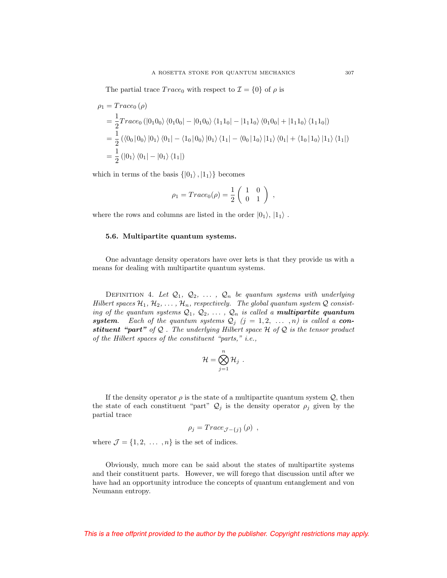The partial trace  $Trace_0$  with respect to  $\mathcal{I} = \{0\}$  of  $\rho$  is

$$
\rho_1 = Trace_0 (\rho)
$$
  
=  $\frac{1}{2} Trace_0 (|0_1 0_0\rangle \langle 0_1 0_0| - |0_1 0_0\rangle \langle 1_1 1_0| - |1_1 1_0\rangle \langle 0_1 0_0| + |1_1 1_0\rangle \langle 1_1 1_0|)$   
=  $\frac{1}{2} (\langle 0_0 | 0_0 \rangle |0_1 \rangle \langle 0_1| - \langle 1_0 | 0_0 \rangle |0_1 \rangle \langle 1_1| - \langle 0_0 | 1_0 \rangle |1_1 \rangle \langle 0_1| + \langle 1_0 | 1_0 \rangle |1_1 \rangle \langle 1_1|)$   
=  $\frac{1}{2} (|0_1\rangle \langle 0_1| - |0_1 \rangle \langle 1_1|)$ 

which in terms of the basis  $\{|0_1\rangle, |1_1\rangle\}$  becomes

$$
\rho_1 = Trace_0(\rho) = \frac{1}{2} \begin{pmatrix} 1 & 0 \\ 0 & 1 \end{pmatrix} ,
$$

where the rows and columns are listed in the order  $|0_1\rangle, |1_1\rangle$ .

## **5.6. Multipartite quantum systems.**

One advantage density operators have over kets is that they provide us with a means for dealing with multipartite quantum systems.

DEFINITION 4. Let  $Q_1, Q_2, \ldots, Q_n$  be quantum systems with underlying Hilbert spaces  $\mathcal{H}_1, \mathcal{H}_2, \ldots, \mathcal{H}_n$ , respectively. The global quantum system  $\mathcal Q$  consisting of the quantum systems  $Q_1, Q_2, \ldots, Q_n$  is called a **multipartite quantum system**. Each of the quantum systems  $Q_j$  ( $j = 1, 2, \ldots, n$ ) is called a **constituent "part"** of  $Q$ . The underlying Hilbert space  $H$  of  $Q$  is the tensor product of the Hilbert spaces of the constituent "parts," i.e.,

$$
\mathcal{H}=\bigotimes_{j=1}^n\mathcal{H}_j\ .
$$

If the density operator  $\rho$  is the state of a multipartite quantum system  $\mathcal{Q}$ , then the state of each constituent "part"  $\mathcal{Q}_j$  is the density operator  $\rho_j$  given by the partial trace

$$
\rho_j = Trace_{\mathcal{J} - \{j\}}(\rho) ,
$$

where  $\mathcal{J} = \{1, 2, \ldots, n\}$  is the set of indices.

Obviously, much more can be said about the states of multipartite systems and their constituent parts. However, we will forego that discussion until after we have had an opportunity introduce the concepts of quantum entanglement and von Neumann entropy.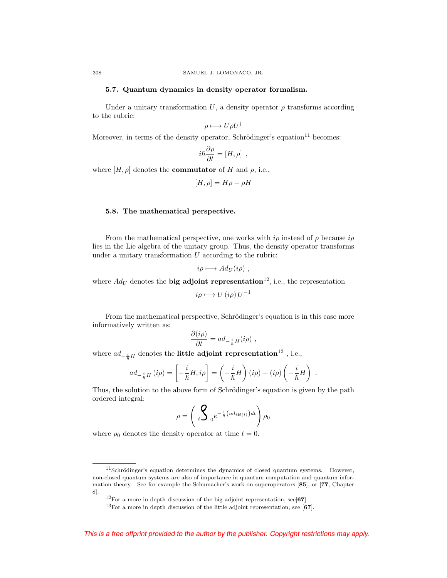## **5.7. Quantum dynamics in density operator formalism.**

Under a unitary transformation U, a density operator  $\rho$  transforms according to the rubric:

$$
\rho \longmapsto U \rho U^{\dagger}
$$

Moreover, in terms of the density operator, Schrödinger's equation $^{11}$  becomes:

$$
i\hbar \frac{\partial \rho}{\partial t} = [H, \rho] ,
$$

where  $[H, \rho]$  denotes the **commutator** of H and  $\rho$ , i.e.,

$$
[H,\rho]=H\rho-\rho H
$$

#### **5.8. The mathematical perspective.**

From the mathematical perspective, one works with  $i\rho$  instead of  $\rho$  because  $i\rho$ lies in the Lie algebra of the unitary group. Thus, the density operator transforms under a unitary transformation  $U$  according to the rubric:

$$
i\rho \longmapsto Ad_U(i\rho) ,
$$

where  $Ad<sub>U</sub>$  denotes the **big adjoint representation**<sup>12</sup>, i.e., the representation

$$
i\rho \longmapsto U(i\rho) U^{-1}
$$

From the mathematical perspective, Schrödinger's equation is in this case more informatively written as:

$$
\frac{\partial(i\rho)}{\partial t} = ad_{-\frac{i}{\hbar}H}(i\rho) ,
$$

where  $ad_{-\frac{i}{\hbar}H}$  denotes the **little adjoint representation**<sup>13</sup>, i.e.,

$$
ad_{-\frac{i}{\hbar}H}(i\rho) = \left[-\frac{i}{\hbar}H, i\rho\right] = \left(-\frac{i}{\hbar}H\right)(i\rho) - (i\rho)\left(-\frac{i}{\hbar}H\right) .
$$

Thus, the solution to the above form of Schrödinger's equation is given by the path ordered integral:

$$
\rho = \left(\sum_{t} \sum_{0} e^{-\frac{1}{\hbar} \left(a d_{i H(t)}\right) dt}\right) \rho_0
$$

where  $\rho_0$  denotes the density operator at time  $t = 0$ .

 $^{11}$ Schrödinger's equation determines the dynamics of closed quantum systems. However, non-closed quantum systems are also of importance in quantum computation and quantum information theory. See for example the Schumacher's work on superoperators [**85**], or [**77**, Chapter 8].

<sup>12</sup>For a more in depth discussion of the big adjoint representation, see[**67**].

<sup>13</sup>For a more in depth discussion of the little adjoint representation, see [**67**].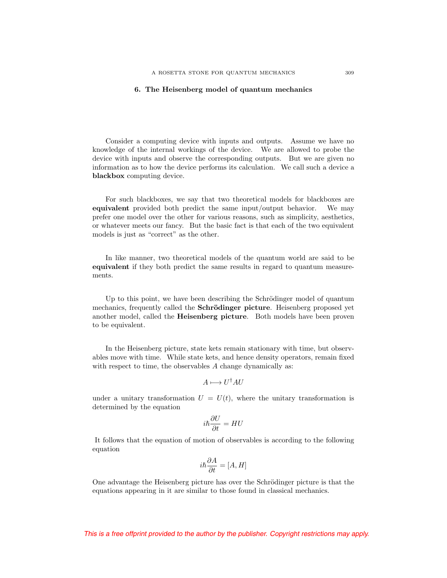#### **6. The Heisenberg model of quantum mechanics**

Consider a computing device with inputs and outputs. Assume we have no knowledge of the internal workings of the device. We are allowed to probe the device with inputs and observe the corresponding outputs. But we are given no information as to how the device performs its calculation. We call such a device a **blackbox** computing device.

For such blackboxes, we say that two theoretical models for blackboxes are **equivalent** provided both predict the same input/output behavior. We may prefer one model over the other for various reasons, such as simplicity, aesthetics, or whatever meets our fancy. But the basic fact is that each of the two equivalent models is just as "correct" as the other.

In like manner, two theoretical models of the quantum world are said to be **equivalent** if they both predict the same results in regard to quantum measurements.

Up to this point, we have been describing the Schrödinger model of quantum mechanics, frequently called the **Schrödinger picture**. Heisenberg proposed yet another model, called the **Heisenberg picture**. Both models have been proven to be equivalent.

In the Heisenberg picture, state kets remain stationary with time, but observables move with time. While state kets, and hence density operators, remain fixed with respect to time, the observables A change dynamically as:

$$
A \longmapsto U^{\dagger}AU
$$

under a unitary transformation  $U = U(t)$ , where the unitary transformation is determined by the equation

$$
i\hbar \frac{\partial U}{\partial t} = H U
$$

It follows that the equation of motion of observables is according to the following equation

$$
i\hbar \frac{\partial A}{\partial t} = [A, H]
$$

One advantage the Heisenberg picture has over the Schrödinger picture is that the equations appearing in it are similar to those found in classical mechanics.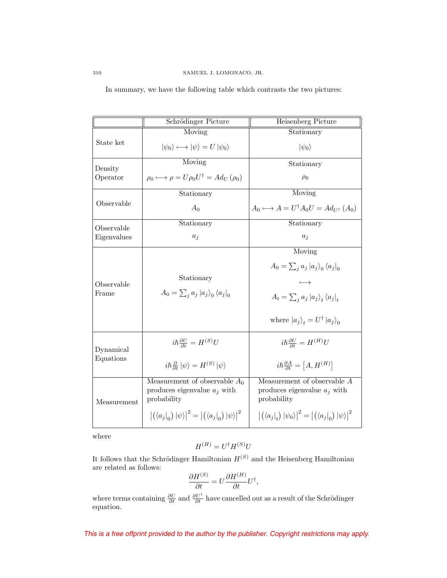In summary, we have the following table which contrasts the two pictures:

|                        | Schrödinger Picture                                                                                                                                   | Heisenberg Picture                                                                                                                                   |
|------------------------|-------------------------------------------------------------------------------------------------------------------------------------------------------|------------------------------------------------------------------------------------------------------------------------------------------------------|
|                        | Moving                                                                                                                                                | Stationary                                                                                                                                           |
| State ket              | $ \psi_0\rangle \longmapsto  \psi\rangle = U  \psi_0\rangle$                                                                                          | $ \psi_0\rangle$                                                                                                                                     |
| Density                | Moving                                                                                                                                                | Stationary                                                                                                                                           |
| Operator               | $\rho_0 \mapsto \rho = U \rho_0 U^{\dagger} = Ad_U(\rho_0)$                                                                                           | $\rho_0$                                                                                                                                             |
|                        | Stationary                                                                                                                                            | Moving                                                                                                                                               |
| Observable             | $A_0$                                                                                                                                                 | $A_0 \longmapsto A = U^{\dagger} A_0 U = A d_{U^{\dagger}} (A_0)$                                                                                    |
| Observable             | Stationary                                                                                                                                            | Stationary                                                                                                                                           |
| Eigenvalues            | $a_j$                                                                                                                                                 | $a_j$                                                                                                                                                |
|                        |                                                                                                                                                       | Moving                                                                                                                                               |
|                        |                                                                                                                                                       | $A_0 = \sum_i a_i  a_i\rangle_0 \langle a_i _0$                                                                                                      |
| Observable             | Stationary                                                                                                                                            |                                                                                                                                                      |
| Frame                  | $A_0 = \sum_i a_i  a_i\rangle_0 \langle a_i _0$                                                                                                       | $A_t = \sum_i a_i  a_j\rangle_t \langle a_j _t$                                                                                                      |
|                        |                                                                                                                                                       | where $ a_i\rangle_t = U^{\dagger}  a_i\rangle_0$                                                                                                    |
| Dynamical<br>Equations | $i\hbar \frac{\partial U}{\partial t} = H^{(S)}U$                                                                                                     | $i\hbar \frac{\partial U}{\partial t} = H^{(H)}U$                                                                                                    |
|                        | $i\hbar \frac{\partial}{\partial t} \psi\rangle = H^{(S)} \psi\rangle$                                                                                | $i\hbar \frac{\partial A}{\partial t} = [A, H^{(H)}]$                                                                                                |
| Measurement            | Measurement of observable $A_0$<br>produces eigenvalue $a_i$ with<br>probability                                                                      | Measurement of observable $A$<br>produces eigenvalue $a_i$ with<br>probability                                                                       |
|                        | $\left  \left( \langle a_i  _{\alpha} \rangle  \psi \rangle \right ^2 = \left  \left( \langle a_i  _{\alpha} \rangle  \psi \rangle \right ^2 \right $ | $\left  \left( \langle a_i  _{\mu} \rangle  \psi_0 \rangle \right ^2 = \left  \left( \langle a_i  _{\alpha} \rangle  \psi \rangle \right ^2 \right $ |

where

$$
H^{(H)} = U^{\dagger} H^{(S)} U
$$

It follows that the Schrödinger Hamiltonian  $H^{(S)}$  and the Heisenberg Hamiltonian are related as follows:

$$
\frac{\partial H^{(S)}}{\partial t} = U \frac{\partial H^{(H)}}{\partial t} U^{\dagger},
$$

where terms containing  $\frac{\partial U}{\partial t}$  and  $\frac{\partial U^{\dagger}}{\partial t}$  have cancelled out as a result of the Schrödinger equation.

# This is a free offprint provided to the author by the publisher. Copyright restrictions may apply.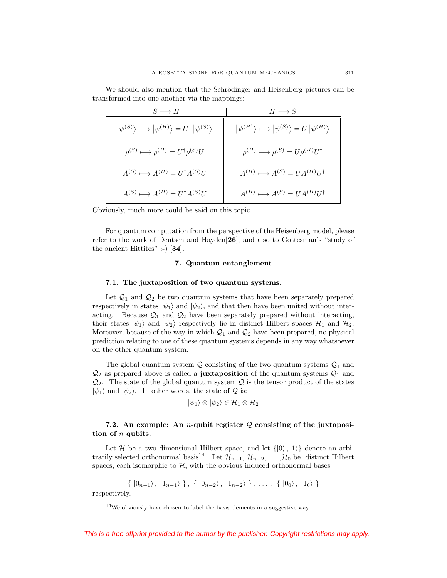| $S \longrightarrow H$                                                                | $H \longrightarrow S$                                                      |
|--------------------------------------------------------------------------------------|----------------------------------------------------------------------------|
| $ \psi^{(S)}\rangle \longmapsto  \psi^{(H)}\rangle = U^{\dagger}  \psi^{(S)}\rangle$ | $ \psi^{(H)}\rangle \longmapsto  \psi^{(S)}\rangle = U  \psi^{(H)}\rangle$ |
| $\rho^{(S)} \longmapsto \rho^{(H)} = U^{\dagger} \rho^{(S)} U$                       | $\rho^{(H)} \longmapsto \rho^{(S)} = U \rho^{(H)} U^{\dagger}$             |
| $A^{(S)} \longmapsto A^{(H)} = U^{\dagger} A^{(S)} U$                                | $A^{(H)} \longmapsto A^{(S)} = UA^{(H)}U^{\dagger}$                        |
| $A^{(S)} \longmapsto A^{(H)} = U^{\dagger} A^{(S)} U$                                | $A^{(H)} \longmapsto A^{(S)} = UA^{(H)}U^{\dagger}$                        |

We should also mention that the Schrödinger and Heisenberg pictures can be transformed into one another via the mappings:

Obviously, much more could be said on this topic.

For quantum computation from the perspective of the Heisenberg model, please refer to the work of Deutsch and Hayden[**26**], and also to Gottesman's "study of the ancient Hittites" :-) [**34**].

#### **7. Quantum entanglement**

#### **7.1. The juxtaposition of two quantum systems.**

Let  $\mathcal{Q}_1$  and  $\mathcal{Q}_2$  be two quantum systems that have been separately prepared respectively in states  $|\psi_1\rangle$  and  $|\psi_2\rangle$ , and that then have been united without interacting. Because  $\mathcal{Q}_1$  and  $\mathcal{Q}_2$  have been separately prepared without interacting, their states  $|\psi_1\rangle$  and  $|\psi_2\rangle$  respectively lie in distinct Hilbert spaces  $\mathcal{H}_1$  and  $\mathcal{H}_2$ . Moreover, because of the way in which  $\mathcal{Q}_1$  and  $\mathcal{Q}_2$  have been prepared, no physical prediction relating to one of these quantum systems depends in any way whatsoever on the other quantum system.

The global quantum system  $Q$  consisting of the two quantum systems  $Q_1$  and  $\mathcal{Q}_2$  as prepared above is called a **juxtaposition** of the quantum systems  $\mathcal{Q}_1$  and  $\mathcal{Q}_2$ . The state of the global quantum system  $\mathcal Q$  is the tensor product of the states  $|\psi_1\rangle$  and  $|\psi_2\rangle$ . In other words, the state of Q is:

$$
\ket{\psi_1} \otimes \ket{\psi_2} \in \mathcal{H}_1 \otimes \mathcal{H}_2
$$

# **7.2. An example: An** n**-qubit register** Q **consisting of the juxtaposition of** n **qubits.**

Let H be a two dimensional Hilbert space, and let  $\{|0\rangle, |1\rangle\}$  denote an arbitrarily selected orthonormal basis<sup>14</sup>. Let  $\mathcal{H}_{n-1}, \mathcal{H}_{n-2}, \ldots, \mathcal{H}_0$  be distinct Hilbert spaces, each isomorphic to  $H$ , with the obvious induced orthonormal bases

$$
\{ |0_{n-1}\rangle, |1_{n-1}\rangle \}, \{ |0_{n-2}\rangle, |1_{n-2}\rangle \}, \ldots, \{ |0_0\rangle, |1_0\rangle \}
$$

respectively.

<sup>14</sup>We obviously have chosen to label the basis elements in a suggestive way.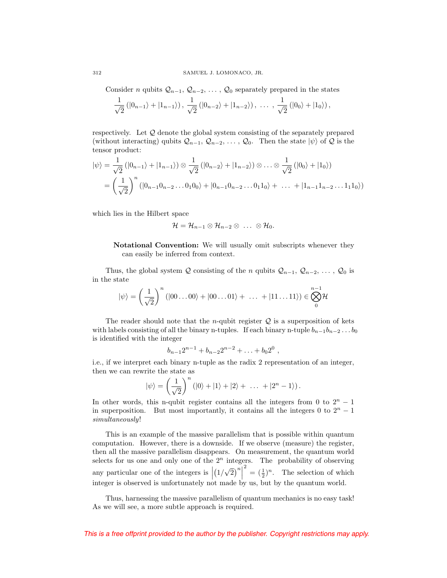Consider n qubits  $\mathcal{Q}_{n-1}, \mathcal{Q}_{n-2}, \ldots, \mathcal{Q}_0$  separately prepared in the states

$$
\frac{1}{\sqrt{2}}\left(\left|0_{n-1}\right\rangle+\left|1_{n-1}\right\rangle\right),\ \frac{1}{\sqrt{2}}\left(\left|0_{n-2}\right\rangle+\left|1_{n-2}\right\rangle\right),\ \ldots\ ,\ \frac{1}{\sqrt{2}}\left(\left|0_{0}\right\rangle+\left|1_{0}\right\rangle\right),
$$

respectively. Let Q denote the global system consisting of the separately prepared (without interacting) qubits  $\mathcal{Q}_{n-1}, \mathcal{Q}_{n-2}, \ldots, \mathcal{Q}_0$ . Then the state  $|\psi\rangle$  of  $\mathcal Q$  is the tensor product:

$$
|\psi\rangle = \frac{1}{\sqrt{2}} (|0_{n-1}\rangle + |1_{n-1}\rangle) \otimes \frac{1}{\sqrt{2}} (|0_{n-2}\rangle + |1_{n-2}\rangle) \otimes \dots \otimes \frac{1}{\sqrt{2}} (|0_0\rangle + |1_0\rangle)
$$
  
=  $\left(\frac{1}{\sqrt{2}}\right)^n (|0_{n-1}0_{n-2}\dots 0_10_0\rangle + |0_{n-1}0_{n-2}\dots 0_11_0\rangle + \dots + |1_{n-1}1_{n-2}\dots 1_11_0\rangle)$ 

which lies in the Hilbert space

$$
\mathcal{H}=\mathcal{H}_{n-1}\otimes\mathcal{H}_{n-2}\otimes\ \ldots\ \otimes\mathcal{H}_0.
$$

**Notational Convention:** We will usually omit subscripts whenever they can easily be inferred from context.

Thus, the global system Q consisting of the n qubits  $\mathcal{Q}_{n-1}, \mathcal{Q}_{n-2}, \ldots, \mathcal{Q}_0$  is in the state

$$
|\psi\rangle = \left(\frac{1}{\sqrt{2}}\right)^n (|00...00\rangle + |00...01\rangle + \ldots + |11...11\rangle) \in \bigotimes_0^{n-1} \mathcal{H}
$$

The reader should note that the *n*-qubit register  $Q$  is a superposition of kets with labels consisting of all the binary n-tuples. If each binary n-tuple  $b_{n-1}b_{n-2} \ldots b_0$ is identified with the integer

$$
b_{n-1}2^{n-1} + b_{n-2}2^{n-2} + \ldots + b_02^0,
$$

i.e., if we interpret each binary n-tuple as the radix 2 representation of an integer, then we can rewrite the state as

$$
|\psi\rangle = \left(\frac{1}{\sqrt{2}}\right)^n (|0\rangle + |1\rangle + |2\rangle + \ldots + |2^n - 1\rangle).
$$

In other words, this n-qubit register contains all the integers from 0 to  $2^n - 1$ in superposition. But most importantly, it contains all the integers 0 to  $2<sup>n</sup> - 1$ simultaneously!

This is an example of the massive parallelism that is possible within quantum computation. However, there is a downside. If we observe (measure) the register, then all the massive parallelism disappears. On measurement, the quantum world selects for us one and only one of the  $2<sup>n</sup>$  integers. The probability of observing any particular one of the integers is  $\vert$  $\left(1/\sqrt{2}\right)^n$ <br>t mode by  $2^2 = (\frac{1}{2})^n$ . The selection of which integer is observed is unfortunately not made by us, but by the quantum world.

Thus, harnessing the massive parallelism of quantum mechanics is no easy task! As we will see, a more subtle approach is required.

## This is a free offprint provided to the author by the publisher. Copyright restrictions may apply.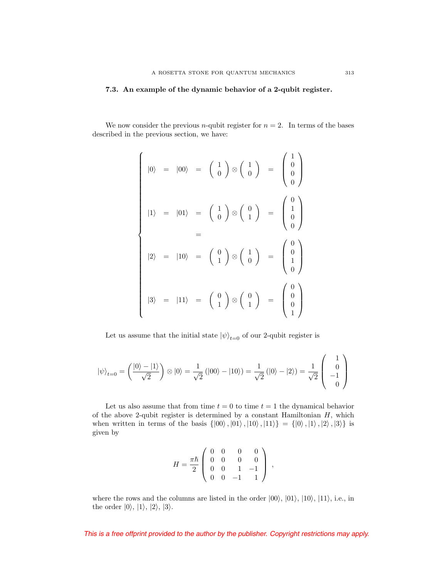#### **7.3. An example of the dynamic behavior of a 2-qubit register.**

We now consider the previous *n*-qubit register for  $n = 2$ . In terms of the bases described in the previous section, we have:

$$
\begin{pmatrix}\n|0\rangle & = & |00\rangle & = & \begin{pmatrix} 1 \\ 0 \end{pmatrix} \otimes \begin{pmatrix} 1 \\ 0 \end{pmatrix} = \begin{pmatrix} 1 \\ 0 \\ 0 \end{pmatrix}
$$
\n
$$
|1\rangle & = & |01\rangle & = & \begin{pmatrix} 1 \\ 0 \end{pmatrix} \otimes \begin{pmatrix} 0 \\ 1 \end{pmatrix} = \begin{pmatrix} 0 \\ 0 \\ 0 \end{pmatrix}
$$
\n
$$
=
$$
\n
$$
|2\rangle & = & |10\rangle & = & \begin{pmatrix} 0 \\ 1 \end{pmatrix} \otimes \begin{pmatrix} 1 \\ 0 \end{pmatrix} = \begin{pmatrix} 0 \\ 0 \\ 1 \end{pmatrix}
$$
\n
$$
|3\rangle & = & |11\rangle & = & \begin{pmatrix} 0 \\ 1 \end{pmatrix} \otimes \begin{pmatrix} 0 \\ 1 \end{pmatrix} = \begin{pmatrix} 0 \\ 0 \\ 1 \end{pmatrix}
$$

Let us assume that the initial state  $|\psi\rangle_{t=0}$  of our 2-qubit register is

$$
|\psi\rangle_{t=0} = \left(\frac{|0\rangle - |1\rangle}{\sqrt{2}}\right) \otimes |0\rangle = \frac{1}{\sqrt{2}} (|00\rangle - |10\rangle) = \frac{1}{\sqrt{2}} (|0\rangle - |2\rangle) = \frac{1}{\sqrt{2}} \begin{pmatrix} 1 \\ 0 \\ -1 \\ 0 \end{pmatrix}
$$

Let us also assume that from time  $t = 0$  to time  $t = 1$  the dynamical behavior of the above 2-qubit register is determined by a constant Hamiltonian  $H$ , which when written in terms of the basis  $\{|00\rangle, |01\rangle, |10\rangle, |11\rangle\} = \{|0\rangle, |1\rangle, |2\rangle, |3\rangle\}$  is given by

$$
H = \frac{\pi \hbar}{2} \begin{pmatrix} 0 & 0 & 0 & 0 \\ 0 & 0 & 0 & 0 \\ 0 & 0 & 1 & -1 \\ 0 & 0 & -1 & 1 \end{pmatrix} ,
$$

where the rows and the columns are listed in the order  $|00\rangle, |01\rangle, |10\rangle, |11\rangle,$  i.e., in the order  $|0\rangle$ ,  $|1\rangle$ ,  $|2\rangle$ ,  $|3\rangle$ .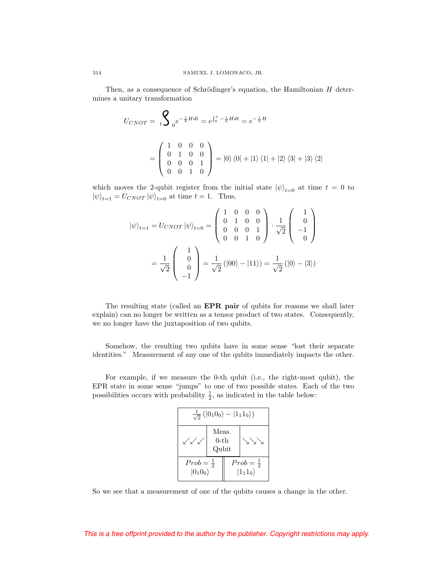Then, as a consequence of Schrödinger's equation, the Hamiltonian  $H$  determines a unitary transformation

$$
U_{CNOT} = \sum_{t} \int_{0}^{t} e^{-\frac{i}{\hbar}Hdt} = e^{\int_{0}^{1} -\frac{i}{\hbar}Hdt} = e^{-\frac{i}{\hbar}H}
$$

$$
= \begin{pmatrix} 1 & 0 & 0 & 0 \\ 0 & 1 & 0 & 0 \\ 0 & 0 & 0 & 1 \\ 0 & 0 & 1 & 0 \end{pmatrix} = |0\rangle\langle0| + |1\rangle\langle1| + |2\rangle\langle3| + |3\rangle\langle2|
$$

which moves the 2-qubit register from the initial state  $|\psi\rangle_{t=0}$  at time  $t = 0$  to  $|\psi\rangle_{t=1} = U_{CNOT} |\psi\rangle_{t=0}$  at time  $t = 1$ . Thus,

$$
|\psi\rangle_{t=1} = U_{CNOT} |\psi\rangle_{t=0} = \begin{pmatrix} 1 & 0 & 0 & 0 \\ 0 & 1 & 0 & 0 \\ 0 & 0 & 0 & 1 \\ 0 & 0 & 1 & 0 \end{pmatrix} \cdot \frac{1}{\sqrt{2}} \begin{pmatrix} 1 \\ 0 \\ -1 \\ 0 \end{pmatrix}
$$

$$
= \frac{1}{\sqrt{2}} \begin{pmatrix} 1 \\ 0 \\ 0 \\ -1 \end{pmatrix} = \frac{1}{\sqrt{2}} (|00\rangle - |11\rangle) = \frac{1}{\sqrt{2}} (|0\rangle - |3\rangle)
$$

The resulting state (called an **EPR pair** of qubits for reasons we shall later explain) can no longer be written as a tensor product of two states. Consequently, we no longer have the juxtaposition of two qubits.

Somehow, the resulting two qubits have in some sense "lost their separate identities." Measurement of any one of the qubits immediately impacts the other.

For example, if we measure the 0-th qubit (i.e., the right-most qubit), the EPR state in some sense "jumps" to one of two possible states. Each of the two possibilities occurs with probability  $\frac{1}{2}$ , as indicated in the table below:

| $\frac{1}{\sqrt{2}}( 0_10_0\rangle -  1_11_0\rangle)$ |                           |  |                                              |  |
|-------------------------------------------------------|---------------------------|--|----------------------------------------------|--|
| $\swarrow\swarrow\swarrow$                            | Meas.<br>$0$ -th<br>Qubit |  |                                              |  |
| $Prob = \frac{1}{2}$<br>$ 0_10_0\rangle$              |                           |  | $Prob = \frac{1}{2}$<br>$ 1_{1}1_{0}\rangle$ |  |

So we see that a measurement of one of the qubits causes a change in the other.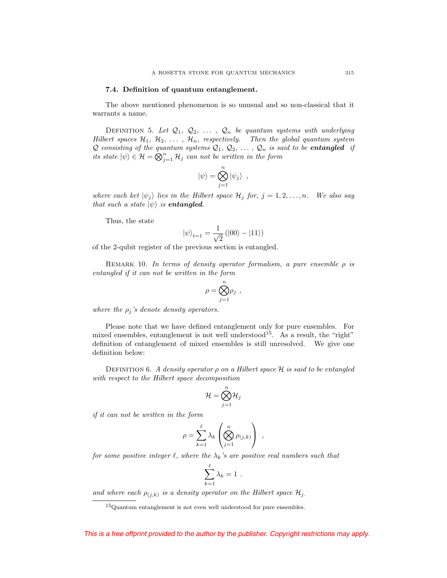## **7.4. Definition of quantum entanglement.**

The above mentioned phenomenon is so unusual and so non-classical that it warrants a name.

DEFINITION 5. Let  $Q_1, Q_2, \ldots, Q_n$  be quantum systems with underlying Hilbert spaces  $\mathcal{H}_1$ ,  $\mathcal{H}_2$ , ...,  $\mathcal{H}_n$ , respectively. Then the global quantum system  $Q$  consisting of the quantum systems  $Q_1, Q_2, \ldots, Q_n$  is said to be **entangled** if its state  $|\psi\rangle \in \mathcal{H} = \overline{\bigotimes_{j=1}^{n} \mathcal{H}_j}$  can not be written in the form

$$
|\psi\rangle = \bigotimes_{j=1}^{n} |\psi_j\rangle ,
$$

where each ket  $|\psi_j\rangle$  lies in the Hilbert space  $\mathcal{H}_j$  for,  $j = 1, 2, ..., n$ . We also say that such a state  $|\psi\rangle$  is **entangled**.

Thus, the state

$$
\left|\psi\right\rangle_{t=1}=\frac{1}{\sqrt{2}}\left(\left|00\right\rangle-\left|11\right\rangle\right)
$$

of the 2-qubit register of the previous section is entangled.

REMARK 10. In terms of density operator formalism, a pure ensemble  $\rho$  is entangled if it can not be written in the form

$$
\rho = \bigotimes_{j=1}^n \rho_j ,
$$

where the  $\rho_j$ 's denote density operators.

Please note that we have defined entanglement only for pure ensembles. For mixed ensembles, entanglement is not well understood<sup>15</sup>. As a result, the "right" definition of entanglement of mixed ensembles is still unresolved. We give one definition below:

DEFINITION 6. A density operator  $\rho$  on a Hilbert space  $\mathcal H$  is said to be entangled with respect to the Hilbert space decomposition

$$
\mathcal{H}=\bigotimes_{j=1}^n\mathcal{H}_j
$$

if it can not be written in the form

$$
\rho = \sum_{k=1}^{\ell} \lambda_k \left( \bigotimes_{j=1}^{n} \rho_{(j,k)} \right) ,
$$

for some positive integer  $\ell$ , where the  $\lambda_k$ 's are positive real numbers such that

$$
\sum_{k=1}^{\ell} \lambda_k = 1.
$$

and where each  $\rho_{(j,k)}$  is a density operator on the Hilbert space  $\mathcal{H}_j$ .

<sup>15</sup>Quantum entanglement is not even well understood for pure ensembles.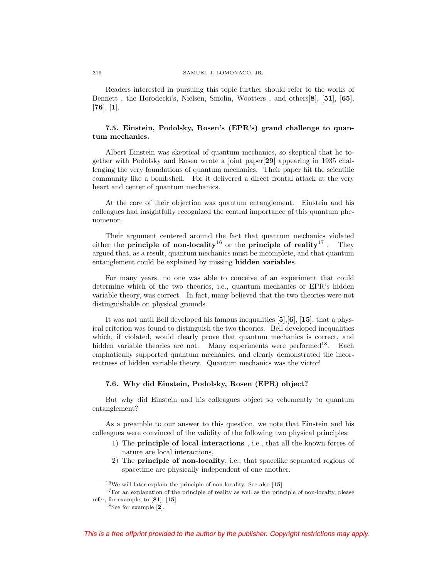Readers interested in pursuing this topic further should refer to the works of Bennett , the Horodecki's, Nielsen, Smolin, Wootters , and others[**8**], [**51**], [**65**], [**76**], [**1**].

# **7.5. Einstein, Podolsky, Rosen's (EPR's) grand challenge to quantum mechanics.**

Albert Einstein was skeptical of quantum mechanics, so skeptical that he together with Podolsky and Rosen wrote a joint paper[**29**] appearing in 1935 challenging the very foundations of quantum mechanics. Their paper hit the scientific community like a bombshell. For it delivered a direct frontal attack at the very heart and center of quantum mechanics.

At the core of their objection was quantum entanglement. Einstein and his colleagues had insightfully recognized the central importance of this quantum phenomenon.

Their argument centered around the fact that quantum mechanics violated either the **principle of non-locality**<sup>16</sup> or the **principle of reality**<sup>17</sup> . They argued that, as a result, quantum mechanics must be incomplete, and that quantum entanglement could be explained by missing **hidden variables**.

For many years, no one was able to conceive of an experiment that could determine which of the two theories, i.e., quantum mechanics or EPR's hidden variable theory, was correct. In fact, many believed that the two theories were not distinguishable on physical grounds.

It was not until Bell developed his famous inequalities [**5**],[**6**], [**15**], that a physical criterion was found to distinguish the two theories. Bell developed inequalities which, if violated, would clearly prove that quantum mechanics is correct, and hidden variable theories are not. Many experiments were performed<sup>18</sup>. Each emphatically supported quantum mechanics, and clearly demonstrated the incorrectness of hidden variable theory. Quantum mechanics was the victor!

## **7.6. Why did Einstein, Podolsky, Rosen (EPR) object?**

But why did Einstein and his colleagues object so vehemently to quantum entanglement?

As a preamble to our answer to this question, we note that Einstein and his colleagues were convinced of the validity of the following two physical principles:

- 1) The **principle of local interactions** , i.e., that all the known forces of nature are local interactions,
- 2) The **principle of non-locality**, i.e., that spacelike separated regions of spacetime are physically independent of one another.

<sup>16</sup>We will later explain the principle of non-locality. See also [**15**].

<sup>&</sup>lt;sup>17</sup>For an explanation of the principle of reality as well as the principle of non-localty, please refer, for example, to [**81**], [**15**].

<sup>18</sup>See for example [**2**].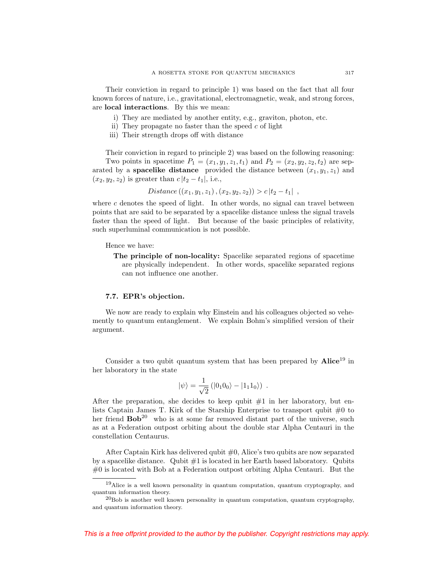Their conviction in regard to principle 1) was based on the fact that all four known forces of nature, i.e., gravitational, electromagnetic, weak, and strong forces, are **local interactions**. By this we mean:

- i) They are mediated by another entity, e.g., graviton, photon, etc.
- ii) They propagate no faster than the speed  $c$  of light
- iii) Their strength drops off with distance

Their conviction in regard to principle 2) was based on the following reasoning:

Two points in spacetime  $P_1 = (x_1, y_1, z_1, t_1)$  and  $P_2 = (x_2, y_2, z_2, t_2)$  are separated by a **spacelike distance** provided the distance between  $(x_1, y_1, z_1)$  and  $(x_2, y_2, z_2)$  is greater than  $c |t_2 - t_1|$ , i.e.,

 $Distance((x_1, y_1, z_1), (x_2, y_2, z_2)) > c |t_2 - t_1|$ ,

where  $c$  denotes the speed of light. In other words, no signal can travel between points that are said to be separated by a spacelike distance unless the signal travels faster than the speed of light. But because of the basic principles of relativity, such superluminal communication is not possible.

#### Hence we have:

**The principle of non-locality:** Spacelike separated regions of spacetime are physically independent. In other words, spacelike separated regions can not influence one another.

#### **7.7. EPR's objection.**

We now are ready to explain why Einstein and his colleagues objected so vehemently to quantum entanglement. We explain Bohm's simplified version of their argument.

Consider a two qubit quantum system that has been prepared by **Alice**<sup>19</sup> in her laboratory in the state

$$
|\psi\rangle = \frac{1}{\sqrt{2}} (|0_1 0_0\rangle - |1_1 1_0\rangle) .
$$

After the preparation, she decides to keep qubit  $#1$  in her laboratory, but enlists Captain James T. Kirk of the Starship Enterprise to transport qubit #0 to her friend **Bob**<sup>20</sup> who is at some far removed distant part of the universe, such as at a Federation outpost orbiting about the double star Alpha Centauri in the constellation Centaurus.

After Captain Kirk has delivered qubit #0, Alice's two qubits are now separated by a spacelike distance. Qubit #1 is located in her Earth based laboratory. Qubits #0 is located with Bob at a Federation outpost orbiting Alpha Centauri. But the

<sup>19</sup>Alice is a well known personality in quantum computation, quantum cryptography, and quantum information theory.

 $^{20}$ Bob is another well known personality in quantum computation, quantum cryptography, and quantum information theory.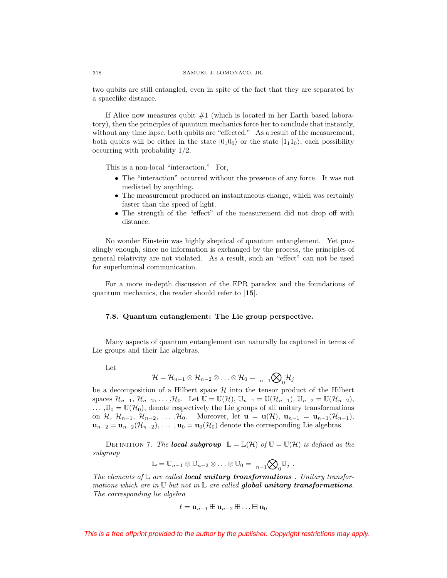two qubits are still entangled, even in spite of the fact that they are separated by a spacelike distance.

If Alice now measures qubit #1 (which is located in her Earth based laboratory), then the principles of quantum mechanics force her to conclude that instantly, without any time lapse, both qubits are "effected." As a result of the measurement, both qubits will be either in the state  $|0_10_0\rangle$  or the state  $|1_11_0\rangle$ , each possibility occurring with probability 1/2.

This is a non-local "interaction." For,

- The "interaction" occurred without the presence of any force. It was not mediated by anything.
- The measurement produced an instantaneous change, which was certainly faster than the speed of light.
- The strength of the "effect" of the measurement did not drop off with distance.

No wonder Einstein was highly skeptical of quantum entanglement. Yet puzzlingly enough, since no information is exchanged by the process, the principles of general relativity are not violated. As a result, such an "effect" can not be used for superluminal communication.

For a more in-depth discussion of the EPR paradox and the foundations of quantum mechanics, the reader should refer to [**15**].

## **7.8. Quantum entanglement: The Lie group perspective.**

Many aspects of quantum entanglement can naturally be captured in terms of Lie groups and their Lie algebras.

Let

$$
\mathcal{H} = \mathcal{H}_{n-1} \otimes \mathcal{H}_{n-2} \otimes \ldots \otimes \mathcal{H}_0 = \ldots \otimes \mathcal{H}_0
$$

be a decomposition of a Hilbert space  $\mathcal{H}$  into the tensor product of the Hilbert spaces  $\mathcal{H}_{n-1}, \mathcal{H}_{n-2}, \ldots, \mathcal{H}_0$ . Let  $\mathbb{U} = \mathbb{U}(\mathcal{H}), \mathbb{U}_{n-1} = \mathbb{U}(\mathcal{H}_{n-1}), \mathbb{U}_{n-2} = \mathbb{U}(\mathcal{H}_{n-2}),$  $\ldots$ ,  $\mathbb{U}_0 = \mathbb{U}(\mathcal{H}_0)$ , denote respectively the Lie groups of all unitary transformations on H,  $\mathcal{H}_{n-1}$ ,  $\mathcal{H}_{n-2}$ , ...,  $\mathcal{H}_0$ . Moreover, let  $\mathbf{u} = \mathbf{u}(\mathcal{H})$ ,  $\mathbf{u}_{n-1} = \mathbf{u}_{n-1}(\mathcal{H}_{n-1})$ ,  $\mathbf{u}_{n-2} = \mathbf{u}_{n-2}(\mathcal{H}_{n-2}), \ldots, \mathbf{u}_0 = \mathbf{u}_0(\mathcal{H}_0)$  denote the corresponding Lie algebras.

DEFINITION 7. The **local subgroup**  $\mathbb{L} = \mathbb{L}(\mathcal{H})$  of  $\mathbb{U} = \mathbb{U}(\mathcal{H})$  is defined as the subgroup

$$
\mathbb{L} = \mathbb{U}_{n-1} \otimes \mathbb{U}_{n-2} \otimes \ldots \otimes \mathbb{U}_0 = \mathbb{L}_{n-1} \bigotimes_{0} \mathbb{U}_{j} .
$$

The elements of  $\mathbb L$  are called **local unitary transformations** . Unitary transformations which are in U but not in L are called *global unitary transformations*. The corresponding lie algebra

$$
\ell = \mathbf{u}_{n-1} \boxplus \mathbf{u}_{n-2} \boxplus \ldots \boxplus \mathbf{u}_0
$$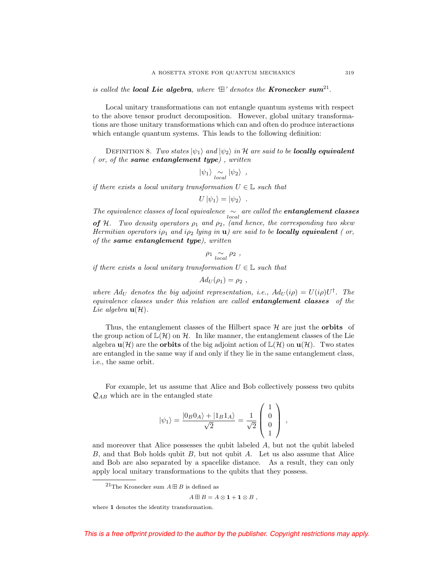is called the **local Lie algebra**, where  $\mathbb{H}'$  denotes the **Kronecker sum**<sup>21</sup>.

Local unitary transformations can not entangle quantum systems with respect to the above tensor product decomposition. However, global unitary transformations are those unitary transformations which can and often do produce interactions which entangle quantum systems. This leads to the following definition:

DEFINITION 8. Two states  $|\psi_1\rangle$  and  $|\psi_2\rangle$  in H are said to be **locally equivalent** ( or, of the *same entanglement type*) , written

$$
|\psi_1\rangle \underset{local}{\sim} |\psi_2\rangle \ ,
$$

if there exists a local unitary transformation  $U \in \mathbb{L}$  such that

 $U|\psi_1\rangle = |\psi_2\rangle$ .

The equivalence classes of local equivalence  $\sim$  are called the **entanglement classes** *of* H. Two density operators  $\rho_1$  and  $\rho_2$ , (and hence, the corresponding two skew Hermitian operators  $i\rho_1$  and  $i\rho_2$  lying in **u**) are said to be **locally equivalent** ( or, of the *same entanglement type*), written

 $\rho_1 \underset{local}{\sim} \rho_2$ ,

if there exists a local unitary transformation  $U \in \mathbb{L}$  such that

$$
Ad_U(\rho_1)=\rho_2,
$$

where Ad<sub>U</sub> denotes the big adjoint representation, i.e.,  $Ad_U(i\rho) = U(i\rho)U^{\dagger}$ . The equivalence classes under this relation are called *entanglement classes* of the Lie algebra  $\mathbf{u}(\mathcal{H})$ .

Thus, the entanglement classes of the Hilbert space H are just the **orbits** of the group action of  $\mathbb{L}(\mathcal{H})$  on  $\mathcal{H}$ . In like manner, the entanglement classes of the Lie algebra  $\mathbf{u}(\mathcal{H})$  are the **orbits** of the big adjoint action of  $\mathbb{L}(\mathcal{H})$  on  $\mathbf{u}(\mathcal{H})$ . Two states are entangled in the same way if and only if they lie in the same entanglement class, i.e., the same orbit.

For example, let us assume that Alice and Bob collectively possess two qubits  $\mathcal{Q}_{AB}$  which are in the entangled state

$$
|\psi_1\rangle = \frac{|0_B 0_A\rangle + |1_B 1_A\rangle}{\sqrt{2}} = \frac{1}{\sqrt{2}} \begin{pmatrix} 1 \\ 0 \\ 0 \\ 1 \end{pmatrix} ,
$$

and moreover that Alice possesses the qubit labeled  $A$ , but not the qubit labeled  $B$ , and that Bob holds qubit  $B$ , but not qubit  $A$ . Let us also assume that Alice and Bob are also separated by a spacelike distance. As a result, they can only apply local unitary transformations to the qubits that they possess.

$$
A \boxplus B = A \otimes \mathbf{1} + \mathbf{1} \otimes B ,
$$

<sup>&</sup>lt;sup>21</sup>The Kronecker sum  $A \boxplus B$  is defined as

where 1 denotes the identity transformation.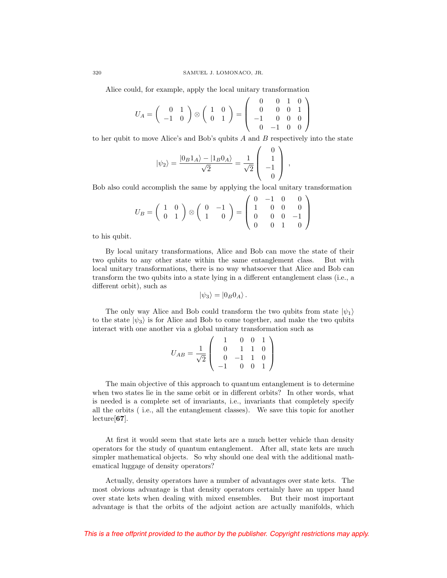Alice could, for example, apply the local unitary transformation

$$
U_A = \left(\begin{array}{cc} 0 & 1 \\ -1 & 0 \end{array}\right) \otimes \left(\begin{array}{cc} 1 & 0 \\ 0 & 1 \end{array}\right) = \left(\begin{array}{cc} 0 & 0 & 1 & 0 \\ 0 & 0 & 0 & 1 \\ -1 & 0 & 0 & 0 \\ 0 & -1 & 0 & 0 \end{array}\right)
$$

to her qubit to move Alice's and Bob's qubits  $A$  and  $B$  respectively into the state

$$
|\psi_2\rangle = \frac{|0_B 1_A\rangle - |1_B 0_A\rangle}{\sqrt{2}} = \frac{1}{\sqrt{2}} \begin{pmatrix} 0 \\ 1 \\ -1 \\ 0 \end{pmatrix}
$$

 $\, ,$ 

Bob also could accomplish the same by applying the local unitary transformation

$$
U_B = \left(\begin{array}{cc} 1 & 0 \\ 0 & 1 \end{array}\right) \otimes \left(\begin{array}{cc} 0 & -1 \\ 1 & 0 \end{array}\right) = \left(\begin{array}{cccc} 0 & -1 & 0 & 0 \\ 1 & 0 & 0 & 0 \\ 0 & 0 & 0 & -1 \\ 0 & 0 & 1 & 0 \end{array}\right)
$$

to his qubit.

By local unitary transformations, Alice and Bob can move the state of their two qubits to any other state within the same entanglement class. But with local unitary transformations, there is no way whatsoever that Alice and Bob can transform the two qubits into a state lying in a different entanglement class (i.e., a different orbit), such as

$$
|\psi_3\rangle = |0_B 0_A\rangle.
$$

The only way Alice and Bob could transform the two qubits from state  $|\psi_1\rangle$ to the state  $|\psi_3\rangle$  is for Alice and Bob to come together, and make the two qubits interact with one another via a global unitary transformation such as

$$
U_{AB} = \frac{1}{\sqrt{2}} \left( \begin{array}{rrr} 1 & 0 & 0 & 1 \\ 0 & 1 & 1 & 0 \\ 0 & -1 & 1 & 0 \\ -1 & 0 & 0 & 1 \end{array} \right)
$$

The main objective of this approach to quantum entanglement is to determine when two states lie in the same orbit or in different orbits? In other words, what is needed is a complete set of invariants, i.e., invariants that completely specify all the orbits ( i.e., all the entanglement classes). We save this topic for another lecture[**67**].

At first it would seem that state kets are a much better vehicle than density operators for the study of quantum entanglement. After all, state kets are much simpler mathematical objects. So why should one deal with the additional mathematical luggage of density operators?

Actually, density operators have a number of advantages over state kets. The most obvious advantage is that density operators certainly have an upper hand over state kets when dealing with mixed ensembles. But their most important advantage is that the orbits of the adjoint action are actually manifolds, which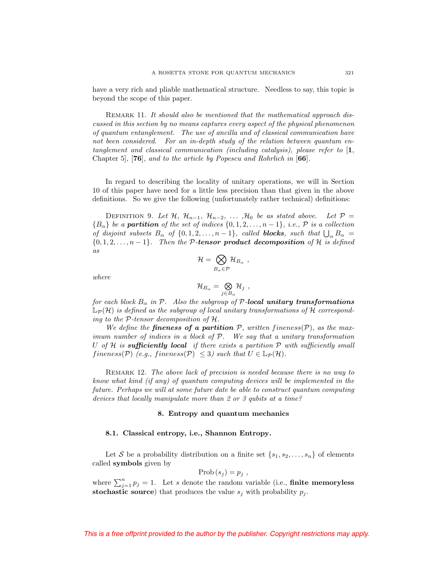have a very rich and pliable mathematical structure. Needless to say, this topic is beyond the scope of this paper.

REMARK 11. It should also be mentioned that the mathematical approach discussed in this section by no means captures every aspect of the physical phenomenon of quantum entanglement. The use of ancilla and of classical communication have not been considered. For an in-depth study of the relation between quantum entanglement and classical communication (including catalysis), please refer to [**1**, Chapter 5], [**76**], and to the article by Popescu and Rohrlich in [**66**].

In regard to describing the locality of unitary operations, we will in Section 10 of this paper have need for a little less precision than that given in the above definitions. So we give the following (unfortunately rather technical) definitions:

DEFINITION 9. Let H,  $\mathcal{H}_{n-1}$ ,  $\mathcal{H}_{n-2}$ , ..., $\mathcal{H}_0$  be as stated above. Let  $\mathcal{P} =$  ${B_\alpha}$  be a **partition** of the set of indices  ${0, 1, 2, ..., n-1}$ , i.e., P is a collection of disjoint subsets  $B_{\alpha}$  of  $\{0, 1, 2, ..., n-1\}$ , called **blocks**, such that  $\bigcup_{\alpha} B_{\alpha} =$  ${0, 1, 2, \ldots, n-1}$ . Then the P-tensor product decomposition of H is defined as

$$
\mathcal{H} = \bigotimes_{B_{\alpha} \in \mathcal{P}} \mathcal{H}_{B_{\alpha}} ,
$$

where

$$
\mathcal{H}_{B_{\alpha}} = \bigotimes_{j \in B_{\alpha}} \mathcal{H}_j ,
$$

for each block  $B_{\alpha}$  in  $\mathcal{P}$ . Also the subgroup of  $\mathcal{P}$ -**local unitary transformations**  $\mathbb{L}_{\mathcal{P}}(\mathcal{H})$  is defined as the subgroup of local unitary transformations of H corresponding to the P-tensor decomposition of H.

We define the **fineness of a partition**  $P$ , written fineness( $P$ ), as the maximum number of indices in a block of  $P$ . We say that a unitary transformation U of H is *sufficiently local* if there exists a partition P with sufficiently small fineness(P) (e.g., fineness(P)  $\leq$  3) such that  $U \in \mathbb{L}_{\mathcal{P}}(\mathcal{H})$ .

REMARK 12. The above lack of precision is needed because there is no way to know what kind (if any) of quantum computing devices will be implemented in the future. Perhaps we will at some future date be able to construct quantum computing devices that locally manipulate more than 2 or 3 qubits at a time?

#### **8. Entropy and quantum mechanics**

## **8.1. Classical entropy, i.e., Shannon Entropy.**

Let S be a probability distribution on a finite set  $\{s_1, s_2, \ldots, s_n\}$  of elements called **symbols** given by

$$
\mathrm{Prob}\left(s_{j}\right)=p_{j}\ ,
$$

where  $\sum_{j=1}^{n} p_j = 1$ . Let s denote the random variable (i.e., **finite memoryless stochastic source**) that produces the value  $s_j$  with probability  $p_j$ .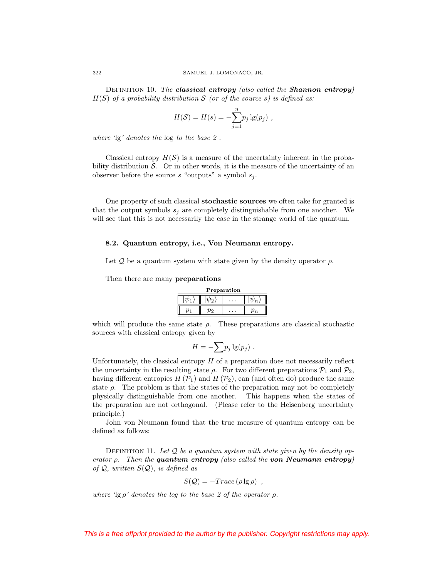Definition 10. The *classical entropy* (also called the *Shannon entropy*)  $H(S)$  of a probability distribution S (or of the source s) is defined as:

$$
H(S) = H(s) = -\sum_{j=1}^{n} p_j \lg(p_j) ,
$$

where  $\lg'$  denotes the log to the base 2.

Classical entropy  $H(S)$  is a measure of the uncertainty inherent in the probability distribution  $S$ . Or in other words, it is the measure of the uncertainty of an observer before the source s "outputs" a symbol  $s_i$ .

One property of such classical **stochastic sources** we often take for granted is that the output symbols  $s_i$  are completely distinguishable from one another. We will see that this is not necessarily the case in the strange world of the quantum.

## **8.2. Quantum entropy, i.e., Von Neumann entropy.**

Let  $Q$  be a quantum system with state given by the density operator  $\rho$ .

Then there are many **preparations**

| Preparation |  |  |  |
|-------------|--|--|--|
|             |  |  |  |
|             |  |  |  |

which will produce the same state  $\rho$ . These preparations are classical stochastic sources with classical entropy given by

$$
H = -\sum p_j \lg(p_j) .
$$

Unfortunately, the classical entropy  $H$  of a preparation does not necessarily reflect the uncertainty in the resulting state  $\rho$ . For two different preparations  $\mathcal{P}_1$  and  $\mathcal{P}_2$ , having different entropies  $H(\mathcal{P}_1)$  and  $H(\mathcal{P}_2)$ , can (and often do) produce the same state  $\rho$ . The problem is that the states of the preparation may not be completely physically distinguishable from one another. This happens when the states of the preparation are not orthogonal. (Please refer to the Heisenberg uncertainty principle.)

John von Neumann found that the true measure of quantum entropy can be defined as follows:

DEFINITION 11. Let  $\mathcal Q$  be a quantum system with state given by the density operator ρ. Then the *quantum entropy* (also called the *von Neumann entropy*) of  $Q$ , written  $S(Q)$ , is defined as

$$
S(Q) = -Trace(\rho \lg \rho) ,
$$

where  $\lg \rho'$  denotes the log to the base 2 of the operator  $\rho$ .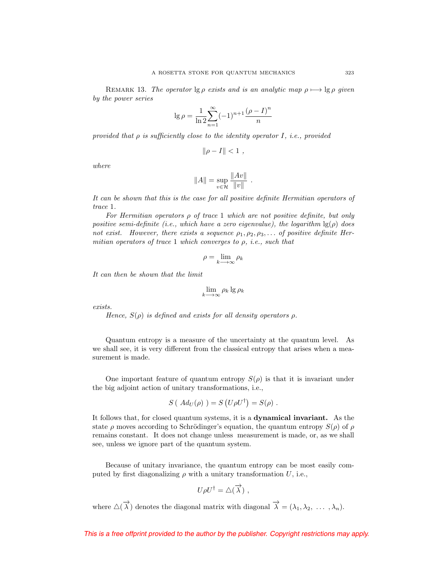REMARK 13. The operator  $\lg \rho$  exists and is an analytic map  $\rho \mapsto \lg \rho$  given by the power series

$$
\lg \rho = \frac{1}{\ln 2} \sum_{n=1}^{\infty} (-1)^{n+1} \frac{(\rho - I)^n}{n}
$$

provided that  $\rho$  is sufficiently close to the identity operator I, i.e., provided

$$
\|\rho-I\|<1,
$$

where

$$
||A|| = \sup_{v \in \mathcal{H}} \frac{||Av||}{||v||} .
$$

It can be shown that this is the case for all positive definite Hermitian operators of trace 1.

For Hermitian operators  $\rho$  of trace 1 which are not positive definite, but only positive semi-definite (i.e., which have a zero eigenvalue), the logarithm  $\lg(\rho)$  does not exist. However, there exists a sequence  $\rho_1, \rho_2, \rho_3, \ldots$  of positive definite Hermitian operators of trace 1 which converges to  $\rho$ , *i.e.*, such that

$$
\rho=\lim_{k\longrightarrow\infty}\rho_k
$$

It can then be shown that the limit

$$
\lim_{k \longrightarrow \infty} \rho_k \lg \rho_k
$$

exists.

Hence,  $S(\rho)$  is defined and exists for all density operators  $\rho$ .

Quantum entropy is a measure of the uncertainty at the quantum level. As we shall see, it is very different from the classical entropy that arises when a measurement is made.

One important feature of quantum entropy  $S(\rho)$  is that it is invariant under the big adjoint action of unitary transformations, i.e.,

$$
S\left(\; Ad_U(\rho)\;\right) = S\left(U\rho U^{\dagger}\right) = S(\rho) \; .
$$

It follows that, for closed quantum systems, it is a **dynamical invariant.** As the state  $\rho$  moves according to Schrödinger's equation, the quantum entropy  $S(\rho)$  of  $\rho$ remains constant. It does not change unless measurement is made, or, as we shall see, unless we ignore part of the quantum system.

Because of unitary invariance, the quantum entropy can be most easily computed by first diagonalizing  $\rho$  with a unitary transformation U, i.e.,

$$
U\rho U^{\dagger} = \Delta(\overrightarrow{\lambda}) ,
$$

where  $\Delta(\vec{\lambda})$  denotes the diagonal matrix with diagonal  $\vec{\lambda} = (\lambda_1, \lambda_2, \ldots, \lambda_n)$ .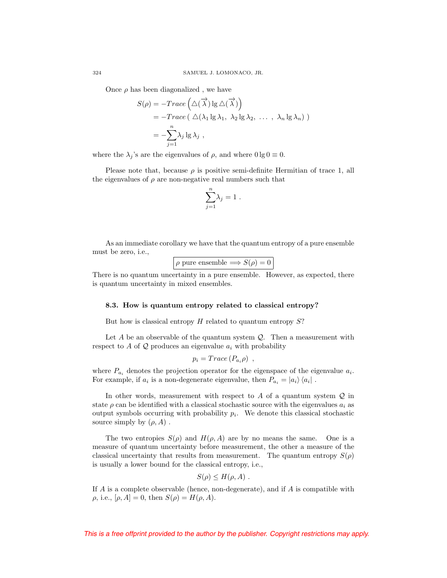Once  $\rho$  has been diagonalized, we have

$$
S(\rho) = -Trace\left(\Delta(\overrightarrow{\lambda})\lg \Delta(\overrightarrow{\lambda})\right)
$$
  
= -Trace\left(\Delta(\lambda\_1 \lg \lambda\_1, \lambda\_2 \lg \lambda\_2, \dots, \lambda\_n \lg \lambda\_n)\right)  
= -\sum\_{j=1}^n \lambda\_j \lg \lambda\_j,

where the  $\lambda_j$ 's are the eigenvalues of  $\rho$ , and where  $0 \lg 0 \equiv 0$ .

Please note that, because  $\rho$  is positive semi-definite Hermitian of trace 1, all the eigenvalues of  $\rho$  are non-negative real numbers such that

$$
\sum_{j=1}^n \lambda_j = 1.
$$

As an immediate corollary we have that the quantum entropy of a pure ensemble must be zero, i.e.,

$$
\rho
$$
 pure ensemble  $\Longrightarrow S(\rho)=0$ 

There is no quantum uncertainty in a pure ensemble. However, as expected, there is quantum uncertainty in mixed ensembles.

#### **8.3. How is quantum entropy related to classical entropy?**

But how is classical entropy  $H$  related to quantum entropy  $S$ ?

Let  $A$  be an observable of the quantum system  $\mathcal{Q}$ . Then a measurement with respect to A of Q produces an eigenvalue  $a_i$  with probability

$$
p_i = Trace(P_{a_i} \rho) ,
$$

where  $P_{a_i}$  denotes the projection operator for the eigenspace of the eigenvalue  $a_i$ . For example, if  $a_i$  is a non-degenerate eigenvalue, then  $P_{a_i} = |a_i\rangle \langle a_i|$ .

In other words, measurement with respect to  $A$  of a quantum system  $Q$  in state  $\rho$  can be identified with a classical stochastic source with the eigenvalues  $a_i$  as output symbols occurring with probability  $p_i$ . We denote this classical stochastic source simply by  $(\rho, A)$ .

The two entropies  $S(\rho)$  and  $H(\rho, A)$  are by no means the same. One is a measure of quantum uncertainty before measurement, the other a measure of the classical uncertainty that results from measurement. The quantum entropy  $S(\rho)$ is usually a lower bound for the classical entropy, i.e.,

$$
S(\rho) \le H(\rho, A) .
$$

If A is a complete observable (hence, non-degenerate), and if A is compatible with  $\rho$ , i.e.,  $[\rho, A] = 0$ , then  $S(\rho) = H(\rho, A)$ .

This is a free offprint provided to the author by the publisher. Copyright restrictions may apply.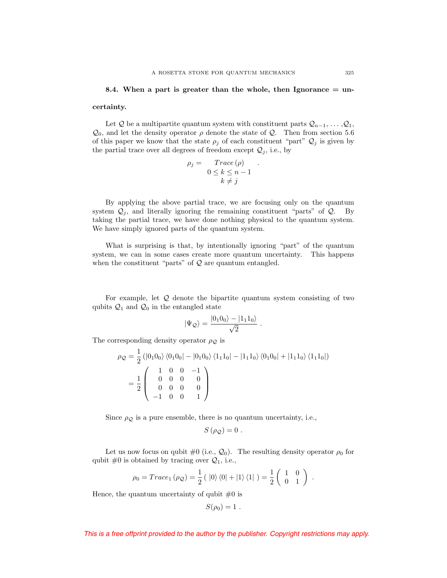# **8.4. When a part is greater than the whole, then Ignorance = un-**

#### **certainty.**

Let Q be a multipartite quantum system with constituent parts  $Q_{n-1}, \ldots, Q_1$ ,  $\mathcal{Q}_0$ , and let the density operator  $\rho$  denote the state of  $\mathcal{Q}$ . Then from section 5.6 of this paper we know that the state  $\rho_i$  of each constituent "part"  $Q_i$  is given by the partial trace over all degrees of freedom except  $\mathcal{Q}_i$ , i.e., by

$$
\rho_j = \frac{Trace(\rho)}{0 \le k \le n-1}
$$
  

$$
k \ne j
$$

.

By applying the above partial trace, we are focusing only on the quantum system  $\mathcal{Q}_j$ , and literally ignoring the remaining constituent "parts" of  $\mathcal{Q}$ . By taking the partial trace, we have done nothing physical to the quantum system. We have simply ignored parts of the quantum system.

What is surprising is that, by intentionally ignoring "part" of the quantum system, we can in some cases create more quantum uncertainty. This happens when the constituent "parts" of  $Q$  are quantum entangled.

For example, let Q denote the bipartite quantum system consisting of two qubits  $\mathcal{Q}_1$  and  $\mathcal{Q}_0$  in the entangled state

$$
|\Psi_{\mathcal{Q}}\rangle = \frac{|0_1 0_0\rangle - |1_1 1_0\rangle}{\sqrt{2}}.
$$

The corresponding density operator  $\rho_{\mathcal{Q}}$  is

$$
\rho_{\mathcal{Q}} = \frac{1}{2} (|0_{1}0_{0}\rangle \langle 0_{1}0_{0}| - |0_{1}0_{0}\rangle \langle 1_{1}1_{0}| - |1_{1}1_{0}\rangle \langle 0_{1}0_{0}| + |1_{1}1_{0}\rangle \langle 1_{1}1_{0}|)
$$
  
= 
$$
\frac{1}{2} \begin{pmatrix} 1 & 0 & 0 & -1 \\ 0 & 0 & 0 & 0 \\ 0 & 0 & 0 & 0 \\ -1 & 0 & 0 & 1 \end{pmatrix}
$$

Since  $\rho_{\mathcal{Q}}$  is a pure ensemble, there is no quantum uncertainty, i.e.,

$$
S\left( \rho_{\mathcal{Q}}\right) =0.
$$

Let us now focus on qubit  $\#0$  (i.e.,  $\mathcal{Q}_0$ ). The resulting density operator  $\rho_0$  for qubit  $\#0$  is obtained by tracing over  $\mathcal{Q}_1$ , i.e.,

$$
\rho_0 = Trace_1 (\rho_{\mathcal{Q}}) = \frac{1}{2} (|0\rangle \langle 0| + |1\rangle \langle 1|) = \frac{1}{2} \begin{pmatrix} 1 & 0 \\ 0 & 1 \end{pmatrix}
$$

.

Hence, the quantum uncertainty of qubit  $#0$  is

$$
S(\rho_0)=1.
$$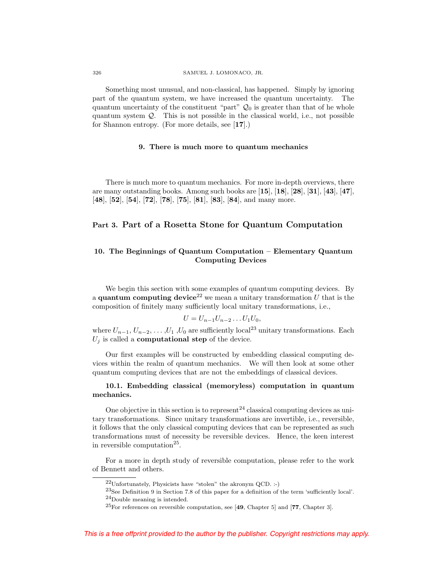Something most unusual, and non-classical, has happened. Simply by ignoring part of the quantum system, we have increased the quantum uncertainty. The quantum uncertainty of the constituent "part"  $\mathcal{Q}_0$  is greater than that of he whole quantum system Q. This is not possible in the classical world, i.e., not possible for Shannon entropy. (For more details, see [**17**].)

## **9. There is much more to quantum mechanics**

There is much more to quantum mechanics. For more in-depth overviews, there are many outstanding books. Among such books are [**15**], [**18**], [**28**], [**31**], [**43**], [**47**], [**48**], [**52**], [**54**], [**72**], [**78**], [**75**], [**81**], [**83**], [**84**], and many more.

# **Part 3. Part of a Rosetta Stone for Quantum Computation**

# **10. The Beginnings of Quantum Computation – Elementary Quantum Computing Devices**

We begin this section with some examples of quantum computing devices. By a **quantum computing device**<sup>22</sup> we mean a unitary transformation  $U$  that is the composition of finitely many sufficiently local unitary transformations, i.e.,

$$
U=U_{n-1}U_{n-2}\ldots U_1U_0,
$$

where  $U_{n-1}, U_{n-2}, \ldots, U_1, U_0$  are sufficiently local<sup>23</sup> unitary transformations. Each  $U_j$  is called a **computational step** of the device.

Our first examples will be constructed by embedding classical computing devices within the realm of quantum mechanics. We will then look at some other quantum computing devices that are not the embeddings of classical devices.

# **10.1. Embedding classical (memoryless) computation in quantum mechanics.**

One objective in this section is to represent  $24$  classical computing devices as unitary transformations. Since unitary transformations are invertible, i.e., reversible, it follows that the only classical computing devices that can be represented as such transformations must of necessity be reversible devices. Hence, the keen interest in reversible computation<sup>25</sup>.

For a more in depth study of reversible computation, please refer to the work of Bennett and others.

 $^{22}$ Unfortunately, Physicists have "stolen" the akronym QCD. :-)

 $^{23}$ See Definition 9 in Section 7.8 of this paper for a definition of the term 'sufficiently local'.  $24$ Double meaning is intended.

<sup>25</sup>For references on reversible computation, see [**49**, Chapter 5] and [**77**, Chapter 3].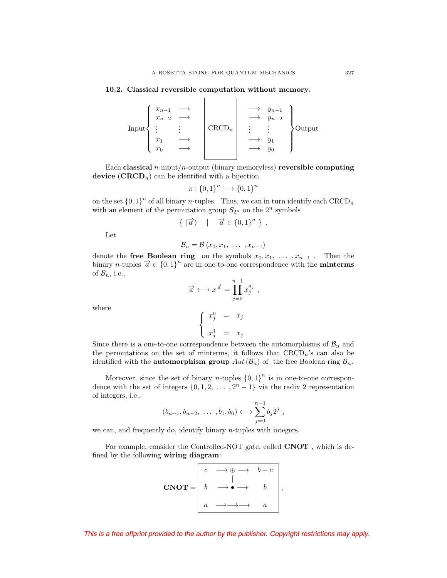## **10.2. Classical reversible computation without memory.**

$$
\text{Input} \left\{ \begin{array}{ccc} x_{n-1} & \longrightarrow & \\ x_{n-2} & \longrightarrow & \\ \vdots & \vdots & \\ x_1 & \longrightarrow & \\ x_0 & \longrightarrow & \end{array} \right\} \text{CRCD}_n \left\{ \begin{array}{ccc} \longrightarrow & y_{n-1} \\ \longrightarrow & y_{n-2} \\ \vdots & \vdots \\ \longrightarrow & y_1 \\ \longrightarrow & y_0 \end{array} \right\} \text{Output}
$$

Each **classical** n-input/n-output (binary memoryless) **reversible computing device**  $(\text{CRCD}_n)$  can be identified with a bijection

$$
\pi: \{0,1\}^n \longrightarrow \{0,1\}^n
$$

on the set  ${0,1}^n$  of all binary *n*-tuples. Thus, we can in turn identify each CRCD<sub>n</sub> with an element of the permutation group  $S_{2^n}$  on the  $2^n$  symbols

$$
\{ |\vec{a}\rangle \mid \vec{a} \in \{0,1\}^n \} .
$$

Let

where

$$
\mathcal{B}_n = \mathcal{B} \langle x_0, x_1, \ldots, x_{n-1} \rangle
$$

denote the **free Boolean ring** on the symbols  $x_0, x_1, \ldots, x_{n-1}$ . Then the binary *n*-tuples  $\vec{a} \in \{0,1\}^n$  are in one-to-one correspondence with the **minterms** of  $\mathcal{B}_n$ , i.e.,

$$
\overrightarrow{a} \longleftrightarrow x^{\overrightarrow{a}} = \prod_{j=0}^{n-1} x_j^{a_j} ,
$$

$$
\begin{cases} x_j^0 = \overline{x}_j \\ x_j^1 = x_j \end{cases}
$$

Since there is a one-to-one correspondence between the automorphisms of  $\mathcal{B}_n$  and the permutations on the set of minterms, it follows that  $\mathrm{CRCD}_n$ 's can also be identified with the **automorphism group**  $Aut(\mathcal{B}_n)$  of the free Boolean ring  $\mathcal{B}_n$ .

Moreover, since the set of binary *n*-tuples  $\{0,1\}^n$  is in one-to-one correspondence with the set of integers  $\{0, 1, 2, \ldots, 2<sup>n</sup> - 1\}$  via the radix 2 representation of integers, i.e.,

$$
(b_{n-1}, b_{n-2}, \ldots, b_1, b_0) \longleftrightarrow \sum_{j=0}^{n-1} b_j 2^j
$$

we can, and frequently do, identify binary *n*-tuples with integers.

For example, consider the Controlled-NOT gate, called **CNOT** , which is defined by the following **wiring diagram**:

$$
\mathbf{CNOT} = \begin{bmatrix} c & \longrightarrow & \oplus & \longrightarrow & b+c \\ b & \longrightarrow & \longrightarrow & b \\ a & \longrightarrow & \longrightarrow & a \end{bmatrix},
$$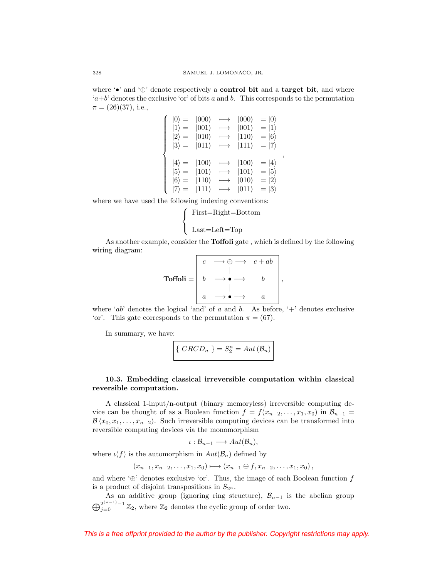where '•' and '⊕' denote respectively a **control bit** and a **target bit**, and where  $(a+b)$  denotes the exclusive 'or' of bits a and b. This corresponds to the permutation  $\pi = (26)(37), \text{ i.e.,}$ 

$$
\left\{\begin{array}{lll} \left|0\right\rangle = & \left|000\right\rangle & \longmapsto & \left|000\right\rangle & = \left|0\right\rangle \\ \left|1\right\rangle = & \left|001\right\rangle & \longmapsto & \left|001\right\rangle & = \left|1\right\rangle \\ \left|2\right\rangle = & \left|010\right\rangle & \longmapsto & \left|110\right\rangle & = \left|6\right\rangle \\ \left|3\right\rangle = & \left|011\right\rangle & \longmapsto & \left|111\right\rangle & = \left|7\right\rangle \\ \left|4\right\rangle = & \left|100\right\rangle & \longmapsto & \left|100\right\rangle & = \left|4\right\rangle \\ \left|5\right\rangle = & \left|101\right\rangle & \longmapsto & \left|101\right\rangle & = \left|5\right\rangle \\ \left|6\right\rangle = & \left|110\right\rangle & \longmapsto & \left|010\right\rangle & = \left|2\right\rangle \\ \left|7\right\rangle = & \left|111\right\rangle & \longmapsto & \left|011\right\rangle & = \left|3\right\rangle \end{array}\right.
$$

where we have used the following indexing conventions:

$$
\left\{\n \begin{array}{l}\n \text{First}=\text{Right}=\text{Bottom} \\
 \text{Last}=\text{Left}=\text{Top}\n \end{array}\n\right.
$$

As another example, consider the **Toffoli** gate , which is defined by the following wiring diagram:

$$
\text{Toffoli} = \left| \begin{array}{ccc} c & \longrightarrow & \oplus & \longrightarrow & c + ab \\ b & \longrightarrow & \longrightarrow & b \\ b & \longrightarrow & \longrightarrow & b \\ a & \longrightarrow & \longrightarrow & a \end{array} \right|,
$$

where 'ab' denotes the logical 'and' of a and b. As before, ' $+$ ' denotes exclusive 'or'. This gate corresponds to the permutation  $\pi = (67)$ .

In summary, we have:

$$
\left\{\; CRCD_n \; \right\} = S_2^n = Aut\left(\mathcal{B}_n\right)
$$

# **10.3. Embedding classical irreversible computation within classical reversible computation.**

A classical 1-input/n-output (binary memoryless) irreversible computing device can be thought of as a Boolean function  $f = f(x_{n-2},...,x_1,x_0)$  in  $\mathcal{B}_{n-1} =$  $\mathcal{B}\langle x_0, x_1,\ldots,x_{n-2}\rangle$ . Such irreversible computing devices can be transformed into reversible computing devices via the monomorphism

$$
\iota : \mathcal{B}_{n-1} \longrightarrow Aut(\mathcal{B}_n),
$$

where  $\iota(f)$  is the automorphism in  $Aut(\mathcal{B}_n)$  defined by

$$
(x_{n-1}, x_{n-2}, \ldots, x_1, x_0) \longmapsto (x_{n-1} \oplus f, x_{n-2}, \ldots, x_1, x_0),
$$

and where '⊕' denotes exclusive 'or'. Thus, the image of each Boolean function  $f$ is a product of disjoint transpositions in  $S_{2^n}$ .

As an additive group (ignoring ring structure),  $\mathcal{B}_{n-1}$  is the abelian group  $\bigoplus_{j=0}^{2^{(n-1)}-1} \mathbb{Z}_2$ , where  $\mathbb{Z}_2$  denotes the cyclic group of order two.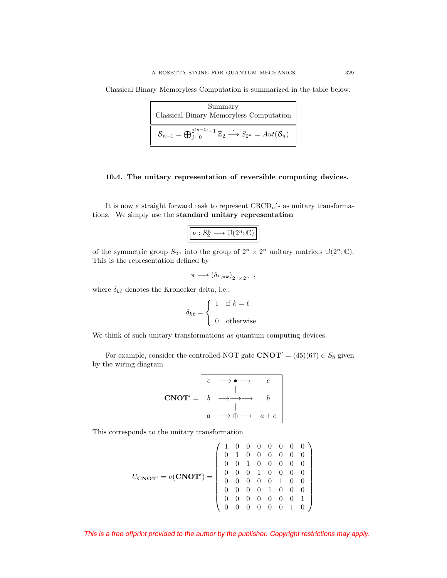Classical Binary Memoryless Computation is summarized in the table below:

| Summary<br>Classical Binary Memoryless Computation                                                                              |
|---------------------------------------------------------------------------------------------------------------------------------|
| $\mathcal{B}_{n-1} = \bigoplus_{j=0}^{2^{(n-1)}-1} \mathbb{Z}_2 \stackrel{\iota}{\longrightarrow} S_{2^n} = Aut(\mathcal{B}_n)$ |

## **10.4. The unitary representation of reversible computing devices.**

It is now a straight forward task to represent  $\mathrm{CRCD}_n$ 's as unitary transformations. We simply use the **standard unitary representation**

$$
\boxed{\nu: S_2^n \longrightarrow \mathbb{U}(2^n;\mathbb{C})}
$$

of the symmetric group  $S_{2^n}$  into the group of  $2^n \times 2^n$  unitary matrices  $\mathbb{U}(2^n;\mathbb{C})$ . This is the representation defined by

$$
\pi \longmapsto (\delta_{k,\pi k})_{2^n \times 2^n} ,
$$

where  $\delta_{k\ell}$  denotes the Kronecker delta, i.e.,

$$
\delta_{k\ell} = \begin{cases} 1 & \text{if } k = \ell \\ 0 & \text{otherwise} \end{cases}
$$

We think of such unitary transformations as quantum computing devices.

For example, consider the controlled-NOT gate  $\text{CNOT}' = (45)(67) \in S_8$  given by the wiring diagram

$$
\mathbf{CNOT}' = \begin{pmatrix} c & \longrightarrow & \bullet & \longrightarrow & c \\ b & \longrightarrow & \longrightarrow & b \\ b & \longrightarrow & \longrightarrow & b \\ a & \longrightarrow & \oplus & \longrightarrow & a+c \end{pmatrix}
$$

This corresponds to the unitary transformation

$$
U_{\mathbf{CNOT}'} = \nu(\mathbf{CNOT}') = \begin{pmatrix} 1 & 0 & 0 & 0 & 0 & 0 & 0 & 0 \\ 0 & 1 & 0 & 0 & 0 & 0 & 0 & 0 \\ 0 & 0 & 1 & 0 & 0 & 0 & 0 & 0 \\ 0 & 0 & 0 & 1 & 0 & 0 & 0 & 0 \\ 0 & 0 & 0 & 0 & 1 & 0 & 0 & 0 \\ 0 & 0 & 0 & 0 & 1 & 0 & 0 & 0 \\ 0 & 0 & 0 & 0 & 0 & 0 & 1 & 0 \\ 0 & 0 & 0 & 0 & 0 & 0 & 1 & 0 \end{pmatrix}
$$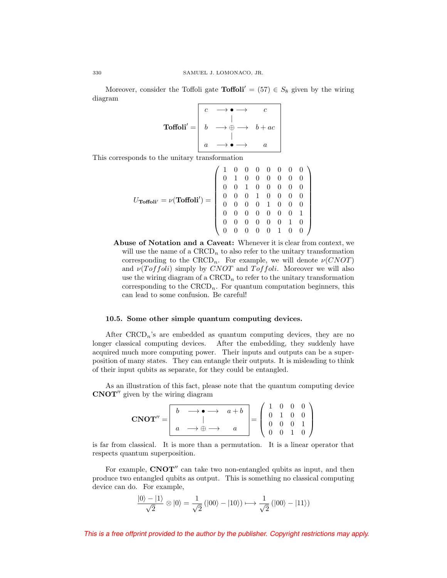Moreover, consider the Toffoli gate **Toffoli** =  $(57) \in S_8$  given by the wiring diagram

|                           | c       |                   |                          |
|---------------------------|---------|-------------------|--------------------------|
| $\textbf{Toffoli}' =   b$ |         | $\longrightarrow$ | $\longrightarrow$ $b+ac$ |
|                           | $\it a$ |                   | Ā.                       |

This corresponds to the unitary transformation

$$
U_{\text{Toffoli}'} = \nu(\text{Toffoli}') = \begin{pmatrix} 1 & 0 & 0 & 0 & 0 & 0 & 0 & 0 \\ 0 & 1 & 0 & 0 & 0 & 0 & 0 & 0 \\ 0 & 0 & 1 & 0 & 0 & 0 & 0 & 0 \\ 0 & 0 & 0 & 1 & 0 & 0 & 0 & 0 \\ 0 & 0 & 0 & 0 & 1 & 0 & 0 & 0 \\ 0 & 0 & 0 & 0 & 0 & 0 & 1 & 0 \\ 0 & 0 & 0 & 0 & 0 & 1 & 0 & 0 \\ 0 & 0 & 0 & 0 & 0 & 1 & 0 & 0 \end{pmatrix}
$$

**Abuse of Notation and a Caveat:** Whenever it is clear from context, we will use the name of a  $\mathrm{CRCD}_n$  to also refer to the unitary transformation corresponding to the  $\text{CRCD}_n$ . For example, we will denote  $\nu(CNOT)$ and  $\nu(Tof foli)$  simply by CNOT and Toffoli. Moreover we will also use the wiring diagram of a  $\mathrm{CRCD}_n$  to refer to the unitary transformation corresponding to the  $\mathrm{CRCD}_n$ . For quantum computation beginners, this can lead to some confusion. Be careful!

## **10.5. Some other simple quantum computing devices.**

After  $\mathrm{CRCD}_n$ 's are embedded as quantum computing devices, they are no longer classical computing devices. After the embedding, they suddenly have acquired much more computing power. Their inputs and outputs can be a superposition of many states. They can entangle their outputs. It is misleading to think of their input qubits as separate, for they could be entangled.

As an illustration of this fact, please note that the quantum computing device **CNOT**" given by the wiring diagram

|                                    |  | $a + b$ |  | $\overline{0}$ | $\left[\begin{array}{ccc} 1 & 0 & 0 \\ 0 & 0 & 1 \end{array}\right]$ |  |
|------------------------------------|--|---------|--|----------------|----------------------------------------------------------------------|--|
| CNOT''<br>$\overline{\phantom{0}}$ |  |         |  |                |                                                                      |  |

is far from classical. It is more than a permutation. It is a linear operator that respects quantum superposition.

For example,  $\mathbf{CNOT}''$  can take two non-entangled qubits as input, and then produce two entangled qubits as output. This is something no classical computing device can do. For example,

$$
\frac{|0\rangle - |1\rangle}{\sqrt{2}} \otimes |0\rangle = \frac{1}{\sqrt{2}} (|00\rangle - |10\rangle) \longmapsto \frac{1}{\sqrt{2}} (|00\rangle - |11\rangle)
$$

This is a free offprint provided to the author by the publisher. Copyright restrictions may apply.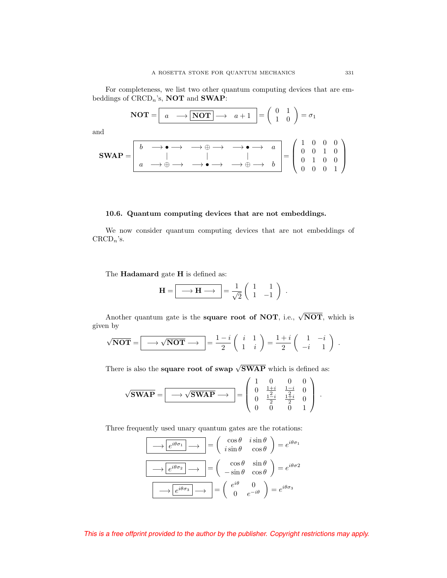For completeness, we list two other quantum computing devices that are embeddings of  $\text{CRCD}_n$ 's, **NOT** and **SWAP**:

$$
\mathbf{NOT} = \begin{bmatrix} a & \longrightarrow \boxed{\mathbf{NOT}} \longrightarrow & a+1 \end{bmatrix} = \begin{pmatrix} 0 & 1 \\ 1 & 0 \end{pmatrix} = \sigma_1
$$
\nand

\n
$$
\mathbf{SWAP} = \begin{bmatrix} b & \longrightarrow \bullet \longrightarrow & \longrightarrow \bullet \longrightarrow & \rightarrow \bullet \longrightarrow & a \\ a & \longrightarrow \oplus \longrightarrow & \longrightarrow \bullet \longrightarrow & \longrightarrow \bullet \longrightarrow & b \end{bmatrix} = \begin{pmatrix} 1 & 0 & 0 & 0 \\ 0 & 0 & 1 & 0 \\ 0 & 1 & 0 & 0 \\ 0 & 0 & 0 & 1 \end{pmatrix}
$$

## **10.6. Quantum computing devices that are not embeddings.**

We now consider quantum computing devices that are not embeddings of  $\mathrm{CRCD}_n$ 's.

The **Hadamard** gate **H** is defined as:

$$
\mathbf{H} = \boxed{\longrightarrow \mathbf{H} \longrightarrow} = \frac{1}{\sqrt{2}} \begin{pmatrix} 1 & 1 \\ 1 & -1 \end{pmatrix} .
$$

Another quantum gate is the **square root of NOT**, i.e.,  $\sqrt{NOT}$ , which is given by

$$
\sqrt{\text{NOT}} = \boxed{\longrightarrow \sqrt{\text{NOT}} \longrightarrow} = \frac{1-i}{2} \begin{pmatrix} i & 1 \\ 1 & i \end{pmatrix} = \frac{1+i}{2} \begin{pmatrix} 1 & -i \\ -i & 1 \end{pmatrix}.
$$

There is also the **square root of swap**  $\sqrt{\textbf{SWAP}}$  which is defined as:

$$
\sqrt{\text{SWAP}} = \boxed{\longrightarrow \sqrt{\text{SWAP}} \longrightarrow} = \left( \begin{array}{ccc} 1 & 0 & 0 & 0 \\ 0 & \frac{1+i}{2} & \frac{1-i}{2} & 0 \\ 0 & \frac{1-i}{2} & \frac{1+i}{2} & 0 \\ 0 & 0 & 0 & 1 \end{array} \right) .
$$

Three frequently used unary quantum gates are the rotations:

$$
\left(\frac{\partial}{\partial t} + \frac{\partial}{\partial t} \frac{\partial}{\partial \theta} \frac{\partial}{\partial t}\right) = e^{i\theta \sigma_1}
$$
\n
$$
\left(\frac{\partial}{\partial t} + \frac{\partial}{\partial t} \frac{\partial}{\partial \theta} \frac{\partial}{\partial t}\right) = e^{i\theta \sigma_2}
$$
\n
$$
\left(\frac{\partial}{\partial t} + \frac{\partial}{\partial t} \frac{\partial}{\partial \theta} \frac{\partial}{\partial t}\right) = e^{i\theta \sigma_2}
$$
\n
$$
\left(\frac{\partial}{\partial t} + \frac{\partial}{\partial t} \frac{\partial}{\partial \theta} \frac{\partial}{\partial t}\right) = e^{i\theta \sigma_3}
$$
\n
$$
\left(\frac{\partial}{\partial t} + \frac{\partial}{\partial t} \frac{\partial}{\partial \theta} \frac{\partial}{\partial t}\right) = e^{i\theta \sigma_3}
$$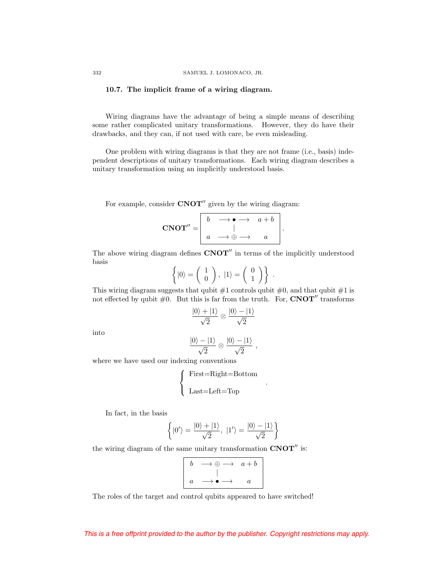#### **10.7. The implicit frame of a wiring diagram.**

Wiring diagrams have the advantage of being a simple means of describing some rather complicated unitary transformations. However, they do have their drawbacks, and they can, if not used with care, be even misleading.

One problem with wiring diagrams is that they are not frame (i.e., basis) independent descriptions of unitary transformations. Each wiring diagram describes a unitary transformation using an implicitly understood basis.

For example, consider **CNOT**" given by the wiring diagram:

$$
CNOT'' = \begin{bmatrix} b & \longrightarrow \bullet \longrightarrow & a+b \\ a & \longrightarrow \oplus \longrightarrow & a \end{bmatrix}.
$$

The above wiring diagram defines **CNOT**" in terms of the implicitly understood basis

$$
\left\{ |0\rangle = \left( \begin{array}{c} 1 \\ 0 \end{array} \right), \ |1\rangle = \left( \begin{array}{c} 0 \\ 1 \end{array} \right) \right\} \ .
$$

This wiring diagram suggests that qubit  $#1$  controls qubit  $#0$ , and that qubit  $#1$  is not effected by qubit  $\#0$ . But this is far from the truth. For, **CNOT**" transforms

$$
\frac{|0\rangle+|1\rangle}{\sqrt{2}} \otimes \frac{|0\rangle-|1\rangle}{\sqrt{2}}
$$

into

$$
\frac{|0\rangle - |1\rangle}{\sqrt{2}} \otimes \frac{|0\rangle - |1\rangle}{\sqrt{2}} ,
$$

where we have used our indexing conventions

$$
\left\{\begin{array}{l}\text{First=Right=Bottom}\\ \text{Last=Left=Top}\end{array}\right.
$$

.

In fact, in the basis

$$
\left\{|0'\rangle=\frac{|0\rangle+|1\rangle}{\sqrt{2}},\ |1'\rangle=\frac{|0\rangle-|1\rangle}{\sqrt{2}}\right\}
$$

the wiring diagram of the same unitary transformation  $\mathbf{CNOT}''$  is:

$$
\begin{array}{ccc}\nb & \longrightarrow & \oplus \longrightarrow & a+b \\
\downarrow & & \\
a & \longrightarrow & \longrightarrow & a\n\end{array}
$$

The roles of the target and control qubits appeared to have switched!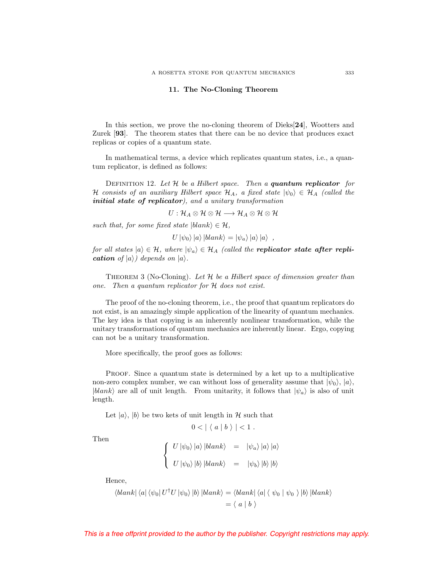#### **11. The No-Cloning Theorem**

In this section, we prove the no-cloning theorem of Dieks[**24**], Wootters and Zurek [**93**]. The theorem states that there can be no device that produces exact replicas or copies of a quantum state.

In mathematical terms, a device which replicates quantum states, i.e., a quantum replicator, is defined as follows:

DEFINITION 12. Let H be a Hilbert space. Then a **quantum replicator** for H consists of an auxiliary Hilbert space  $\mathcal{H}_A$ , a fixed state  $|\psi_0\rangle \in \mathcal{H}_A$  (called the *initial state of replicator*), and a unitary transformation

 $U: \mathcal{H}_A \otimes \mathcal{H} \otimes \mathcal{H} \longrightarrow \mathcal{H}_A \otimes \mathcal{H} \otimes \mathcal{H}$ 

such that, for some fixed state  $|blank\rangle \in \mathcal{H}$ ,

$$
U |\psi_0\rangle |a\rangle |blank\rangle = |\psi_a\rangle |a\rangle |a\rangle ,
$$

for all states  $|a\rangle \in \mathcal{H}$ , where  $|\psi_a\rangle \in \mathcal{H}$  (called the **replicator state after repli***cation* of  $|a\rangle$ ) depends on  $|a\rangle$ .

THEOREM 3 (No-Cloning). Let  $H$  be a Hilbert space of dimension greater than one. Then a quantum replicator for  $H$  does not exist.

The proof of the no-cloning theorem, i.e., the proof that quantum replicators do not exist, is an amazingly simple application of the linearity of quantum mechanics. The key idea is that copying is an inherently nonlinear transformation, while the unitary transformations of quantum mechanics are inherently linear. Ergo, copying can not be a unitary transformation.

More specifically, the proof goes as follows:

Proof. Since a quantum state is determined by a ket up to a multiplicative non-zero complex number, we can without loss of generality assume that  $|\psi_0\rangle, |a\rangle$ , |blank) are all of unit length. From unitarity, it follows that  $|\psi_a\rangle$  is also of unit length.

Let  $|a\rangle$ ,  $|b\rangle$  be two kets of unit length in H such that

$$
0 < | \langle a | b \rangle | < 1 .
$$

Then

$$
\left\{ \begin{array}{ccc} U\left|\psi_{0}\right\rangle\left|a\right\rangle\left|blank\right\rangle&=&\left|\psi_{a}\right\rangle\left|a\right\rangle\left|a\right\rangle\\ U\left|\psi_{0}\right\rangle\left|b\right\rangle\left|blank\right\rangle&=&\left|\psi_{b}\right\rangle\left|b\right\rangle\left|b\right\rangle \end{array} \right.
$$

Hence,

$$
\langle blank \vert \langle a \vert \langle \psi_0 \vert U^{\dagger} U \vert \psi_0 \rangle \vert b \rangle \vert blank \rangle = \langle blank \vert \langle a \vert \langle \psi_0 \vert \psi_0 \rangle \vert b \rangle \vert blank \rangle
$$
  
= 
$$
\langle a \vert b \rangle
$$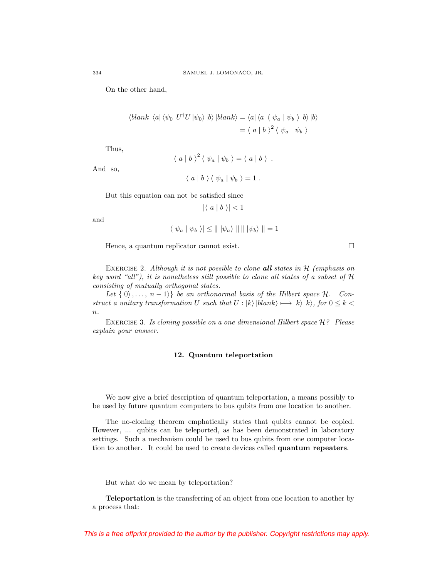On the other hand,

$$
\langle blank \vert \langle a \vert \langle \psi_0 \vert U^{\dagger} U \vert \psi_0 \rangle \vert b \rangle \vert blank \rangle = \langle a \vert \langle a \vert \langle \psi_a \vert \psi_b \rangle \vert b \rangle \vert b \rangle
$$
  
= 
$$
\langle a \vert b \rangle^2 \langle \psi_a \vert \psi_b \rangle
$$

Thus,

$$
\langle a | b \rangle^2 \langle \psi_a | \psi_b \rangle = \langle a | b \rangle .
$$

And so,

 $\langle a | b \rangle \langle \psi_a | \psi_b \rangle = 1.$ 

But this equation can not be satisfied since

 $|\langle a | b \rangle| < 1$ 

and

$$
|\langle \psi_a | \psi_b \rangle| \le || \psi_a \rangle || || \psi_b \rangle || = 1
$$

Hence, a quantum replicator cannot exist.

EXERCISE 2. Although it is not possible to clone all states in  $H$  (emphasis on key word "all"), it is nonetheless still possible to clone all states of a subset of H consisting of mutually orthogonal states.

Let  $\{|0\rangle, \ldots, |n-1\rangle\}$  be an orthonormal basis of the Hilbert space H. Construct a unitary transformation U such that  $U : |k\rangle |blank\rangle \longmapsto |k\rangle |k\rangle$ , for  $0 \le k$  $\overline{n}$ .

EXERCISE 3. Is cloning possible on a one dimensional Hilbert space  $\mathcal{H}$ ? Please explain your answer.

## **12. Quantum teleportation**

We now give a brief description of quantum teleportation, a means possibly to be used by future quantum computers to bus qubits from one location to another.

The no-cloning theorem emphatically states that qubits cannot be copied. However, ... qubits can be teleported, as has been demonstrated in laboratory settings. Such a mechanism could be used to bus qubits from one computer location to another. It could be used to create devices called **quantum repeaters**.

But what do we mean by teleportation?

**Teleportation** is the transferring of an object from one location to another by a process that:

This is a free offprint provided to the author by the publisher. Copyright restrictions may apply.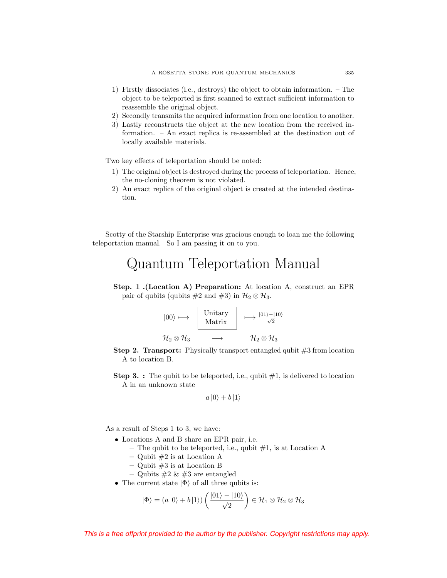- 1) Firstly dissociates (i.e., destroys) the object to obtain information. The object to be teleported is first scanned to extract sufficient information to reassemble the original object.
- 2) Secondly transmits the acquired information from one location to another.
- 3) Lastly reconstructs the object at the new location from the received information. – An exact replica is re-assembled at the destination out of locally available materials.

Two key effects of teleportation should be noted:

- 1) The original object is destroyed during the process of teleportation. Hence, the no-cloning theorem is not violated.
- 2) An exact replica of the original object is created at the intended destination.

Scotty of the Starship Enterprise was gracious enough to loan me the following teleportation manual. So I am passing it on to you.

# Quantum Teleportation Manual

**Step. 1 .(Location A) Preparation:** At location A, construct an EPR pair of qubits (qubits #2 and #3) in  $\mathcal{H}_2 \otimes \mathcal{H}_3$ .

$$
|00\rangle \longmapsto \begin{array}{|l|l|}\n\hline\n\text{Unitary} \\
\text{Matrix} \\
\mathcal{H}_2 \otimes \mathcal{H}_3 \\
\end{array} \longmapsto \begin{array}{|l|l|}\n\hline\n\text{Unitary} \\
\hline\n\text{Matrix} \\
\mathcal{H}_2 \otimes \mathcal{H}_3\n\end{array}
$$

**Step 2. Transport:** Physically transport entangled qubit  $\#3$  from location A to location B.

**Step 3.** : The qubit to be teleported, i.e., qubit  $\#1$ , is delivered to location A in an unknown state

$$
a|0\rangle + b|1\rangle
$$

As a result of Steps 1 to 3, we have:

- Locations A and B share an EPR pair, i.e.
	- **–** The qubit to be teleported, i.e., qubit #1, is at Location A
	- **–** Qubit #2 is at Location A
	- **–** Qubit #3 is at Location B
	- **–** Qubits #2 & #3 are entangled
- The current state  $|\Phi\rangle$  of all three qubits is:

$$
|\Phi\rangle = (a|0\rangle + b|1\rangle) \left( \frac{|01\rangle - |10\rangle}{\sqrt{2}} \right) \in \mathcal{H}_1 \otimes \mathcal{H}_2 \otimes \mathcal{H}_3
$$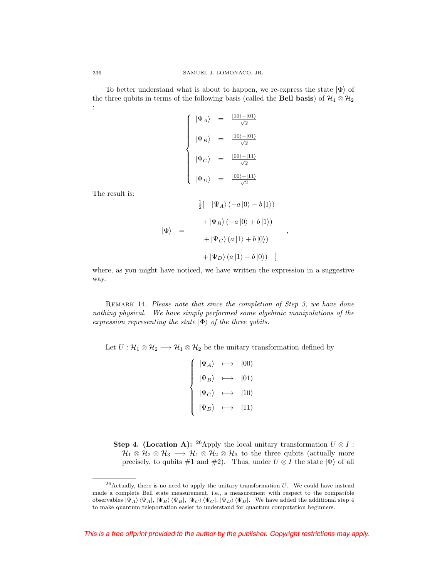To better understand what is about to happen, we re-express the state  $|\Phi\rangle$  of the three qubits in terms of the following basis (called the **Bell basis**) of  $\mathcal{H}_1 \otimes \mathcal{H}_2$ :

$$
\begin{cases}\n\left|\Psi_A\right\rangle = \frac{|10\rangle - |01\rangle}{\sqrt{2}} \\
\left|\Psi_B\right\rangle = \frac{|10\rangle + |01\rangle}{\sqrt{2}} \\
\left|\Psi_C\right\rangle = \frac{|00\rangle - |11\rangle}{\sqrt{2}} \\
\left|\Psi_D\right\rangle = \frac{|00\rangle + |11\rangle}{\sqrt{2}}\n\end{cases}
$$

The result is:

$$
\frac{1}{2} [\quad |\Psi_A\rangle (-a|0\rangle - b|1\rangle)
$$

$$
|\Phi\rangle = \qquad \qquad + |\Psi_B\rangle (-a|0\rangle + b|1\rangle)
$$

$$
+ |\Psi_C\rangle (a|1\rangle + b|0\rangle)
$$

$$
+ |\Psi_D\rangle (a|1\rangle - b|0\rangle) ]
$$

,

where, as you might have noticed, we have written the expression in a suggestive way.

REMARK 14. Please note that since the completion of Step 3, we have done nothing physical. We have simply performed some algebraic manipulations of the expression representing the state  $|\Phi\rangle$  of the three qubits.

Let  $U: \mathcal{H}_1 \otimes \mathcal{H}_2 \longrightarrow \mathcal{H}_1 \otimes \mathcal{H}_2$  be the unitary transformation defined by

$$
\begin{cases} |\Psi_A\rangle & \longmapsto & |00\rangle \\ |\Psi_B\rangle & \longmapsto & |01\rangle \\ |\Psi_C\rangle & \longmapsto & |10\rangle \\ |\Psi_D\rangle & \longmapsto & |11\rangle \end{cases}
$$

**Step 4. (Location A):** <sup>26</sup>Apply the local unitary transformation  $U \otimes I$ :  $\mathcal{H}_1 \otimes \mathcal{H}_2 \otimes \mathcal{H}_3 \longrightarrow \mathcal{H}_1 \otimes \mathcal{H}_2 \otimes \mathcal{H}_3$  to the three qubits (actually more precisely, to qubits  $\#1$  and  $\#2$ ). Thus, under  $U \otimes I$  the state  $|\Phi\rangle$  of all

 $^{26}$ Actually, there is no need to apply the unitary transformation U. We could have instead made a complete Bell state measurement, i.e., a measurement with respect to the compatible observables  $|\Psi_A\rangle \langle \Psi_A|, |\Psi_B\rangle \langle \Psi_B|, |\Psi_C\rangle \langle \Psi_C|, |\Psi_D\rangle \langle \Psi_D|$ . We have added the additional step 4 to make quantum teleportation easier to understand for quantum computation beginners.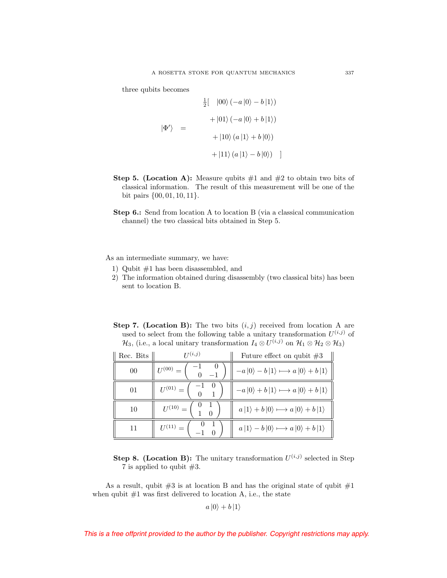three qubits becomes

$$
\frac{1}{2}\left[-|00\rangle(-a|0\rangle-b|1\rangle)\right]
$$

$$
+|01\rangle(-a|0\rangle+b|1\rangle)
$$

$$
|\Phi'\rangle = +|10\rangle(a|1\rangle+b|0\rangle)
$$

$$
+|11\rangle(a|1\rangle-b|0\rangle)
$$

- **Step 5. (Location A):** Measure qubits  $\#1$  and  $\#2$  to obtain two bits of classical information. The result of this measurement will be one of the bit pairs {00, 01, 10, 11}.
- **Step 6.:** Send from location A to location B (via a classical communication channel) the two classical bits obtained in Step 5.

As an intermediate summary, we have:

- 1) Qubit #1 has been disassembled, and
- 2) The information obtained during disassembly (two classical bits) has been sent to location B.

**Step 7. (Location B):** The two bits  $(i, j)$  received from location A are used to select from the following table a unitary transformation  $U^{(i,j)}$  of  $\mathcal{H}_3$ , (i.e., a local unitary transformation  $I_4 \otimes U^{(i,j)}$  on  $\mathcal{H}_1 \otimes \mathcal{H}_2 \otimes \mathcal{H}_3$ )

| Rec. Bits | $H^{(i,j)}$  | Future effect on qubit $#3$                                       |
|-----------|--------------|-------------------------------------------------------------------|
| $00\,$    | $U^{(00)} =$ | $-a 0\rangle - b 1\rangle \mapsto a 0\rangle + b 1\rangle \ $     |
| 01        | $U^{(01)} =$ | $-a 0\rangle + b 1\rangle \longmapsto a 0\rangle + b 1\rangle$    |
| 10        | $U^{(10)} =$ | $a 1\rangle + b 0\rangle \longmapsto a 0\rangle + b 1\rangle$     |
| 11        | $U^{(11)} =$ | $a 1\rangle - b 0\rangle \longrightarrow a 0\rangle + b 1\rangle$ |

**Step 8. (Location B):** The unitary transformation  $U^{(i,j)}$  selected in Step 7 is applied to qubit #3.

As a result, qubit  $#3$  is at location B and has the original state of qubit  $#1$ when qubit  $#1$  was first delivered to location A, i.e., the state

$$
a\ket{0}+b\ket{1}
$$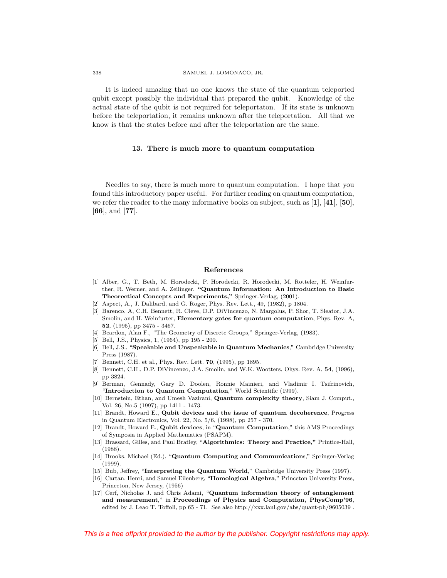It is indeed amazing that no one knows the state of the quantum teleported qubit except possibly the individual that prepared the qubit. Knowledge of the actual state of the qubit is not required for teleportaton. If its state is unknown before the teleportation, it remains unknown after the teleportation. All that we know is that the states before and after the teleportation are the same.

## **13. There is much more to quantum computation**

Needles to say, there is much more to quantum computation. I hope that you found this introductory paper useful. For further reading on quantum computation, we refer the reader to the many informative books on subject, such as [**1**], [**41**], [**50**], [**66**], and [**77**].

## **References**

- [1] Alber, G., T. Beth, M. Horodecki, P. Horodecki, R. Horodecki, M. Rotteler, H. Weinfurther, R. Werner, and A. Zeilinger, **"Quantum Information: An Introduction to Basic Theorectical Concepts and Experiments,"** Springer-Verlag, (2001).
- Aspect, A., J. Dalibard, and G. Roger, Phys. Rev. Lett., 49, (1982), p 1804.
- [3] Barenco, A, C.H. Bennett, R. Cleve, D.P. DiVincenzo, N. Margolus, P. Shor, T. Sleator, J.A. Smolin, and H. Weinfurter, **Elementary gates for quantum computation**, Phys. Rev. A, **52**, (1995), pp 3475 - 3467.
- [4] Beardon, Alan F., "The Geometry of Discrete Groups," Springer-Verlag, (1983).
- [5] Bell, J.S., Physics, 1, (1964), pp 195 200.
- [6] Bell, J.S., "**Speakable and Unspeakable in Quantum Mechanics**," Cambridge University Press (1987).
- [7] Bennett, C.H. et al., Phys. Rev. Lett. **70**, (1995), pp 1895.
- [8] Bennett, C.H., D.P. DiVincenzo, J.A. Smolin, and W.K. Wootters, Ohys. Rev. A, **54**, (1996), pp 3824.
- [9] Berman, Gennady, Gary D. Doolen, Ronnie Mainieri, and Vladimir I. Tsifrinovich, "**Introduction to Quantum Computation**," World Scientific (1999).
- [10] Bernstein, Ethan, and Umesh Vazirani, **Quantum complexity theory**, Siam J. Comput., Vol. 26, No.5 (1997), pp 1411 - 1473.
- [11] Brandt, Howard E., **Qubit devices and the issue of quantum decoherence**, Progress in Quantum Electronics, Vol. 22, No. 5/6, (1998), pp 257 - 370.
- [12] Brandt, Howard E., **Qubit devices**, in "**Quantum Computation**," this AMS Proceedings of Symposia in Applied Mathematics (PSAPM).
- [13] Brassard, Gilles, and Paul Bratley, "**Algorithmics: Theory and Practice,"** Printice-Hall, (1988).
- [14] Brooks, Michael (Ed.), "**Quantum Computing and Communication**s," Springer-Verlag (1999).
- [15] Bub, Jeffrey, "**Interpreting the Quantum World**," Cambridge University Press (1997).
- [16] Cartan, Henri, and Samuel Eilenberg, "**Homological Algebra**," Princeton University Press, Princeton, New Jersey, (1956)
- [17] Cerf, Nicholas J. and Chris Adami, "**Quantum information theory of entanglement and measurement**," in **Proceedings of Physics and Computation, PhysComp'96**, edited by J. Leao T. Toffoli, pp 65 - 71. See also http://xxx.lanl.gov/abs/quant-ph/9605039 .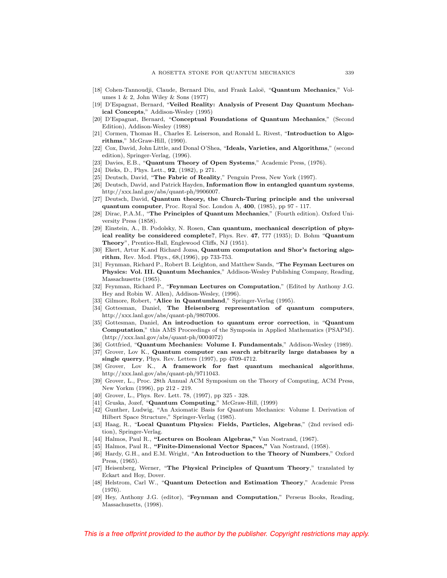- [18] Cohen-Tannoudji, Claude, Bernard Diu, and Frank Lalo¨e, "**Quantum Mechanics**," Volumes 1 & 2, John Wiley & Sons (1977)
- [19] D'Espagnat, Bernard, "**Veiled Reality: Analysis of Present Day Quantum Mechanical Concepts**," Addison-Wesley (1995)
- [20] D'Espagnat, Bernard, "**Conceptual Foundations of Quantum Mechanics**," (Second Edition), Addison-Wesley (1988)
- [21] Cormen, Thomas H., Charles E. Leiserson, and Ronald L. Rivest, "**Introduction to Algorithms**," McGraw-Hill, (1990).
- [22] Cox, David, John Little, and Donal O'Shea, "**Ideals, Varieties, and Algorithms**," (second edition), Springer-Verlag, (1996).
- [23] Davies, E.B., "**Quantum Theory of Open Systems**," Academic Press, (1976).
- [24] Dieks, D., Phys. Lett., **92**, (1982), p 271.
- [25] Deutsch, David, "**The Fabric of Reality**," Penguin Press, New York (1997).
- [26] Deutsch, David, and Patrick Hayden, **Information flow in entangled quantum systems**, http://xxx.lanl.gov/abs/quant-ph/9906007.
- [27] Deutsch, David, **Quantum theory, the Church-Turing principle and the universal quantum computer**, Proc. Royal Soc. London A, **400**, (1985), pp 97 - 117.
- [28] Dirac, P.A.M., "**The Principles of Quantum Mechanics**," (Fourth edition). Oxford University Press (1858).
- [29] Einstein, A., B. Podolsky, N. Rosen, **Can quantum, mechanical description of physical reality be considered complete?**, Phys. Rev. **47**, 777 (1935); D. Bohm "**Quantum Theory**", Prentice-Hall, Englewood Cliffs, NJ (1951).
- [30] Ekert, Artur K.and Richard Jozsa, **Quantum computation and Shor's factoring algorithm**, Rev. Mod. Phys., 68,(1996), pp 733-753.
- [31] Feynman, Richard P., Robert B. Leighton, and Matthew Sands, "**The Feyman Lectures on Physics: Vol. III. Quantum Mechanics**," Addison-Wesley Publishing Company, Reading, Massachusetts (1965).
- [32] Feynman, Richard P., "**Feynman Lectures on Computation**," (Edited by Anthony J.G. Hey and Robin W. Allen), Addison-Wesley, (1996).
- [33] Gilmore, Robert, "Alice in Quantumland," Springer-Verlag (1995).
- [34] Gottesman, Daniel, **The Heisenberg representation of quantum computers**, http://xxx.lanl.gov/abs/quant-ph/9807006.
- [35] Gottesman, Daniel, **An introduction to quantum error correction**, in "**Quantum Computation**," this AMS Proceedings of the Symposia in Applied Mathematics (PSAPM). (http://xxx.lanl.gov/abs/quant-ph/0004072)
- [36] Gottfried, "**Quantum Mechanics: Volume I. Fundamentals**," Addison-Wesley (1989).
- [37] Grover, Lov K., **Quantum computer can search arbitrarily large databases by a single querry**, Phys. Rev. Letters (1997), pp 4709-4712.
- [38] Grover, Lov K., **A framework for fast quantum mechanical algorithms**, http://xxx.lanl.gov/abs/quant-ph/9711043.
- [39] Grover, L., Proc. 28th Annual ACM Symposium on the Theory of Computing, ACM Press, New Yorkm (1996), pp 212 - 219.
- [40] Grover, L., Phys. Rev. Lett. 78, (1997), pp 325 328.
- [41] Gruska, Jozef, "**Quantum Computing**," McGraw-Hill, (1999)
- [42] Gunther, Ludwig, "An Axiomatic Basis for Quantum Mechanics: Volume I. Derivation of Hilbert Space Structure," Springer-Verlag (1985).
- [43] Haag, R., "**Local Quantum Physics: Fields, Particles, Algebras**," (2nd revised edition), Springer-Verlag.
- [44] Halmos, Paul R., **"Lectures on Boolean Algebras,"** Van Nostrand, (1967).
- [45] Halmos, Paul R., **"Finite-Dimensional Vector Spaces,"** Van Nostrand, (1958).
- [46] Hardy, G.H., and E.M. Wright, "**An Introduction to the Theory of Numbers**," Oxford Press, (1965).
- [47] Heisenberg, Werner, "**The Physical Principles of Quantum Theory**," translated by Eckart and Hoy, Dover.
- [48] Helstrom, Carl W., "**Quantum Detection and Estimation Theory**," Academic Press (1976).
- [49] Hey, Anthony J.G. (editor), "**Feynman and Computation**," Perseus Books, Reading, Massachusetts, (1998).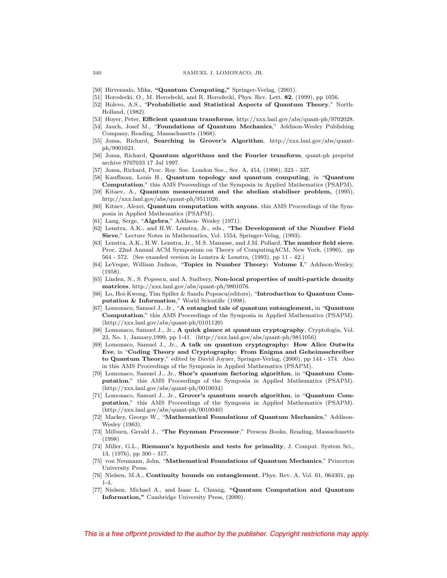- [50] Hirvensalo, Mika, **"Quantum Computing,"** Springer-Verlag, (2001).
- [51] Horodecki, O., M. Horodecki, and R. Horodecki, Phys. Rev. Lett. **82**, (1999), pp 1056.
- [52] Holevo, A.S., "**Probabilistic and Statistical Aspects of Quantum Theory**," North-Holland, (1982).
- [53] Hoyer, Peter, **Efficient quantum transforms**, http://xxx.lanl.gov/abs/quant-ph/9702028.
- [54] Jauch, Josef M., "**Foundations of Quantum Mechanics**," Addison-Wesley Publishing Company, Reading, Massachusetts (1968).
- [55] Jozsa, Richard, **Searching in Grover's Algorithm**, http://xxx.lanl.gov/abs/quantph/9901021.
- [56] Jozsa, Richard, **Quantum algorithms and the Fourier transform**, quant-ph preprint archive 9707033 17 Jul 1997.
- [57] Jozsa, Richard, Proc. Roy. Soc. London Soc., Ser. A, 454, (1998), 323 337.
- [58] Kauffman, Louis H., **Quantum topology and quantum computing**, in "**Quantum Computation**," this AMS Proceedings of the Symposia in Applied Mathematics (PSAPM).
- [59] Kitaev, A., **Quantum measurement and the abelian stabiliser problem,** (1995), http://xxx.lanl.gov/abs/quant-ph/9511026.
- [60] Kitaev, Alexei, **Quantum computation with anyons**, this AMS Proceedings of the Symposia in Applied Mathematics (PSAPM).
- [61] Lang, Serge, "**Algebra**," Addison- Wesley (1971).
- [62] Lenstra, A.K., and H.W. Lenstra, Jr., eds., "**The Development of the Number Field Sieve**," Lecture Notes in Mathematics, Vol. 1554, Springer-Velag, (1993).
- [63] Lenstra, A.K., H.W. Lenstra, Jr., M.S. Manasse, and J.M. Pollard, **The number field sieve**. Proc. 22nd Annual ACM Symposium on Theory of ComputingACM, New York, (1990), pp 564 - 572. (See exanded version in Lenstra & Lenstra, (1993), pp 11 - 42.)
- [64] LeVeque, William Judson, "**Topics in Number Theory: Volume I**," Addison-Wesley, (1958).
- [65] Linden, N., S. Popescu, and A. Sudbery, **Non-local properties of multi-particle density matrices**, http://xxx.lanl.gov/abs/quant-ph/9801076.
- [66] Lo, Hoi-Kwong, Tim Spiller & Sandu Popescu(editors), "**Introduction to Quantum Computation & Information**," World Scientific (1998).
- [67] Lomonaco, Samuel J., Jr., "**A entangled tale of quantum entanglement,** in "**Quantum Computation**," this AMS Proceedings of the Symposia in Applied Mathematics (PSAPM). (http://xxx.lanl.gov/abs/quant-ph/0101120)
- [68] Lomonaco, Samuel J., Jr., **A quick glance at quantum cryptography**, Cryptologia, Vol. 23, No. 1, January,1999, pp 1-41. (http://xxx.lanl.gov/abs/quant-ph/9811056)
- [69] Lomonaco, Samuel J., Jr., **A talk on quantum cryptography: How Alice Outwits Eve**, in "**Coding Theory and Cryptography: From Enigma and Geheimsschreiber to Quantum Theory**," edited by David Joyner, Springer-Verlag, (2000), pp 144 - 174. Also in this AMS Proceedings of the Symposia in Applied Mathematics (PSAPM).
- [70] Lomonaco, Samuel J., Jr., **Shor's quantum factoring algorithm**, in "**Quantum Com**putation," this AMS Proceedings of the Symposia in Applied Mathematics (PSAPM). (http://xxx.lanl.gov/abs/quant-ph/0010034)
- [71] Lomonaco, Samuel J., Jr., **Grover's quantum search algorithm**, in "**Quantum Computation**," this AMS Proceedings of the Symposia in Applied Mathematics (PSAPM). (http://xxx.lanl.gov/abs/quant-ph/0010040)
- [72] Mackey, George W., "**Mathematical Foundations of Quantum Mechanics**," Addison-Wesley (1963).
- [73] Milburn, Gerald J., "**The Feynman Processor**," Perseus Books, Reading, Massachusetts (1998)
- [74] Miller, G.L., **Riemann's hypothesis and tests for primality**, J. Comput. System Sci., 13, (1976), pp 300 - 317.
- [75] von Neumann, John, "**Mathematical Foundations of Quantum Mechanics**," Princeton University Press.
- [76] Nielsen, M.A., **Continuity bounds on entanglement**, Phys. Rev. A, Vol. 61, 064301, pp 1-4.
- [77] Nielsen, Michael A., and Isaac L. Chuang, **"Quantum Computation and Quantum Information,"** Cambridge University Press, (2000).